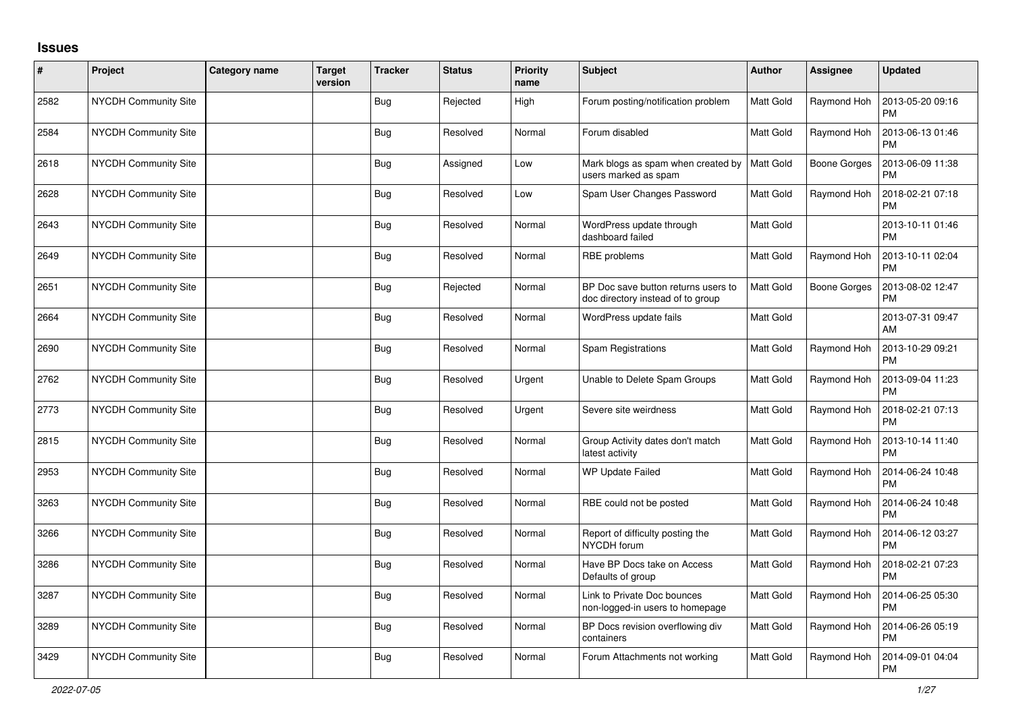## **Issues**

| #    | Project                     | <b>Category name</b> | <b>Target</b><br>version | <b>Tracker</b> | <b>Status</b> | <b>Priority</b><br>name | <b>Subject</b>                                                           | <b>Author</b>    | Assignee            | <b>Updated</b>                |
|------|-----------------------------|----------------------|--------------------------|----------------|---------------|-------------------------|--------------------------------------------------------------------------|------------------|---------------------|-------------------------------|
| 2582 | NYCDH Community Site        |                      |                          | <b>Bug</b>     | Rejected      | High                    | Forum posting/notification problem                                       | <b>Matt Gold</b> | Raymond Hoh         | 2013-05-20 09:16<br><b>PM</b> |
| 2584 | NYCDH Community Site        |                      |                          | Bug            | Resolved      | Normal                  | Forum disabled                                                           | <b>Matt Gold</b> | Raymond Hoh         | 2013-06-13 01:46<br><b>PM</b> |
| 2618 | NYCDH Community Site        |                      |                          | <b>Bug</b>     | Assigned      | Low                     | Mark blogs as spam when created by<br>users marked as spam               | Matt Gold        | <b>Boone Gorges</b> | 2013-06-09 11:38<br><b>PM</b> |
| 2628 | <b>NYCDH Community Site</b> |                      |                          | <b>Bug</b>     | Resolved      | Low                     | Spam User Changes Password                                               | <b>Matt Gold</b> | Raymond Hoh         | 2018-02-21 07:18<br><b>PM</b> |
| 2643 | <b>NYCDH Community Site</b> |                      |                          | Bug            | Resolved      | Normal                  | WordPress update through<br>dashboard failed                             | Matt Gold        |                     | 2013-10-11 01:46<br><b>PM</b> |
| 2649 | NYCDH Community Site        |                      |                          | Bug            | Resolved      | Normal                  | RBE problems                                                             | Matt Gold        | Raymond Hoh         | 2013-10-11 02:04<br><b>PM</b> |
| 2651 | <b>NYCDH Community Site</b> |                      |                          | <b>Bug</b>     | Rejected      | Normal                  | BP Doc save button returns users to<br>doc directory instead of to group | <b>Matt Gold</b> | <b>Boone Gorges</b> | 2013-08-02 12:47<br><b>PM</b> |
| 2664 | <b>NYCDH Community Site</b> |                      |                          | Bug            | Resolved      | Normal                  | WordPress update fails                                                   | Matt Gold        |                     | 2013-07-31 09:47<br>AM        |
| 2690 | NYCDH Community Site        |                      |                          | <b>Bug</b>     | Resolved      | Normal                  | Spam Registrations                                                       | Matt Gold        | Raymond Hoh         | 2013-10-29 09:21<br><b>PM</b> |
| 2762 | <b>NYCDH Community Site</b> |                      |                          | Bug            | Resolved      | Urgent                  | Unable to Delete Spam Groups                                             | <b>Matt Gold</b> | Raymond Hoh         | 2013-09-04 11:23<br><b>PM</b> |
| 2773 | NYCDH Community Site        |                      |                          | <b>Bug</b>     | Resolved      | Urgent                  | Severe site weirdness                                                    | Matt Gold        | Raymond Hoh         | 2018-02-21 07:13<br><b>PM</b> |
| 2815 | <b>NYCDH Community Site</b> |                      |                          | <b>Bug</b>     | Resolved      | Normal                  | Group Activity dates don't match<br>latest activity                      | Matt Gold        | Raymond Hoh         | 2013-10-14 11:40<br><b>PM</b> |
| 2953 | NYCDH Community Site        |                      |                          | <b>Bug</b>     | Resolved      | Normal                  | <b>WP Update Failed</b>                                                  | Matt Gold        | Raymond Hoh         | 2014-06-24 10:48<br><b>PM</b> |
| 3263 | NYCDH Community Site        |                      |                          | <b>Bug</b>     | Resolved      | Normal                  | RBE could not be posted                                                  | <b>Matt Gold</b> | Raymond Hoh         | 2014-06-24 10:48<br><b>PM</b> |
| 3266 | <b>NYCDH Community Site</b> |                      |                          | Bug            | Resolved      | Normal                  | Report of difficulty posting the<br>NYCDH forum                          | Matt Gold        | Raymond Hoh         | 2014-06-12 03:27<br><b>PM</b> |
| 3286 | <b>NYCDH Community Site</b> |                      |                          | Bug            | Resolved      | Normal                  | Have BP Docs take on Access<br>Defaults of group                         | <b>Matt Gold</b> | Raymond Hoh         | 2018-02-21 07:23<br><b>PM</b> |
| 3287 | NYCDH Community Site        |                      |                          | <b>Bug</b>     | Resolved      | Normal                  | Link to Private Doc bounces<br>non-logged-in users to homepage           | Matt Gold        | Raymond Hoh         | 2014-06-25 05:30<br><b>PM</b> |
| 3289 | <b>NYCDH Community Site</b> |                      |                          | Bug            | Resolved      | Normal                  | BP Docs revision overflowing div<br>containers                           | <b>Matt Gold</b> | Raymond Hoh         | 2014-06-26 05:19<br><b>PM</b> |
| 3429 | NYCDH Community Site        |                      |                          | <b>Bug</b>     | Resolved      | Normal                  | Forum Attachments not working                                            | Matt Gold        | Raymond Hoh         | 2014-09-01 04:04<br><b>PM</b> |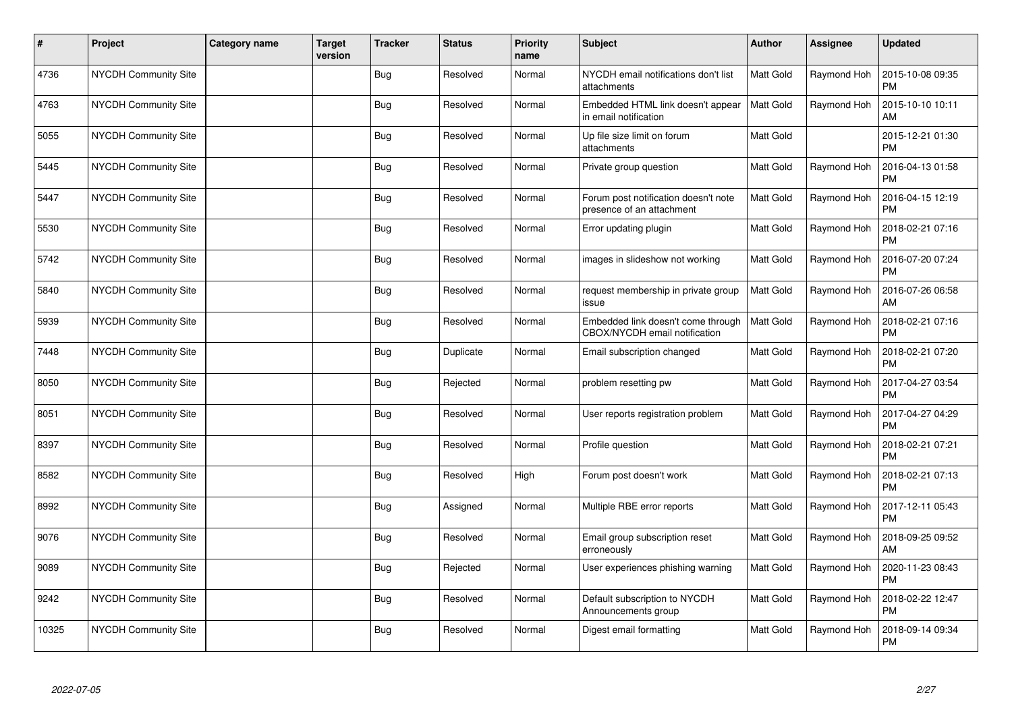| $\sharp$ | Project                     | <b>Category name</b> | <b>Target</b><br>version | <b>Tracker</b> | <b>Status</b> | <b>Priority</b><br>name | <b>Subject</b>                                                      | Author           | Assignee    | <b>Updated</b>                |
|----------|-----------------------------|----------------------|--------------------------|----------------|---------------|-------------------------|---------------------------------------------------------------------|------------------|-------------|-------------------------------|
| 4736     | NYCDH Community Site        |                      |                          | Bug            | Resolved      | Normal                  | NYCDH email notifications don't list<br>attachments                 | <b>Matt Gold</b> | Raymond Hoh | 2015-10-08 09:35<br><b>PM</b> |
| 4763     | NYCDH Community Site        |                      |                          | <b>Bug</b>     | Resolved      | Normal                  | Embedded HTML link doesn't appear<br>in email notification          | <b>Matt Gold</b> | Raymond Hoh | 2015-10-10 10:11<br>AM        |
| 5055     | NYCDH Community Site        |                      |                          | <b>Bug</b>     | Resolved      | Normal                  | Up file size limit on forum<br>attachments                          | <b>Matt Gold</b> |             | 2015-12-21 01:30<br><b>PM</b> |
| 5445     | <b>NYCDH Community Site</b> |                      |                          | <b>Bug</b>     | Resolved      | Normal                  | Private group question                                              | <b>Matt Gold</b> | Raymond Hoh | 2016-04-13 01:58<br><b>PM</b> |
| 5447     | NYCDH Community Site        |                      |                          | <b>Bug</b>     | Resolved      | Normal                  | Forum post notification doesn't note<br>presence of an attachment   | Matt Gold        | Raymond Hoh | 2016-04-15 12:19<br><b>PM</b> |
| 5530     | NYCDH Community Site        |                      |                          | Bug            | Resolved      | Normal                  | Error updating plugin                                               | <b>Matt Gold</b> | Raymond Hoh | 2018-02-21 07:16<br><b>PM</b> |
| 5742     | NYCDH Community Site        |                      |                          | <b>Bug</b>     | Resolved      | Normal                  | images in slideshow not working                                     | Matt Gold        | Raymond Hoh | 2016-07-20 07:24<br><b>PM</b> |
| 5840     | <b>NYCDH Community Site</b> |                      |                          | <b>Bug</b>     | Resolved      | Normal                  | request membership in private group<br>issue                        | <b>Matt Gold</b> | Raymond Hoh | 2016-07-26 06:58<br>AM        |
| 5939     | NYCDH Community Site        |                      |                          | <b>Bug</b>     | Resolved      | Normal                  | Embedded link doesn't come through<br>CBOX/NYCDH email notification | <b>Matt Gold</b> | Raymond Hoh | 2018-02-21 07:16<br><b>PM</b> |
| 7448     | NYCDH Community Site        |                      |                          | <b>Bug</b>     | Duplicate     | Normal                  | Email subscription changed                                          | Matt Gold        | Raymond Hoh | 2018-02-21 07:20<br><b>PM</b> |
| 8050     | <b>NYCDH Community Site</b> |                      |                          | Bug            | Rejected      | Normal                  | problem resetting pw                                                | <b>Matt Gold</b> | Raymond Hoh | 2017-04-27 03:54<br><b>PM</b> |
| 8051     | NYCDH Community Site        |                      |                          | <b>Bug</b>     | Resolved      | Normal                  | User reports registration problem                                   | Matt Gold        | Raymond Hoh | 2017-04-27 04:29<br><b>PM</b> |
| 8397     | NYCDH Community Site        |                      |                          | <b>Bug</b>     | Resolved      | Normal                  | Profile question                                                    | <b>Matt Gold</b> | Raymond Hoh | 2018-02-21 07:21<br><b>PM</b> |
| 8582     | NYCDH Community Site        |                      |                          | <b>Bug</b>     | Resolved      | High                    | Forum post doesn't work                                             | Matt Gold        | Raymond Hoh | 2018-02-21 07:13<br><b>PM</b> |
| 8992     | <b>NYCDH Community Site</b> |                      |                          | <b>Bug</b>     | Assigned      | Normal                  | Multiple RBE error reports                                          | <b>Matt Gold</b> | Raymond Hoh | 2017-12-11 05:43<br><b>PM</b> |
| 9076     | <b>NYCDH Community Site</b> |                      |                          | Bug            | Resolved      | Normal                  | Email group subscription reset<br>erroneously                       | Matt Gold        | Raymond Hoh | 2018-09-25 09:52<br>AM        |
| 9089     | NYCDH Community Site        |                      |                          | <b>Bug</b>     | Rejected      | Normal                  | User experiences phishing warning                                   | Matt Gold        | Raymond Hoh | 2020-11-23 08:43<br>PM        |
| 9242     | <b>NYCDH Community Site</b> |                      |                          | Bug            | Resolved      | Normal                  | Default subscription to NYCDH<br>Announcements group                | Matt Gold        | Raymond Hoh | 2018-02-22 12:47<br><b>PM</b> |
| 10325    | NYCDH Community Site        |                      |                          | <b>Bug</b>     | Resolved      | Normal                  | Digest email formatting                                             | <b>Matt Gold</b> | Raymond Hoh | 2018-09-14 09:34<br><b>PM</b> |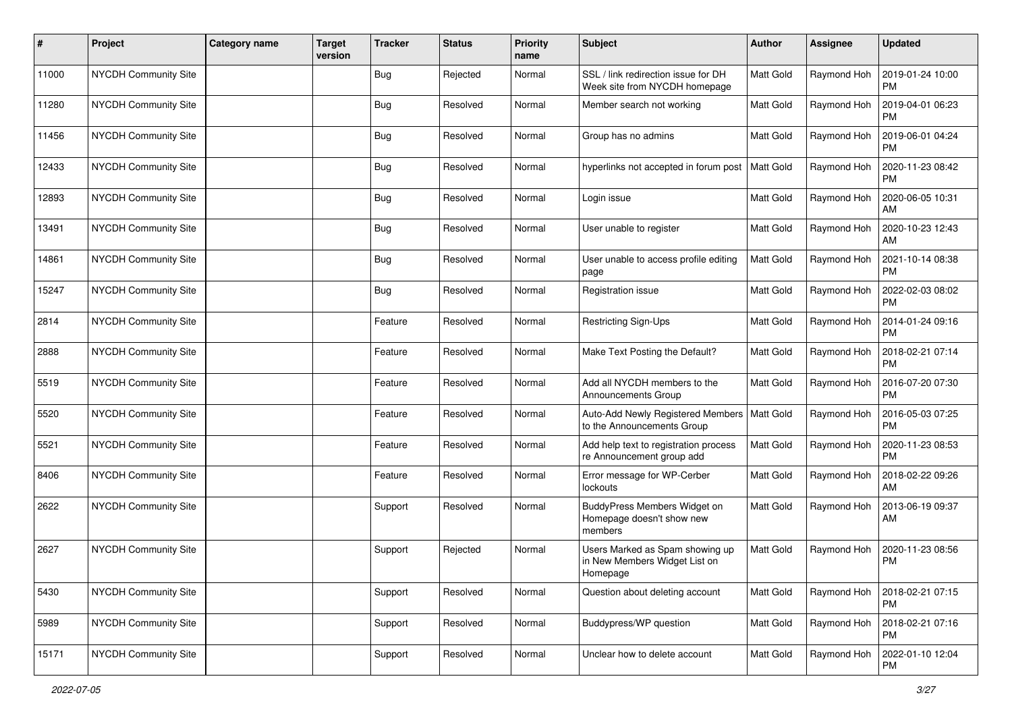| #     | Project                     | <b>Category name</b> | <b>Target</b><br>version | <b>Tracker</b> | <b>Status</b> | <b>Priority</b><br>name | <b>Subject</b>                                                               | Author           | <b>Assignee</b> | <b>Updated</b>                |
|-------|-----------------------------|----------------------|--------------------------|----------------|---------------|-------------------------|------------------------------------------------------------------------------|------------------|-----------------|-------------------------------|
| 11000 | <b>NYCDH Community Site</b> |                      |                          | <b>Bug</b>     | Rejected      | Normal                  | SSL / link redirection issue for DH<br>Week site from NYCDH homepage         | Matt Gold        | Raymond Hoh     | 2019-01-24 10:00<br><b>PM</b> |
| 11280 | NYCDH Community Site        |                      |                          | <b>Bug</b>     | Resolved      | Normal                  | Member search not working                                                    | Matt Gold        | Raymond Hoh     | 2019-04-01 06:23<br><b>PM</b> |
| 11456 | NYCDH Community Site        |                      |                          | <b>Bug</b>     | Resolved      | Normal                  | Group has no admins                                                          | <b>Matt Gold</b> | Raymond Hoh     | 2019-06-01 04:24<br><b>PM</b> |
| 12433 | NYCDH Community Site        |                      |                          | <b>Bug</b>     | Resolved      | Normal                  | hyperlinks not accepted in forum post                                        | <b>Matt Gold</b> | Raymond Hoh     | 2020-11-23 08:42<br>PM        |
| 12893 | <b>NYCDH Community Site</b> |                      |                          | <b>Bug</b>     | Resolved      | Normal                  | Login issue                                                                  | <b>Matt Gold</b> | Raymond Hoh     | 2020-06-05 10:31<br>AM        |
| 13491 | NYCDH Community Site        |                      |                          | <b>Bug</b>     | Resolved      | Normal                  | User unable to register                                                      | Matt Gold        | Raymond Hoh     | 2020-10-23 12:43<br>AM        |
| 14861 | NYCDH Community Site        |                      |                          | <b>Bug</b>     | Resolved      | Normal                  | User unable to access profile editing<br>page                                | <b>Matt Gold</b> | Raymond Hoh     | 2021-10-14 08:38<br><b>PM</b> |
| 15247 | NYCDH Community Site        |                      |                          | <b>Bug</b>     | Resolved      | Normal                  | Registration issue                                                           | Matt Gold        | Raymond Hoh     | 2022-02-03 08:02<br>PM        |
| 2814  | NYCDH Community Site        |                      |                          | Feature        | Resolved      | Normal                  | Restricting Sign-Ups                                                         | <b>Matt Gold</b> | Raymond Hoh     | 2014-01-24 09:16<br><b>PM</b> |
| 2888  | NYCDH Community Site        |                      |                          | Feature        | Resolved      | Normal                  | Make Text Posting the Default?                                               | <b>Matt Gold</b> | Raymond Hoh     | 2018-02-21 07:14<br><b>PM</b> |
| 5519  | NYCDH Community Site        |                      |                          | Feature        | Resolved      | Normal                  | Add all NYCDH members to the<br>Announcements Group                          | <b>Matt Gold</b> | Raymond Hoh     | 2016-07-20 07:30<br><b>PM</b> |
| 5520  | NYCDH Community Site        |                      |                          | Feature        | Resolved      | Normal                  | Auto-Add Newly Registered Members<br>to the Announcements Group              | <b>Matt Gold</b> | Raymond Hoh     | 2016-05-03 07:25<br><b>PM</b> |
| 5521  | NYCDH Community Site        |                      |                          | Feature        | Resolved      | Normal                  | Add help text to registration process<br>re Announcement group add           | Matt Gold        | Raymond Hoh     | 2020-11-23 08:53<br><b>PM</b> |
| 8406  | NYCDH Community Site        |                      |                          | Feature        | Resolved      | Normal                  | Error message for WP-Cerber<br>lockouts                                      | <b>Matt Gold</b> | Raymond Hoh     | 2018-02-22 09:26<br>AM        |
| 2622  | NYCDH Community Site        |                      |                          | Support        | Resolved      | Normal                  | BuddyPress Members Widget on<br>Homepage doesn't show new<br>members         | Matt Gold        | Raymond Hoh     | 2013-06-19 09:37<br>AM        |
| 2627  | NYCDH Community Site        |                      |                          | Support        | Rejected      | Normal                  | Users Marked as Spam showing up<br>in New Members Widget List on<br>Homepage | Matt Gold        | Raymond Hoh     | 2020-11-23 08:56<br><b>PM</b> |
| 5430  | NYCDH Community Site        |                      |                          | Support        | Resolved      | Normal                  | Question about deleting account                                              | Matt Gold        | Raymond Hoh     | 2018-02-21 07:15<br><b>PM</b> |
| 5989  | NYCDH Community Site        |                      |                          | Support        | Resolved      | Normal                  | Buddypress/WP question                                                       | <b>Matt Gold</b> | Raymond Hoh     | 2018-02-21 07:16<br><b>PM</b> |
| 15171 | NYCDH Community Site        |                      |                          | Support        | Resolved      | Normal                  | Unclear how to delete account                                                | Matt Gold        | Raymond Hoh     | 2022-01-10 12:04<br>PM        |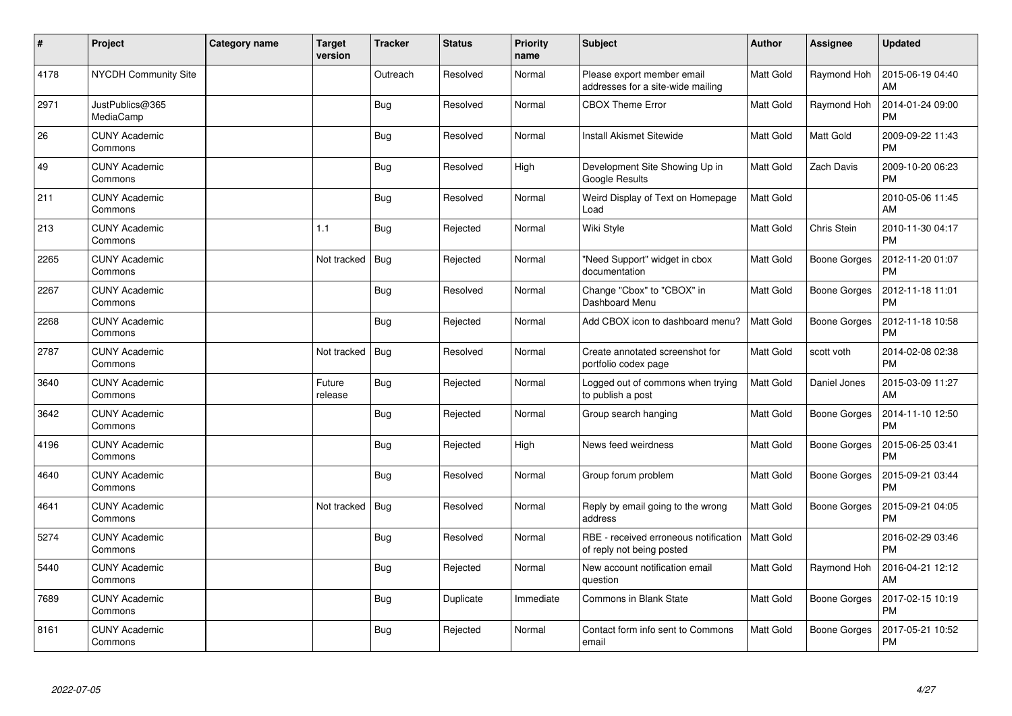| $\pmb{\sharp}$ | Project                         | Category name | <b>Target</b><br>version | <b>Tracker</b> | <b>Status</b> | <b>Priority</b><br>name | <b>Subject</b>                                                     | <b>Author</b>    | <b>Assignee</b>     | <b>Updated</b>                |
|----------------|---------------------------------|---------------|--------------------------|----------------|---------------|-------------------------|--------------------------------------------------------------------|------------------|---------------------|-------------------------------|
| 4178           | <b>NYCDH Community Site</b>     |               |                          | Outreach       | Resolved      | Normal                  | Please export member email<br>addresses for a site-wide mailing    | <b>Matt Gold</b> | Raymond Hoh         | 2015-06-19 04:40<br>AM        |
| 2971           | JustPublics@365<br>MediaCamp    |               |                          | Bug            | Resolved      | Normal                  | <b>CBOX Theme Error</b>                                            | <b>Matt Gold</b> | Raymond Hoh         | 2014-01-24 09:00<br><b>PM</b> |
| 26             | <b>CUNY Academic</b><br>Commons |               |                          | <b>Bug</b>     | Resolved      | Normal                  | <b>Install Akismet Sitewide</b>                                    | <b>Matt Gold</b> | Matt Gold           | 2009-09-22 11:43<br><b>PM</b> |
| 49             | <b>CUNY Academic</b><br>Commons |               |                          | Bug            | Resolved      | High                    | Development Site Showing Up in<br>Google Results                   | <b>Matt Gold</b> | <b>Zach Davis</b>   | 2009-10-20 06:23<br><b>PM</b> |
| 211            | <b>CUNY Academic</b><br>Commons |               |                          | <b>Bug</b>     | Resolved      | Normal                  | Weird Display of Text on Homepage<br>Load                          | Matt Gold        |                     | 2010-05-06 11:45<br><b>AM</b> |
| 213            | <b>CUNY Academic</b><br>Commons |               | 1.1                      | <b>Bug</b>     | Rejected      | Normal                  | Wiki Style                                                         | <b>Matt Gold</b> | Chris Stein         | 2010-11-30 04:17<br><b>PM</b> |
| 2265           | <b>CUNY Academic</b><br>Commons |               | Not tracked              | <b>Bug</b>     | Rejected      | Normal                  | "Need Support" widget in cbox<br>documentation                     | Matt Gold        | Boone Gorges        | 2012-11-20 01:07<br><b>PM</b> |
| 2267           | <b>CUNY Academic</b><br>Commons |               |                          | <b>Bug</b>     | Resolved      | Normal                  | Change "Cbox" to "CBOX" in<br>Dashboard Menu                       | <b>Matt Gold</b> | Boone Gorges        | 2012-11-18 11:01<br><b>PM</b> |
| 2268           | <b>CUNY Academic</b><br>Commons |               |                          | Bug            | Rejected      | Normal                  | Add CBOX icon to dashboard menu?                                   | <b>Matt Gold</b> | Boone Gorges        | 2012-11-18 10:58<br><b>PM</b> |
| 2787           | <b>CUNY Academic</b><br>Commons |               | Not tracked              | <b>Bug</b>     | Resolved      | Normal                  | Create annotated screenshot for<br>portfolio codex page            | Matt Gold        | scott voth          | 2014-02-08 02:38<br><b>PM</b> |
| 3640           | <b>CUNY Academic</b><br>Commons |               | Future<br>release        | <b>Bug</b>     | Rejected      | Normal                  | Logged out of commons when trying<br>to publish a post             | <b>Matt Gold</b> | Daniel Jones        | 2015-03-09 11:27<br>AM        |
| 3642           | <b>CUNY Academic</b><br>Commons |               |                          | Bug            | Rejected      | Normal                  | Group search hanging                                               | Matt Gold        | Boone Gorges        | 2014-11-10 12:50<br><b>PM</b> |
| 4196           | <b>CUNY Academic</b><br>Commons |               |                          | Bug            | Rejected      | High                    | News feed weirdness                                                | <b>Matt Gold</b> | Boone Gorges        | 2015-06-25 03:41<br><b>PM</b> |
| 4640           | <b>CUNY Academic</b><br>Commons |               |                          | Bug            | Resolved      | Normal                  | Group forum problem                                                | <b>Matt Gold</b> | Boone Gorges        | 2015-09-21 03:44<br><b>PM</b> |
| 4641           | <b>CUNY Academic</b><br>Commons |               | Not tracked              | <b>Bug</b>     | Resolved      | Normal                  | Reply by email going to the wrong<br>address                       | <b>Matt Gold</b> | <b>Boone Gorges</b> | 2015-09-21 04:05<br><b>PM</b> |
| 5274           | <b>CUNY Academic</b><br>Commons |               |                          | <b>Bug</b>     | Resolved      | Normal                  | RBE - received erroneous notification<br>of reply not being posted | Matt Gold        |                     | 2016-02-29 03:46<br><b>PM</b> |
| 5440           | <b>CUNY Academic</b><br>Commons |               |                          | Bug            | Rejected      | Normal                  | New account notification email<br>question                         | <b>Matt Gold</b> | Raymond Hoh         | 2016-04-21 12:12<br>AM        |
| 7689           | <b>CUNY Academic</b><br>Commons |               |                          | <b>Bug</b>     | Duplicate     | Immediate               | <b>Commons in Blank State</b>                                      | Matt Gold        | Boone Gorges        | 2017-02-15 10:19<br><b>PM</b> |
| 8161           | <b>CUNY Academic</b><br>Commons |               |                          | Bug            | Rejected      | Normal                  | Contact form info sent to Commons<br>email                         | Matt Gold        | Boone Gorges        | 2017-05-21 10:52<br><b>PM</b> |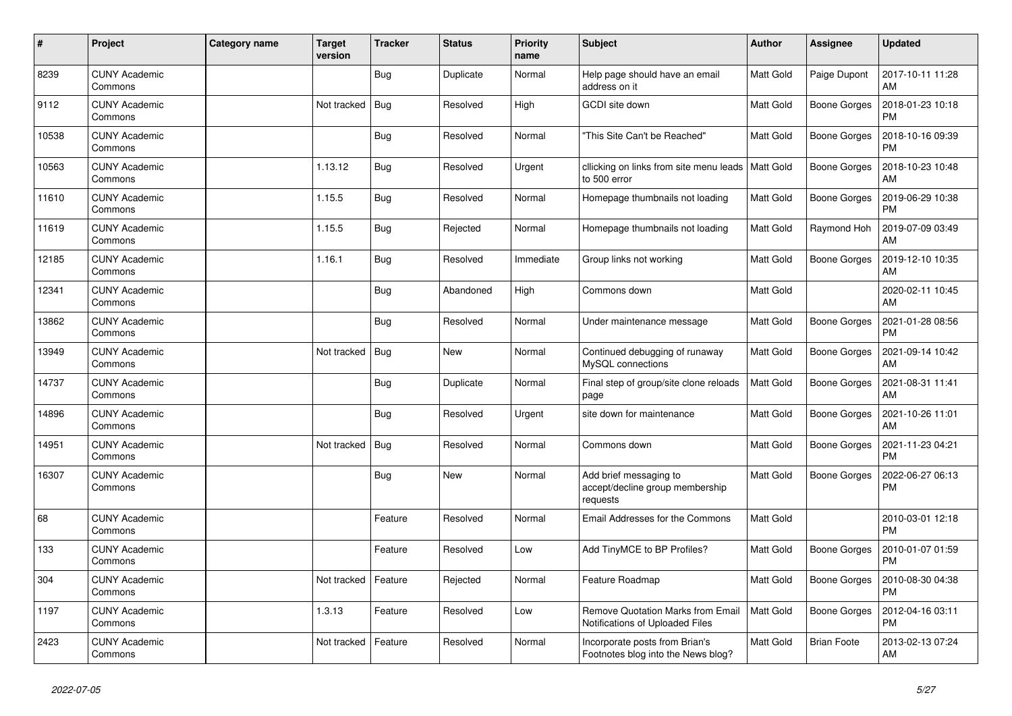| #     | Project                         | Category name | <b>Target</b><br>version | <b>Tracker</b> | <b>Status</b> | <b>Priority</b><br>name | <b>Subject</b>                                                              | <b>Author</b>    | <b>Assignee</b>     | <b>Updated</b>                |
|-------|---------------------------------|---------------|--------------------------|----------------|---------------|-------------------------|-----------------------------------------------------------------------------|------------------|---------------------|-------------------------------|
| 8239  | <b>CUNY Academic</b><br>Commons |               |                          | <b>Bug</b>     | Duplicate     | Normal                  | Help page should have an email<br>address on it                             | <b>Matt Gold</b> | Paige Dupont        | 2017-10-11 11:28<br>AM        |
| 9112  | <b>CUNY Academic</b><br>Commons |               | Not tracked              | <b>Bug</b>     | Resolved      | High                    | GCDI site down                                                              | <b>Matt Gold</b> | Boone Gorges        | 2018-01-23 10:18<br><b>PM</b> |
| 10538 | <b>CUNY Academic</b><br>Commons |               |                          | Bug            | Resolved      | Normal                  | "This Site Can't be Reached"                                                | <b>Matt Gold</b> | Boone Gorges        | 2018-10-16 09:39<br><b>PM</b> |
| 10563 | <b>CUNY Academic</b><br>Commons |               | 1.13.12                  | <b>Bug</b>     | Resolved      | Urgent                  | cllicking on links from site menu leads   Matt Gold<br>to 500 error         |                  | Boone Gorges        | 2018-10-23 10:48<br><b>AM</b> |
| 11610 | <b>CUNY Academic</b><br>Commons |               | 1.15.5                   | Bug            | Resolved      | Normal                  | Homepage thumbnails not loading                                             | <b>Matt Gold</b> | Boone Gorges        | 2019-06-29 10:38<br>PM        |
| 11619 | <b>CUNY Academic</b><br>Commons |               | 1.15.5                   | <b>Bug</b>     | Rejected      | Normal                  | Homepage thumbnails not loading                                             | <b>Matt Gold</b> | Raymond Hoh         | 2019-07-09 03:49<br>AM        |
| 12185 | <b>CUNY Academic</b><br>Commons |               | 1.16.1                   | <b>Bug</b>     | Resolved      | Immediate               | Group links not working                                                     | <b>Matt Gold</b> | Boone Gorges        | 2019-12-10 10:35<br><b>AM</b> |
| 12341 | <b>CUNY Academic</b><br>Commons |               |                          | <b>Bug</b>     | Abandoned     | High                    | Commons down                                                                | Matt Gold        |                     | 2020-02-11 10:45<br>AM        |
| 13862 | <b>CUNY Academic</b><br>Commons |               |                          | <b>Bug</b>     | Resolved      | Normal                  | Under maintenance message                                                   | <b>Matt Gold</b> | Boone Gorges        | 2021-01-28 08:56<br><b>PM</b> |
| 13949 | <b>CUNY Academic</b><br>Commons |               | Not tracked              | Bug            | <b>New</b>    | Normal                  | Continued debugging of runaway<br>MySQL connections                         | <b>Matt Gold</b> | Boone Gorges        | 2021-09-14 10:42<br>AM        |
| 14737 | <b>CUNY Academic</b><br>Commons |               |                          | <b>Bug</b>     | Duplicate     | Normal                  | Final step of group/site clone reloads<br>page                              | <b>Matt Gold</b> | Boone Gorges        | 2021-08-31 11:41<br>AM        |
| 14896 | <b>CUNY Academic</b><br>Commons |               |                          | Bug            | Resolved      | Urgent                  | site down for maintenance                                                   | Matt Gold        | <b>Boone Gorges</b> | 2021-10-26 11:01<br>AM        |
| 14951 | <b>CUNY Academic</b><br>Commons |               | Not tracked              | Bug            | Resolved      | Normal                  | Commons down                                                                | Matt Gold        | Boone Gorges        | 2021-11-23 04:21<br><b>PM</b> |
| 16307 | <b>CUNY Academic</b><br>Commons |               |                          | <b>Bug</b>     | <b>New</b>    | Normal                  | Add brief messaging to<br>accept/decline group membership<br>requests       | <b>Matt Gold</b> | Boone Gorges        | 2022-06-27 06:13<br><b>PM</b> |
| 68    | <b>CUNY Academic</b><br>Commons |               |                          | Feature        | Resolved      | Normal                  | Email Addresses for the Commons                                             | Matt Gold        |                     | 2010-03-01 12:18<br><b>PM</b> |
| 133   | <b>CUNY Academic</b><br>Commons |               |                          | Feature        | Resolved      | Low                     | Add TinyMCE to BP Profiles?                                                 | Matt Gold        | <b>Boone Gorges</b> | 2010-01-07 01:59<br><b>PM</b> |
| 304   | <b>CUNY Academic</b><br>Commons |               | Not tracked              | Feature        | Rejected      | Normal                  | Feature Roadmap                                                             | <b>Matt Gold</b> | Boone Gorges        | 2010-08-30 04:38<br><b>PM</b> |
| 1197  | <b>CUNY Academic</b><br>Commons |               | 1.3.13                   | Feature        | Resolved      | Low                     | <b>Remove Quotation Marks from Email</b><br>Notifications of Uploaded Files | <b>Matt Gold</b> | Boone Gorges        | 2012-04-16 03:11<br><b>PM</b> |
| 2423  | <b>CUNY Academic</b><br>Commons |               | Not tracked              | Feature        | Resolved      | Normal                  | Incorporate posts from Brian's<br>Footnotes blog into the News blog?        | <b>Matt Gold</b> | <b>Brian Foote</b>  | 2013-02-13 07:24<br>AM        |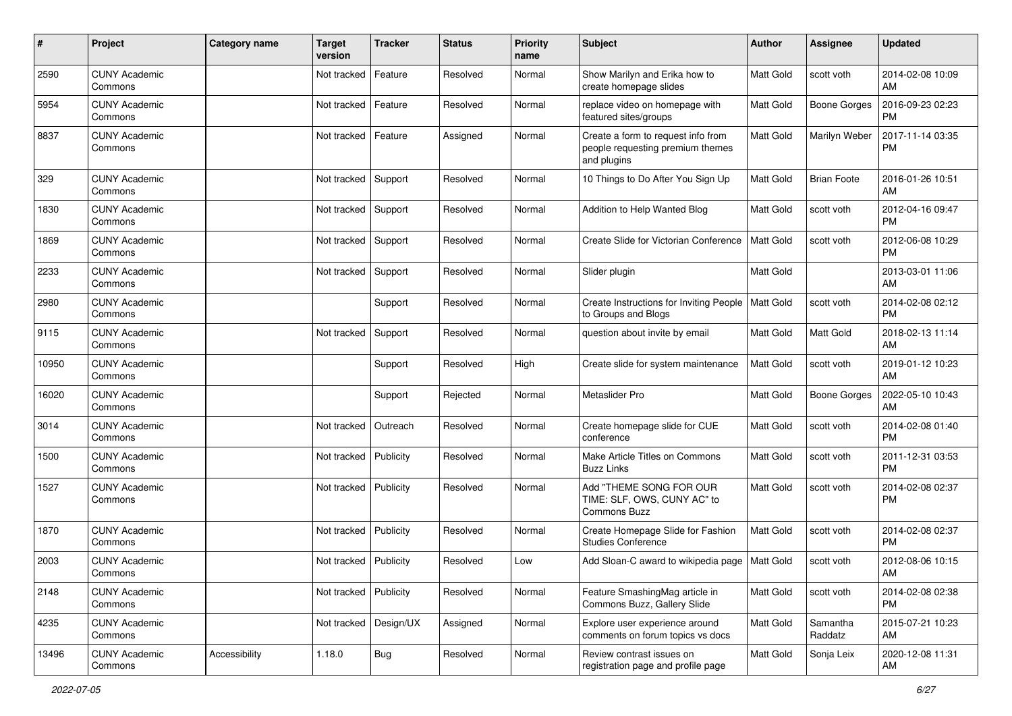| #     | Project                         | <b>Category name</b> | <b>Target</b><br>version | <b>Tracker</b> | <b>Status</b> | <b>Priority</b><br>name | <b>Subject</b>                                                                        | <b>Author</b>    | <b>Assignee</b>     | <b>Updated</b>                |
|-------|---------------------------------|----------------------|--------------------------|----------------|---------------|-------------------------|---------------------------------------------------------------------------------------|------------------|---------------------|-------------------------------|
| 2590  | <b>CUNY Academic</b><br>Commons |                      | Not tracked              | Feature        | Resolved      | Normal                  | Show Marilyn and Erika how to<br>create homepage slides                               | Matt Gold        | scott voth          | 2014-02-08 10:09<br>AM        |
| 5954  | <b>CUNY Academic</b><br>Commons |                      | Not tracked              | Feature        | Resolved      | Normal                  | replace video on homepage with<br>featured sites/groups                               | <b>Matt Gold</b> | <b>Boone Gorges</b> | 2016-09-23 02:23<br><b>PM</b> |
| 8837  | <b>CUNY Academic</b><br>Commons |                      | Not tracked              | Feature        | Assigned      | Normal                  | Create a form to request info from<br>people requesting premium themes<br>and plugins | Matt Gold        | Marilyn Weber       | 2017-11-14 03:35<br><b>PM</b> |
| 329   | <b>CUNY Academic</b><br>Commons |                      | Not tracked              | Support        | Resolved      | Normal                  | 10 Things to Do After You Sign Up                                                     | Matt Gold        | <b>Brian Foote</b>  | 2016-01-26 10:51<br>AM        |
| 1830  | <b>CUNY Academic</b><br>Commons |                      | Not tracked              | Support        | Resolved      | Normal                  | Addition to Help Wanted Blog                                                          | <b>Matt Gold</b> | scott voth          | 2012-04-16 09:47<br><b>PM</b> |
| 1869  | <b>CUNY Academic</b><br>Commons |                      | Not tracked              | Support        | Resolved      | Normal                  | Create Slide for Victorian Conference                                                 | <b>Matt Gold</b> | scott voth          | 2012-06-08 10:29<br><b>PM</b> |
| 2233  | <b>CUNY Academic</b><br>Commons |                      | Not tracked              | Support        | Resolved      | Normal                  | Slider plugin                                                                         | Matt Gold        |                     | 2013-03-01 11:06<br>AM        |
| 2980  | <b>CUNY Academic</b><br>Commons |                      |                          | Support        | Resolved      | Normal                  | Create Instructions for Inviting People<br>to Groups and Blogs                        | Matt Gold        | scott voth          | 2014-02-08 02:12<br><b>PM</b> |
| 9115  | <b>CUNY Academic</b><br>Commons |                      | Not tracked              | Support        | Resolved      | Normal                  | question about invite by email                                                        | <b>Matt Gold</b> | Matt Gold           | 2018-02-13 11:14<br>AM        |
| 10950 | <b>CUNY Academic</b><br>Commons |                      |                          | Support        | Resolved      | High                    | Create slide for system maintenance                                                   | <b>Matt Gold</b> | scott voth          | 2019-01-12 10:23<br>AM        |
| 16020 | <b>CUNY Academic</b><br>Commons |                      |                          | Support        | Rejected      | Normal                  | Metaslider Pro                                                                        | Matt Gold        | <b>Boone Gorges</b> | 2022-05-10 10:43<br>AM        |
| 3014  | <b>CUNY Academic</b><br>Commons |                      | Not tracked              | Outreach       | Resolved      | Normal                  | Create homepage slide for CUE<br>conference                                           | <b>Matt Gold</b> | scott voth          | 2014-02-08 01:40<br><b>PM</b> |
| 1500  | <b>CUNY Academic</b><br>Commons |                      | Not tracked              | Publicity      | Resolved      | Normal                  | Make Article Titles on Commons<br><b>Buzz Links</b>                                   | Matt Gold        | scott voth          | 2011-12-31 03:53<br><b>PM</b> |
| 1527  | <b>CUNY Academic</b><br>Commons |                      | Not tracked              | Publicity      | Resolved      | Normal                  | Add "THEME SONG FOR OUR<br>TIME: SLF, OWS, CUNY AC" to<br>Commons Buzz                | Matt Gold        | scott voth          | 2014-02-08 02:37<br><b>PM</b> |
| 1870  | <b>CUNY Academic</b><br>Commons |                      | Not tracked              | Publicity      | Resolved      | Normal                  | Create Homepage Slide for Fashion<br><b>Studies Conference</b>                        | <b>Matt Gold</b> | scott voth          | 2014-02-08 02:37<br><b>PM</b> |
| 2003  | <b>CUNY Academic</b><br>Commons |                      | Not tracked   Publicity  |                | Resolved      | Low                     | Add Sloan-C award to wikipedia page   Matt Gold                                       |                  | scott voth          | 2012-08-06 10:15<br>AM        |
| 2148  | <b>CUNY Academic</b><br>Commons |                      | Not tracked              | Publicity      | Resolved      | Normal                  | Feature SmashingMag article in<br>Commons Buzz, Gallery Slide                         | <b>Matt Gold</b> | scott voth          | 2014-02-08 02:38<br><b>PM</b> |
| 4235  | <b>CUNY Academic</b><br>Commons |                      | Not tracked              | Design/UX      | Assigned      | Normal                  | Explore user experience around<br>comments on forum topics vs docs                    | Matt Gold        | Samantha<br>Raddatz | 2015-07-21 10:23<br>AM        |
| 13496 | <b>CUNY Academic</b><br>Commons | Accessibility        | 1.18.0                   | <b>Bug</b>     | Resolved      | Normal                  | Review contrast issues on<br>registration page and profile page                       | Matt Gold        | Sonja Leix          | 2020-12-08 11:31<br>AM        |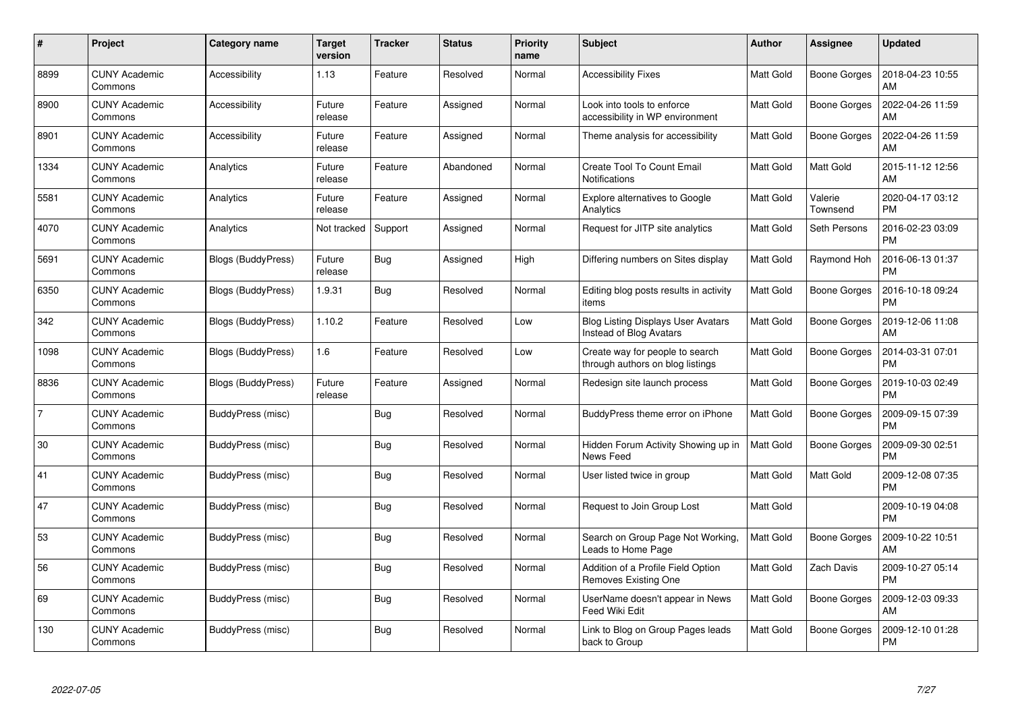| #              | Project                         | Category name      | Target<br>version | <b>Tracker</b> | <b>Status</b> | <b>Priority</b><br>name | <b>Subject</b>                                                       | <b>Author</b>    | <b>Assignee</b>     | <b>Updated</b>                |
|----------------|---------------------------------|--------------------|-------------------|----------------|---------------|-------------------------|----------------------------------------------------------------------|------------------|---------------------|-------------------------------|
| 8899           | <b>CUNY Academic</b><br>Commons | Accessibility      | 1.13              | Feature        | Resolved      | Normal                  | <b>Accessibility Fixes</b>                                           | <b>Matt Gold</b> | Boone Gorges        | 2018-04-23 10:55<br>AM        |
| 8900           | <b>CUNY Academic</b><br>Commons | Accessibility      | Future<br>release | Feature        | Assigned      | Normal                  | Look into tools to enforce<br>accessibility in WP environment        | <b>Matt Gold</b> | <b>Boone Gorges</b> | 2022-04-26 11:59<br>AM        |
| 8901           | <b>CUNY Academic</b><br>Commons | Accessibility      | Future<br>release | Feature        | Assigned      | Normal                  | Theme analysis for accessibility                                     | <b>Matt Gold</b> | Boone Gorges        | 2022-04-26 11:59<br>AM        |
| 1334           | <b>CUNY Academic</b><br>Commons | Analytics          | Future<br>release | Feature        | Abandoned     | Normal                  | Create Tool To Count Email<br><b>Notifications</b>                   | <b>Matt Gold</b> | Matt Gold           | 2015-11-12 12:56<br>AM        |
| 5581           | <b>CUNY Academic</b><br>Commons | Analytics          | Future<br>release | Feature        | Assigned      | Normal                  | Explore alternatives to Google<br>Analytics                          | <b>Matt Gold</b> | Valerie<br>Townsend | 2020-04-17 03:12<br><b>PM</b> |
| 4070           | <b>CUNY Academic</b><br>Commons | Analytics          | Not tracked       | Support        | Assigned      | Normal                  | Request for JITP site analytics                                      | Matt Gold        | Seth Persons        | 2016-02-23 03:09<br><b>PM</b> |
| 5691           | <b>CUNY Academic</b><br>Commons | Blogs (BuddyPress) | Future<br>release | Bug            | Assigned      | High                    | Differing numbers on Sites display                                   | <b>Matt Gold</b> | Raymond Hoh         | 2016-06-13 01:37<br><b>PM</b> |
| 6350           | <b>CUNY Academic</b><br>Commons | Blogs (BuddyPress) | 1.9.31            | Bug            | Resolved      | Normal                  | Editing blog posts results in activity<br>items                      | Matt Gold        | Boone Gorges        | 2016-10-18 09:24<br><b>PM</b> |
| 342            | <b>CUNY Academic</b><br>Commons | Blogs (BuddyPress) | 1.10.2            | Feature        | Resolved      | Low                     | <b>Blog Listing Displays User Avatars</b><br>Instead of Blog Avatars | <b>Matt Gold</b> | <b>Boone Gorges</b> | 2019-12-06 11:08<br>AM        |
| 1098           | <b>CUNY Academic</b><br>Commons | Blogs (BuddyPress) | 1.6               | Feature        | Resolved      | Low                     | Create way for people to search<br>through authors on blog listings  | Matt Gold        | Boone Gorges        | 2014-03-31 07:01<br><b>PM</b> |
| 8836           | <b>CUNY Academic</b><br>Commons | Blogs (BuddyPress) | Future<br>release | Feature        | Assigned      | Normal                  | Redesign site launch process                                         | <b>Matt Gold</b> | Boone Gorges        | 2019-10-03 02:49<br><b>PM</b> |
| $\overline{7}$ | <b>CUNY Academic</b><br>Commons | BuddyPress (misc)  |                   | Bug            | Resolved      | Normal                  | BuddyPress theme error on iPhone                                     | Matt Gold        | Boone Gorges        | 2009-09-15 07:39<br><b>PM</b> |
| 30             | <b>CUNY Academic</b><br>Commons | BuddyPress (misc)  |                   | <b>Bug</b>     | Resolved      | Normal                  | Hidden Forum Activity Showing up in<br>News Feed                     | <b>Matt Gold</b> | <b>Boone Gorges</b> | 2009-09-30 02:51<br><b>PM</b> |
| 41             | <b>CUNY Academic</b><br>Commons | BuddyPress (misc)  |                   | Bug            | Resolved      | Normal                  | User listed twice in group                                           | <b>Matt Gold</b> | Matt Gold           | 2009-12-08 07:35<br><b>PM</b> |
| 47             | <b>CUNY Academic</b><br>Commons | BuddyPress (misc)  |                   | Bug            | Resolved      | Normal                  | Request to Join Group Lost                                           | Matt Gold        |                     | 2009-10-19 04:08<br><b>PM</b> |
| 53             | <b>CUNY Academic</b><br>Commons | BuddyPress (misc)  |                   | Bug            | Resolved      | Normal                  | Search on Group Page Not Working,<br>Leads to Home Page              | <b>Matt Gold</b> | <b>Boone Gorges</b> | 2009-10-22 10:51<br>AM        |
| 56             | <b>CUNY Academic</b><br>Commons | BuddyPress (misc)  |                   | <b>Bug</b>     | Resolved      | Normal                  | Addition of a Profile Field Option<br>Removes Existing One           | <b>Matt Gold</b> | Zach Davis          | 2009-10-27 05:14<br><b>PM</b> |
| 69             | <b>CUNY Academic</b><br>Commons | BuddyPress (misc)  |                   | Bug            | Resolved      | Normal                  | UserName doesn't appear in News<br>Feed Wiki Edit                    | Matt Gold        | Boone Gorges        | 2009-12-03 09:33<br>AM        |
| 130            | CUNY Academic<br>Commons        | BuddyPress (misc)  |                   | <b>Bug</b>     | Resolved      | Normal                  | Link to Blog on Group Pages leads<br>back to Group                   | Matt Gold        | Boone Gorges        | 2009-12-10 01:28<br><b>PM</b> |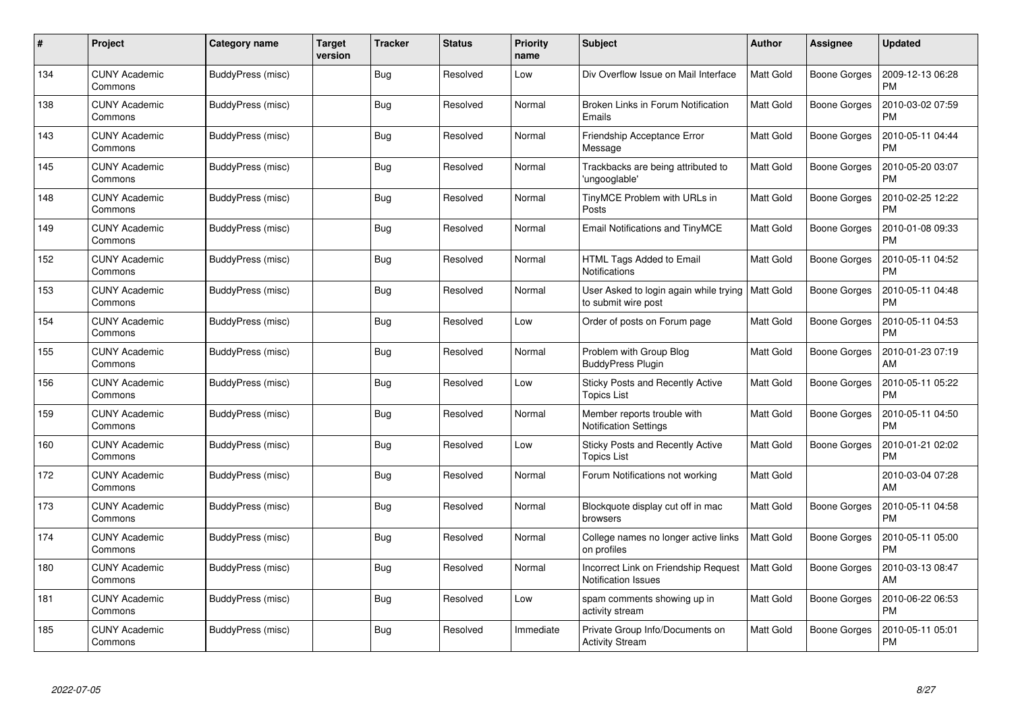| #   | Project                         | <b>Category name</b> | <b>Target</b><br>version | <b>Tracker</b> | <b>Status</b> | <b>Priority</b><br>name | <b>Subject</b>                                                     | <b>Author</b>    | <b>Assignee</b>     | <b>Updated</b>                |
|-----|---------------------------------|----------------------|--------------------------|----------------|---------------|-------------------------|--------------------------------------------------------------------|------------------|---------------------|-------------------------------|
| 134 | <b>CUNY Academic</b><br>Commons | BuddyPress (misc)    |                          | Bug            | Resolved      | Low                     | Div Overflow Issue on Mail Interface                               | <b>Matt Gold</b> | Boone Gorges        | 2009-12-13 06:28<br><b>PM</b> |
| 138 | <b>CUNY Academic</b><br>Commons | BuddyPress (misc)    |                          | <b>Bug</b>     | Resolved      | Normal                  | Broken Links in Forum Notification<br>Emails                       | <b>Matt Gold</b> | Boone Gorges        | 2010-03-02 07:59<br><b>PM</b> |
| 143 | <b>CUNY Academic</b><br>Commons | BuddyPress (misc)    |                          | Bug            | Resolved      | Normal                  | Friendship Acceptance Error<br>Message                             | Matt Gold        | Boone Gorges        | 2010-05-11 04:44<br><b>PM</b> |
| 145 | CUNY Academic<br>Commons        | BuddyPress (misc)    |                          | Bug            | Resolved      | Normal                  | Trackbacks are being attributed to<br>'ungooglable'                | <b>Matt Gold</b> | Boone Gorges        | 2010-05-20 03:07<br><b>PM</b> |
| 148 | <b>CUNY Academic</b><br>Commons | BuddyPress (misc)    |                          | <b>Bug</b>     | Resolved      | Normal                  | TinyMCE Problem with URLs in<br>Posts                              | <b>Matt Gold</b> | <b>Boone Gorges</b> | 2010-02-25 12:22<br><b>PM</b> |
| 149 | <b>CUNY Academic</b><br>Commons | BuddyPress (misc)    |                          | Bug            | Resolved      | Normal                  | <b>Email Notifications and TinyMCE</b>                             | <b>Matt Gold</b> | <b>Boone Gorges</b> | 2010-01-08 09:33<br><b>PM</b> |
| 152 | <b>CUNY Academic</b><br>Commons | BuddyPress (misc)    |                          | <b>Bug</b>     | Resolved      | Normal                  | HTML Tags Added to Email<br>Notifications                          | Matt Gold        | Boone Gorges        | 2010-05-11 04:52<br><b>PM</b> |
| 153 | <b>CUNY Academic</b><br>Commons | BuddyPress (misc)    |                          | <b>Bug</b>     | Resolved      | Normal                  | User Asked to login again while trying<br>to submit wire post      | <b>Matt Gold</b> | <b>Boone Gorges</b> | 2010-05-11 04:48<br><b>PM</b> |
| 154 | <b>CUNY Academic</b><br>Commons | BuddyPress (misc)    |                          | <b>Bug</b>     | Resolved      | Low                     | Order of posts on Forum page                                       | <b>Matt Gold</b> | Boone Gorges        | 2010-05-11 04:53<br><b>PM</b> |
| 155 | <b>CUNY Academic</b><br>Commons | BuddyPress (misc)    |                          | <b>Bug</b>     | Resolved      | Normal                  | Problem with Group Blog<br><b>BuddyPress Plugin</b>                | <b>Matt Gold</b> | Boone Gorges        | 2010-01-23 07:19<br>AM        |
| 156 | <b>CUNY Academic</b><br>Commons | BuddyPress (misc)    |                          | Bug            | Resolved      | Low                     | <b>Sticky Posts and Recently Active</b><br><b>Topics List</b>      | <b>Matt Gold</b> | <b>Boone Gorges</b> | 2010-05-11 05:22<br><b>PM</b> |
| 159 | <b>CUNY Academic</b><br>Commons | BuddyPress (misc)    |                          | Bug            | Resolved      | Normal                  | Member reports trouble with<br><b>Notification Settings</b>        | <b>Matt Gold</b> | Boone Gorges        | 2010-05-11 04:50<br><b>PM</b> |
| 160 | <b>CUNY Academic</b><br>Commons | BuddyPress (misc)    |                          | Bug            | Resolved      | Low                     | <b>Sticky Posts and Recently Active</b><br><b>Topics List</b>      | <b>Matt Gold</b> | Boone Gorges        | 2010-01-21 02:02<br><b>PM</b> |
| 172 | <b>CUNY Academic</b><br>Commons | BuddyPress (misc)    |                          | Bug            | Resolved      | Normal                  | Forum Notifications not working                                    | Matt Gold        |                     | 2010-03-04 07:28<br>AM        |
| 173 | <b>CUNY Academic</b><br>Commons | BuddyPress (misc)    |                          | <b>Bug</b>     | Resolved      | Normal                  | Blockquote display cut off in mac<br>browsers                      | <b>Matt Gold</b> | <b>Boone Gorges</b> | 2010-05-11 04:58<br><b>PM</b> |
| 174 | <b>CUNY Academic</b><br>Commons | BuddyPress (misc)    |                          | Bug            | Resolved      | Normal                  | College names no longer active links<br>on profiles                | <b>Matt Gold</b> | Boone Gorges        | 2010-05-11 05:00<br><b>PM</b> |
| 180 | <b>CUNY Academic</b><br>Commons | BuddyPress (misc)    |                          | <b>Bug</b>     | Resolved      | Normal                  | Incorrect Link on Friendship Request<br><b>Notification Issues</b> | Matt Gold        | <b>Boone Gorges</b> | 2010-03-13 08:47<br>AM        |
| 181 | <b>CUNY Academic</b><br>Commons | BuddyPress (misc)    |                          | Bug            | Resolved      | Low                     | spam comments showing up in<br>activity stream                     | <b>Matt Gold</b> | Boone Gorges        | 2010-06-22 06:53<br><b>PM</b> |
| 185 | <b>CUNY Academic</b><br>Commons | BuddyPress (misc)    |                          | <b>Bug</b>     | Resolved      | Immediate               | Private Group Info/Documents on<br><b>Activity Stream</b>          | Matt Gold        | Boone Gorges        | 2010-05-11 05:01<br>PM        |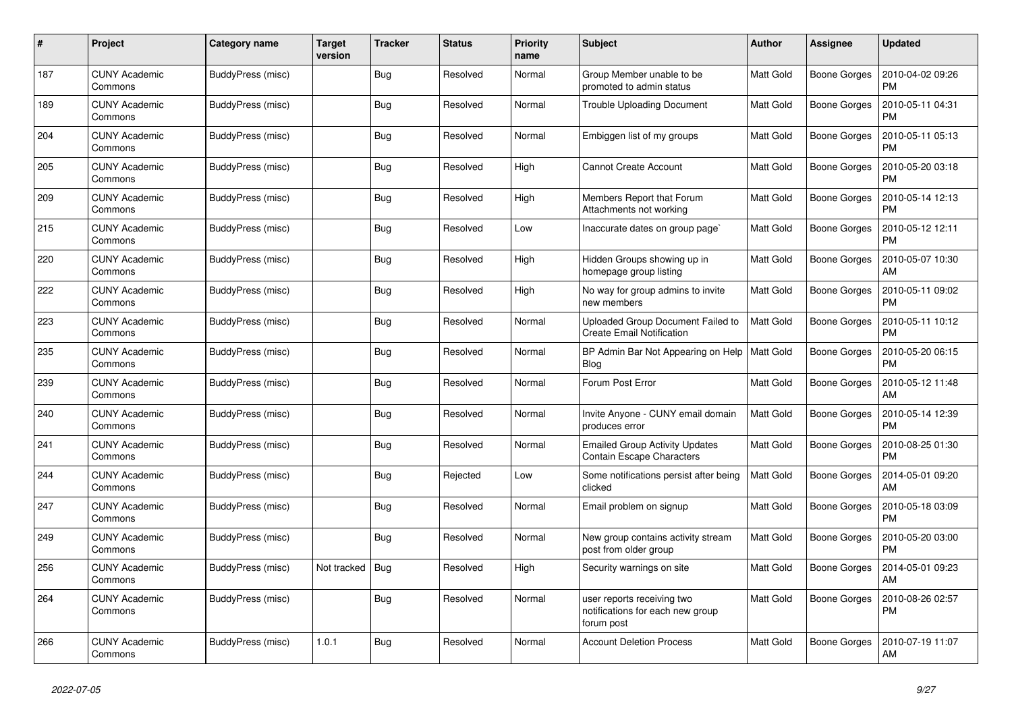| #   | Project                         | Category name     | Target<br>version | <b>Tracker</b> | <b>Status</b> | <b>Priority</b><br>name | <b>Subject</b>                                                               | <b>Author</b>    | <b>Assignee</b>     | <b>Updated</b>                |
|-----|---------------------------------|-------------------|-------------------|----------------|---------------|-------------------------|------------------------------------------------------------------------------|------------------|---------------------|-------------------------------|
| 187 | <b>CUNY Academic</b><br>Commons | BuddyPress (misc) |                   | <b>Bug</b>     | Resolved      | Normal                  | Group Member unable to be<br>promoted to admin status                        | <b>Matt Gold</b> | Boone Gorges        | 2010-04-02 09:26<br><b>PM</b> |
| 189 | <b>CUNY Academic</b><br>Commons | BuddyPress (misc) |                   | Bug            | Resolved      | Normal                  | Trouble Uploading Document                                                   | <b>Matt Gold</b> | Boone Gorges        | 2010-05-11 04:31<br><b>PM</b> |
| 204 | <b>CUNY Academic</b><br>Commons | BuddyPress (misc) |                   | <b>Bug</b>     | Resolved      | Normal                  | Embiggen list of my groups                                                   | <b>Matt Gold</b> | Boone Gorges        | 2010-05-11 05:13<br><b>PM</b> |
| 205 | <b>CUNY Academic</b><br>Commons | BuddyPress (misc) |                   | <b>Bug</b>     | Resolved      | High                    | <b>Cannot Create Account</b>                                                 | <b>Matt Gold</b> | <b>Boone Gorges</b> | 2010-05-20 03:18<br><b>PM</b> |
| 209 | <b>CUNY Academic</b><br>Commons | BuddyPress (misc) |                   | Bug            | Resolved      | High                    | Members Report that Forum<br>Attachments not working                         | <b>Matt Gold</b> | <b>Boone Gorges</b> | 2010-05-14 12:13<br>PM        |
| 215 | <b>CUNY Academic</b><br>Commons | BuddyPress (misc) |                   | <b>Bug</b>     | Resolved      | Low                     | Inaccurate dates on group page`                                              | <b>Matt Gold</b> | Boone Gorges        | 2010-05-12 12:11<br><b>PM</b> |
| 220 | <b>CUNY Academic</b><br>Commons | BuddyPress (misc) |                   | <b>Bug</b>     | Resolved      | High                    | Hidden Groups showing up in<br>homepage group listing                        | <b>Matt Gold</b> | Boone Gorges        | 2010-05-07 10:30<br>AM        |
| 222 | <b>CUNY Academic</b><br>Commons | BuddyPress (misc) |                   | Bug            | Resolved      | High                    | No way for group admins to invite<br>new members                             | <b>Matt Gold</b> | Boone Gorges        | 2010-05-11 09:02<br>PM        |
| 223 | <b>CUNY Academic</b><br>Commons | BuddyPress (misc) |                   | <b>Bug</b>     | Resolved      | Normal                  | Uploaded Group Document Failed to<br><b>Create Email Notification</b>        | <b>Matt Gold</b> | Boone Gorges        | 2010-05-11 10:12<br><b>PM</b> |
| 235 | <b>CUNY Academic</b><br>Commons | BuddyPress (misc) |                   | <b>Bug</b>     | Resolved      | Normal                  | BP Admin Bar Not Appearing on Help<br>Blog                                   | <b>Matt Gold</b> | Boone Gorges        | 2010-05-20 06:15<br><b>PM</b> |
| 239 | <b>CUNY Academic</b><br>Commons | BuddyPress (misc) |                   | Bug            | Resolved      | Normal                  | Forum Post Error                                                             | Matt Gold        | Boone Gorges        | 2010-05-12 11:48<br>AM        |
| 240 | <b>CUNY Academic</b><br>Commons | BuddyPress (misc) |                   | <b>Bug</b>     | Resolved      | Normal                  | Invite Anyone - CUNY email domain<br>produces error                          | <b>Matt Gold</b> | Boone Gorges        | 2010-05-14 12:39<br><b>PM</b> |
| 241 | <b>CUNY Academic</b><br>Commons | BuddyPress (misc) |                   | <b>Bug</b>     | Resolved      | Normal                  | <b>Emailed Group Activity Updates</b><br><b>Contain Escape Characters</b>    | <b>Matt Gold</b> | Boone Gorges        | 2010-08-25 01:30<br><b>PM</b> |
| 244 | <b>CUNY Academic</b><br>Commons | BuddyPress (misc) |                   | <b>Bug</b>     | Rejected      | Low                     | Some notifications persist after being<br>clicked                            | <b>Matt Gold</b> | Boone Gorges        | 2014-05-01 09:20<br>AM        |
| 247 | <b>CUNY Academic</b><br>Commons | BuddyPress (misc) |                   | Bug            | Resolved      | Normal                  | Email problem on signup                                                      | <b>Matt Gold</b> | Boone Gorges        | 2010-05-18 03:09<br><b>PM</b> |
| 249 | <b>CUNY Academic</b><br>Commons | BuddyPress (misc) |                   | Bug            | Resolved      | Normal                  | New group contains activity stream<br>post from older group                  | <b>Matt Gold</b> | Boone Gorges        | 2010-05-20 03:00<br><b>PM</b> |
| 256 | <b>CUNY Academic</b><br>Commons | BuddyPress (misc) | Not tracked       | Bug            | Resolved      | High                    | Security warnings on site                                                    | <b>Matt Gold</b> | Boone Gorges        | 2014-05-01 09:23<br>AM        |
| 264 | <b>CUNY Academic</b><br>Commons | BuddyPress (misc) |                   | Bug            | Resolved      | Normal                  | user reports receiving two<br>notifications for each new group<br>forum post | <b>Matt Gold</b> | Boone Gorges        | 2010-08-26 02:57<br><b>PM</b> |
| 266 | <b>CUNY Academic</b><br>Commons | BuddyPress (misc) | 1.0.1             | Bug            | Resolved      | Normal                  | <b>Account Deletion Process</b>                                              | <b>Matt Gold</b> | <b>Boone Gorges</b> | 2010-07-19 11:07<br>AM        |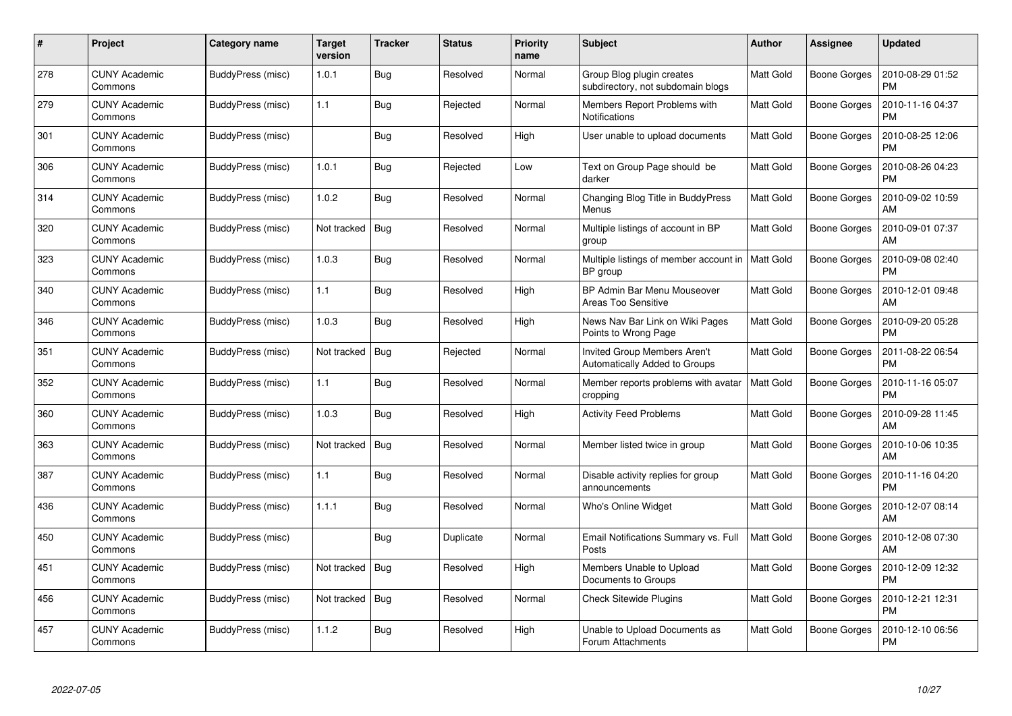| #   | Project                         | Category name     | Target<br>version | <b>Tracker</b> | <b>Status</b> | <b>Priority</b><br>name | <b>Subject</b>                                                       | <b>Author</b>    | Assignee            | <b>Updated</b>                |
|-----|---------------------------------|-------------------|-------------------|----------------|---------------|-------------------------|----------------------------------------------------------------------|------------------|---------------------|-------------------------------|
| 278 | <b>CUNY Academic</b><br>Commons | BuddyPress (misc) | 1.0.1             | Bug            | Resolved      | Normal                  | Group Blog plugin creates<br>subdirectory, not subdomain blogs       | <b>Matt Gold</b> | <b>Boone Gorges</b> | 2010-08-29 01:52<br><b>PM</b> |
| 279 | <b>CUNY Academic</b><br>Commons | BuddyPress (misc) | 1.1               | Bug            | Rejected      | Normal                  | Members Report Problems with<br>Notifications                        | Matt Gold        | <b>Boone Gorges</b> | 2010-11-16 04:37<br><b>PM</b> |
| 301 | <b>CUNY Academic</b><br>Commons | BuddyPress (misc) |                   | Bug            | Resolved      | High                    | User unable to upload documents                                      | <b>Matt Gold</b> | <b>Boone Gorges</b> | 2010-08-25 12:06<br><b>PM</b> |
| 306 | <b>CUNY Academic</b><br>Commons | BuddyPress (misc) | 1.0.1             | <b>Bug</b>     | Rejected      | Low                     | Text on Group Page should be<br>darker                               | <b>Matt Gold</b> | Boone Gorges        | 2010-08-26 04:23<br><b>PM</b> |
| 314 | <b>CUNY Academic</b><br>Commons | BuddyPress (misc) | 1.0.2             | Bug            | Resolved      | Normal                  | Changing Blog Title in BuddyPress<br>Menus                           | <b>Matt Gold</b> | Boone Gorges        | 2010-09-02 10:59<br>AM        |
| 320 | <b>CUNY Academic</b><br>Commons | BuddyPress (misc) | Not tracked       | Bug            | Resolved      | Normal                  | Multiple listings of account in BP<br>group                          | Matt Gold        | Boone Gorges        | 2010-09-01 07:37<br>AM        |
| 323 | <b>CUNY Academic</b><br>Commons | BuddyPress (misc) | 1.0.3             | Bug            | Resolved      | Normal                  | Multiple listings of member account in<br>BP group                   | <b>Matt Gold</b> | <b>Boone Gorges</b> | 2010-09-08 02:40<br><b>PM</b> |
| 340 | <b>CUNY Academic</b><br>Commons | BuddyPress (misc) | 1.1               | <b>Bug</b>     | Resolved      | High                    | BP Admin Bar Menu Mouseover<br>Areas Too Sensitive                   | <b>Matt Gold</b> | Boone Gorges        | 2010-12-01 09:48<br>AM        |
| 346 | <b>CUNY Academic</b><br>Commons | BuddyPress (misc) | 1.0.3             | <b>Bug</b>     | Resolved      | High                    | News Nav Bar Link on Wiki Pages<br>Points to Wrong Page              | <b>Matt Gold</b> | <b>Boone Gorges</b> | 2010-09-20 05:28<br><b>PM</b> |
| 351 | <b>CUNY Academic</b><br>Commons | BuddyPress (misc) | Not tracked       | <b>Bug</b>     | Rejected      | Normal                  | Invited Group Members Aren't<br><b>Automatically Added to Groups</b> | Matt Gold        | Boone Gorges        | 2011-08-22 06:54<br><b>PM</b> |
| 352 | <b>CUNY Academic</b><br>Commons | BuddyPress (misc) | 1.1               | <b>Bug</b>     | Resolved      | Normal                  | Member reports problems with avatar<br>cropping                      | <b>Matt Gold</b> | <b>Boone Gorges</b> | 2010-11-16 05:07<br><b>PM</b> |
| 360 | <b>CUNY Academic</b><br>Commons | BuddyPress (misc) | 1.0.3             | <b>Bug</b>     | Resolved      | High                    | <b>Activity Feed Problems</b>                                        | <b>Matt Gold</b> | Boone Gorges        | 2010-09-28 11:45<br>AM        |
| 363 | <b>CUNY Academic</b><br>Commons | BuddyPress (misc) | Not tracked       | Bug            | Resolved      | Normal                  | Member listed twice in group                                         | <b>Matt Gold</b> | <b>Boone Gorges</b> | 2010-10-06 10:35<br>AM        |
| 387 | <b>CUNY Academic</b><br>Commons | BuddyPress (misc) | 1.1               | Bug            | Resolved      | Normal                  | Disable activity replies for group<br>announcements                  | Matt Gold        | Boone Gorges        | 2010-11-16 04:20<br><b>PM</b> |
| 436 | <b>CUNY Academic</b><br>Commons | BuddyPress (misc) | 1.1.1             | Bug            | Resolved      | Normal                  | Who's Online Widget                                                  | <b>Matt Gold</b> | Boone Gorges        | 2010-12-07 08:14<br>AM        |
| 450 | <b>CUNY Academic</b><br>Commons | BuddyPress (misc) |                   | Bug            | Duplicate     | Normal                  | Email Notifications Summary vs. Full<br>Posts                        | <b>Matt Gold</b> | Boone Gorges        | 2010-12-08 07:30<br>AM        |
| 451 | <b>CUNY Academic</b><br>Commons | BuddyPress (misc) | Not tracked       | <b>Bug</b>     | Resolved      | High                    | Members Unable to Upload<br>Documents to Groups                      | <b>Matt Gold</b> | Boone Gorges        | 2010-12-09 12:32<br><b>PM</b> |
| 456 | <b>CUNY Academic</b><br>Commons | BuddyPress (misc) | Not tracked       | Bug            | Resolved      | Normal                  | <b>Check Sitewide Plugins</b>                                        | <b>Matt Gold</b> | Boone Gorges        | 2010-12-21 12:31<br><b>PM</b> |
| 457 | <b>CUNY Academic</b><br>Commons | BuddyPress (misc) | 1.1.2             | <b>Bug</b>     | Resolved      | High                    | Unable to Upload Documents as<br>Forum Attachments                   | <b>Matt Gold</b> | <b>Boone Gorges</b> | 2010-12-10 06:56<br>PM        |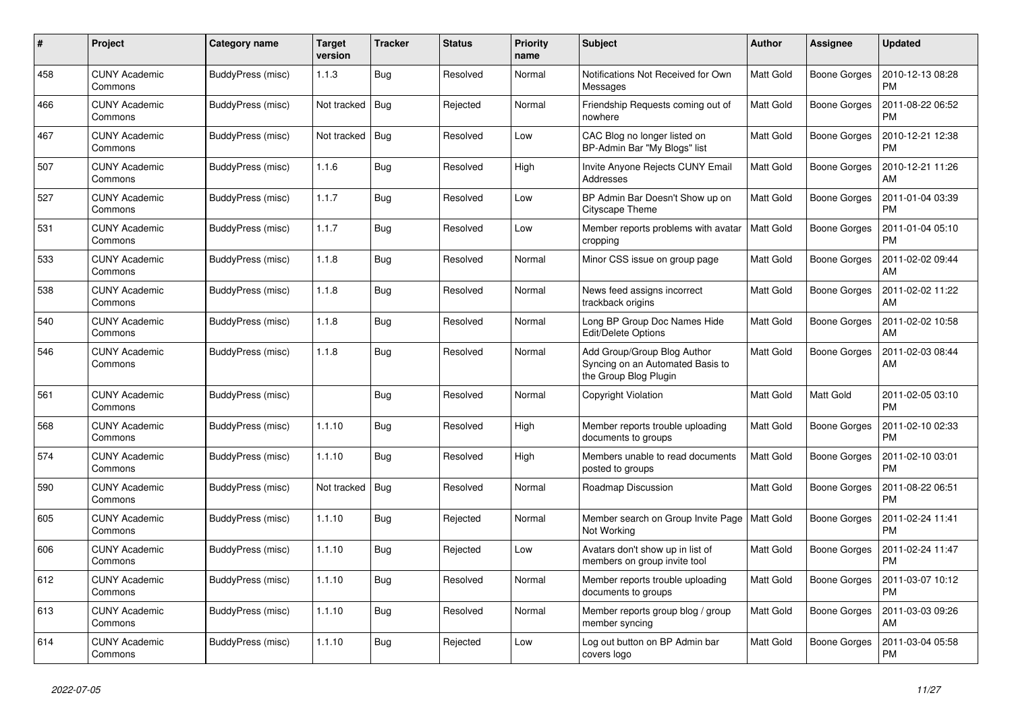| #   | <b>Project</b>                  | Category name     | Target<br>version | <b>Tracker</b> | <b>Status</b> | <b>Priority</b><br>name | <b>Subject</b>                                                                           | Author           | <b>Assignee</b>     | <b>Updated</b>                |
|-----|---------------------------------|-------------------|-------------------|----------------|---------------|-------------------------|------------------------------------------------------------------------------------------|------------------|---------------------|-------------------------------|
| 458 | <b>CUNY Academic</b><br>Commons | BuddyPress (misc) | 1.1.3             | <b>Bug</b>     | Resolved      | Normal                  | Notifications Not Received for Own<br>Messages                                           | <b>Matt Gold</b> | Boone Gorges        | 2010-12-13 08:28<br><b>PM</b> |
| 466 | <b>CUNY Academic</b><br>Commons | BuddyPress (misc) | Not tracked       | Bug            | Rejected      | Normal                  | Friendship Requests coming out of<br>nowhere                                             | <b>Matt Gold</b> | Boone Gorges        | 2011-08-22 06:52<br><b>PM</b> |
| 467 | <b>CUNY Academic</b><br>Commons | BuddyPress (misc) | Not tracked       | Bug            | Resolved      | Low                     | CAC Blog no longer listed on<br>BP-Admin Bar "My Blogs" list                             | <b>Matt Gold</b> | Boone Gorges        | 2010-12-21 12:38<br><b>PM</b> |
| 507 | <b>CUNY Academic</b><br>Commons | BuddyPress (misc) | 1.1.6             | <b>Bug</b>     | Resolved      | High                    | Invite Anyone Rejects CUNY Email<br>Addresses                                            | <b>Matt Gold</b> | <b>Boone Gorges</b> | 2010-12-21 11:26<br>AM        |
| 527 | <b>CUNY Academic</b><br>Commons | BuddyPress (misc) | 1.1.7             | Bug            | Resolved      | Low                     | BP Admin Bar Doesn't Show up on<br>Cityscape Theme                                       | <b>Matt Gold</b> | Boone Gorges        | 2011-01-04 03:39<br>PM        |
| 531 | <b>CUNY Academic</b><br>Commons | BuddyPress (misc) | 1.1.7             | <b>Bug</b>     | Resolved      | Low                     | Member reports problems with avatar<br>cropping                                          | <b>Matt Gold</b> | Boone Gorges        | 2011-01-04 05:10<br><b>PM</b> |
| 533 | <b>CUNY Academic</b><br>Commons | BuddyPress (misc) | 1.1.8             | Bug            | Resolved      | Normal                  | Minor CSS issue on group page                                                            | <b>Matt Gold</b> | Boone Gorges        | 2011-02-02 09:44<br>AM        |
| 538 | <b>CUNY Academic</b><br>Commons | BuddyPress (misc) | 1.1.8             | Bug            | Resolved      | Normal                  | News feed assigns incorrect<br>trackback origins                                         | <b>Matt Gold</b> | Boone Gorges        | 2011-02-02 11:22<br>AM        |
| 540 | <b>CUNY Academic</b><br>Commons | BuddyPress (misc) | 1.1.8             | Bug            | Resolved      | Normal                  | Long BP Group Doc Names Hide<br><b>Edit/Delete Options</b>                               | Matt Gold        | Boone Gorges        | 2011-02-02 10:58<br>AM        |
| 546 | <b>CUNY Academic</b><br>Commons | BuddyPress (misc) | 1.1.8             | Bug            | Resolved      | Normal                  | Add Group/Group Blog Author<br>Syncing on an Automated Basis to<br>the Group Blog Plugin | <b>Matt Gold</b> | Boone Gorges        | 2011-02-03 08:44<br>AM        |
| 561 | <b>CUNY Academic</b><br>Commons | BuddyPress (misc) |                   | Bug            | Resolved      | Normal                  | Copyright Violation                                                                      | <b>Matt Gold</b> | Matt Gold           | 2011-02-05 03:10<br><b>PM</b> |
| 568 | <b>CUNY Academic</b><br>Commons | BuddyPress (misc) | 1.1.10            | Bug            | Resolved      | High                    | Member reports trouble uploading<br>documents to groups                                  | <b>Matt Gold</b> | Boone Gorges        | 2011-02-10 02:33<br><b>PM</b> |
| 574 | <b>CUNY Academic</b><br>Commons | BuddyPress (misc) | 1.1.10            | Bug            | Resolved      | High                    | Members unable to read documents<br>posted to groups                                     | <b>Matt Gold</b> | Boone Gorges        | 2011-02-10 03:01<br><b>PM</b> |
| 590 | <b>CUNY Academic</b><br>Commons | BuddyPress (misc) | Not tracked       | Bug            | Resolved      | Normal                  | Roadmap Discussion                                                                       | <b>Matt Gold</b> | Boone Gorges        | 2011-08-22 06:51<br><b>PM</b> |
| 605 | <b>CUNY Academic</b><br>Commons | BuddyPress (misc) | 1.1.10            | <b>Bug</b>     | Rejected      | Normal                  | Member search on Group Invite Page<br>Not Working                                        | <b>Matt Gold</b> | <b>Boone Gorges</b> | 2011-02-24 11:41<br><b>PM</b> |
| 606 | <b>CUNY Academic</b><br>Commons | BuddyPress (misc) | 1.1.10            | Bug            | Rejected      | Low                     | Avatars don't show up in list of<br>members on group invite tool                         | <b>Matt Gold</b> | <b>Boone Gorges</b> | 2011-02-24 11:47<br><b>PM</b> |
| 612 | <b>CUNY Academic</b><br>Commons | BuddyPress (misc) | 1.1.10            | <b>Bug</b>     | Resolved      | Normal                  | Member reports trouble uploading<br>documents to groups                                  | <b>Matt Gold</b> | Boone Gorges        | 2011-03-07 10:12<br><b>PM</b> |
| 613 | <b>CUNY Academic</b><br>Commons | BuddyPress (misc) | 1.1.10            | <b>Bug</b>     | Resolved      | Normal                  | Member reports group blog / group<br>member syncing                                      | <b>Matt Gold</b> | <b>Boone Gorges</b> | 2011-03-03 09:26<br>AM        |
| 614 | <b>CUNY Academic</b><br>Commons | BuddyPress (misc) | 1.1.10            | Bug            | Rejected      | Low                     | Log out button on BP Admin bar<br>covers logo                                            | <b>Matt Gold</b> | Boone Gorges        | 2011-03-04 05:58<br><b>PM</b> |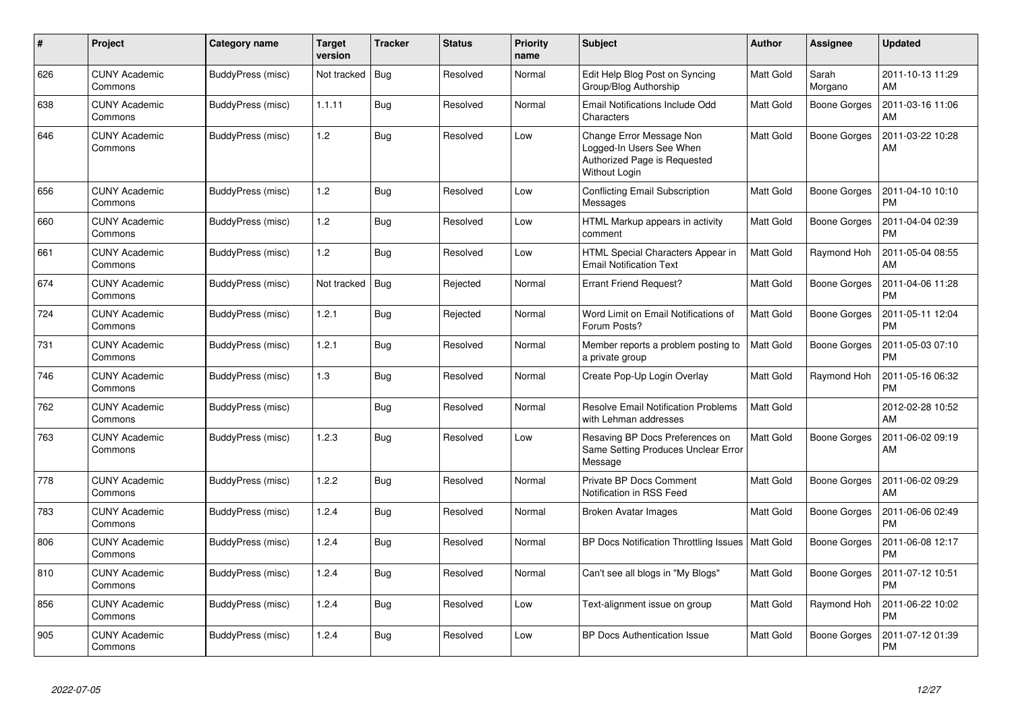| $\#$ | <b>Project</b>                  | Category name     | <b>Target</b><br>version | <b>Tracker</b> | <b>Status</b> | <b>Priority</b><br>name | <b>Subject</b>                                                                                        | Author           | Assignee            | <b>Updated</b>                |
|------|---------------------------------|-------------------|--------------------------|----------------|---------------|-------------------------|-------------------------------------------------------------------------------------------------------|------------------|---------------------|-------------------------------|
| 626  | <b>CUNY Academic</b><br>Commons | BuddyPress (misc) | Not tracked              | <b>Bug</b>     | Resolved      | Normal                  | Edit Help Blog Post on Syncing<br>Group/Blog Authorship                                               | Matt Gold        | Sarah<br>Morgano    | 2011-10-13 11:29<br>AM        |
| 638  | <b>CUNY Academic</b><br>Commons | BuddyPress (misc) | 1.1.11                   | <b>Bug</b>     | Resolved      | Normal                  | Email Notifications Include Odd<br>Characters                                                         | Matt Gold        | <b>Boone Gorges</b> | 2011-03-16 11:06<br>AM        |
| 646  | <b>CUNY Academic</b><br>Commons | BuddyPress (misc) | 1.2                      | <b>Bug</b>     | Resolved      | Low                     | Change Error Message Non<br>Logged-In Users See When<br>Authorized Page is Requested<br>Without Login | Matt Gold        | <b>Boone Gorges</b> | 2011-03-22 10:28<br>AM        |
| 656  | <b>CUNY Academic</b><br>Commons | BuddyPress (misc) | 1.2                      | <b>Bug</b>     | Resolved      | Low                     | <b>Conflicting Email Subscription</b><br>Messages                                                     | Matt Gold        | Boone Gorges        | 2011-04-10 10:10<br><b>PM</b> |
| 660  | <b>CUNY Academic</b><br>Commons | BuddyPress (misc) | 1.2                      | <b>Bug</b>     | Resolved      | Low                     | HTML Markup appears in activity<br>comment                                                            | Matt Gold        | <b>Boone Gorges</b> | 2011-04-04 02:39<br><b>PM</b> |
| 661  | <b>CUNY Academic</b><br>Commons | BuddyPress (misc) | 1.2                      | <b>Bug</b>     | Resolved      | Low                     | HTML Special Characters Appear in<br><b>Email Notification Text</b>                                   | Matt Gold        | Raymond Hoh         | 2011-05-04 08:55<br>AM        |
| 674  | <b>CUNY Academic</b><br>Commons | BuddyPress (misc) | Not tracked              | <b>Bug</b>     | Rejected      | Normal                  | <b>Errant Friend Request?</b>                                                                         | Matt Gold        | Boone Gorges        | 2011-04-06 11:28<br><b>PM</b> |
| 724  | <b>CUNY Academic</b><br>Commons | BuddyPress (misc) | 1.2.1                    | <b>Bug</b>     | Rejected      | Normal                  | Word Limit on Email Notifications of<br>Forum Posts?                                                  | Matt Gold        | <b>Boone Gorges</b> | 2011-05-11 12:04<br><b>PM</b> |
| 731  | <b>CUNY Academic</b><br>Commons | BuddyPress (misc) | 1.2.1                    | <b>Bug</b>     | Resolved      | Normal                  | Member reports a problem posting to<br>a private group                                                | <b>Matt Gold</b> | <b>Boone Gorges</b> | 2011-05-03 07:10<br><b>PM</b> |
| 746  | <b>CUNY Academic</b><br>Commons | BuddyPress (misc) | 1.3                      | <b>Bug</b>     | Resolved      | Normal                  | Create Pop-Up Login Overlay                                                                           | Matt Gold        | Raymond Hoh         | 2011-05-16 06:32<br><b>PM</b> |
| 762  | <b>CUNY Academic</b><br>Commons | BuddyPress (misc) |                          | <b>Bug</b>     | Resolved      | Normal                  | <b>Resolve Email Notification Problems</b><br>with Lehman addresses                                   | Matt Gold        |                     | 2012-02-28 10:52<br>AM        |
| 763  | <b>CUNY Academic</b><br>Commons | BuddyPress (misc) | 1.2.3                    | Bug            | Resolved      | Low                     | Resaving BP Docs Preferences on<br>Same Setting Produces Unclear Error<br>Message                     | Matt Gold        | <b>Boone Gorges</b> | 2011-06-02 09:19<br>AM        |
| 778  | <b>CUNY Academic</b><br>Commons | BuddyPress (misc) | 1.2.2                    | <b>Bug</b>     | Resolved      | Normal                  | Private BP Docs Comment<br>Notification in RSS Feed                                                   | Matt Gold        | <b>Boone Gorges</b> | 2011-06-02 09:29<br>AM        |
| 783  | <b>CUNY Academic</b><br>Commons | BuddyPress (misc) | 1.2.4                    | <b>Bug</b>     | Resolved      | Normal                  | Broken Avatar Images                                                                                  | Matt Gold        | <b>Boone Gorges</b> | 2011-06-06 02:49<br><b>PM</b> |
| 806  | <b>CUNY Academic</b><br>Commons | BuddyPress (misc) | 1.2.4                    | <b>Bug</b>     | Resolved      | Normal                  | <b>BP Docs Notification Throttling Issues</b>                                                         | <b>Matt Gold</b> | <b>Boone Gorges</b> | 2011-06-08 12:17<br><b>PM</b> |
| 810  | <b>CUNY Academic</b><br>Commons | BuddyPress (misc) | 1.2.4                    | Bug            | Resolved      | Normal                  | Can't see all blogs in "My Blogs"                                                                     | Matt Gold        | <b>Boone Gorges</b> | 2011-07-12 10:51<br><b>PM</b> |
| 856  | <b>CUNY Academic</b><br>Commons | BuddyPress (misc) | 1.2.4                    | <b>Bug</b>     | Resolved      | Low                     | Text-alignment issue on group                                                                         | Matt Gold        | Raymond Hoh         | 2011-06-22 10:02<br><b>PM</b> |
| 905  | <b>CUNY Academic</b><br>Commons | BuddyPress (misc) | 1.2.4                    | Bug            | Resolved      | Low                     | <b>BP Docs Authentication Issue</b>                                                                   | Matt Gold        | Boone Gorges        | 2011-07-12 01:39<br><b>PM</b> |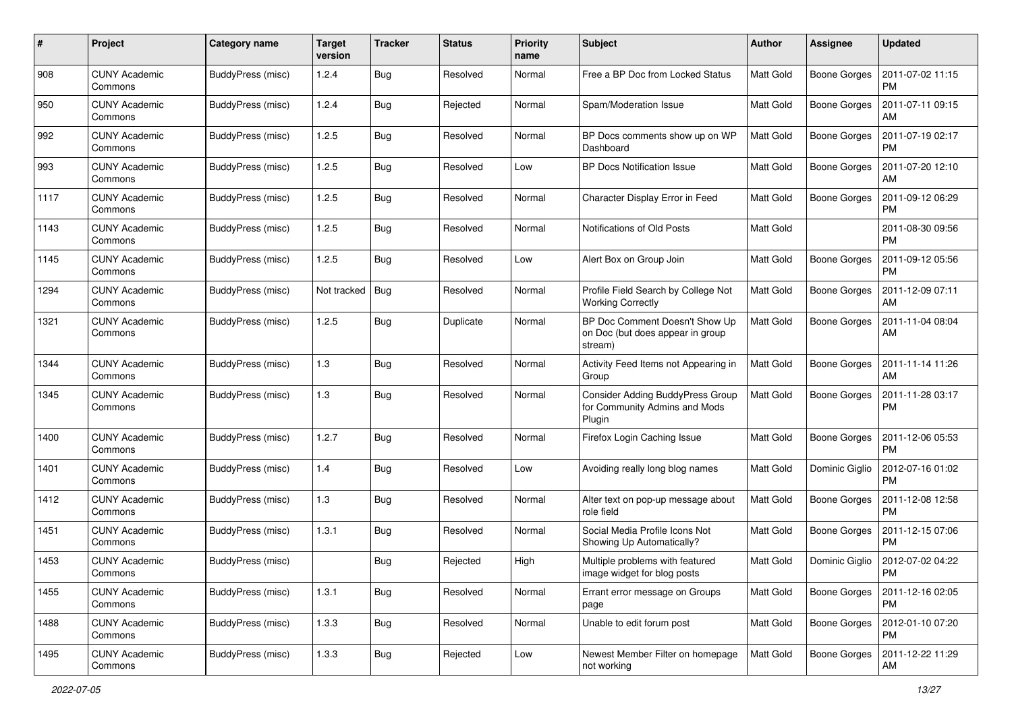| #    | Project                         | Category name     | <b>Target</b><br>version | <b>Tracker</b> | <b>Status</b> | <b>Priority</b><br>name | <b>Subject</b>                                                                | <b>Author</b>    | <b>Assignee</b>     | <b>Updated</b>                |
|------|---------------------------------|-------------------|--------------------------|----------------|---------------|-------------------------|-------------------------------------------------------------------------------|------------------|---------------------|-------------------------------|
| 908  | <b>CUNY Academic</b><br>Commons | BuddyPress (misc) | 1.2.4                    | Bug            | Resolved      | Normal                  | Free a BP Doc from Locked Status                                              | <b>Matt Gold</b> | <b>Boone Gorges</b> | 2011-07-02 11:15<br>PM        |
| 950  | <b>CUNY Academic</b><br>Commons | BuddyPress (misc) | 1.2.4                    | <b>Bug</b>     | Rejected      | Normal                  | Spam/Moderation Issue                                                         | <b>Matt Gold</b> | <b>Boone Gorges</b> | 2011-07-11 09:15<br>AM        |
| 992  | <b>CUNY Academic</b><br>Commons | BuddyPress (misc) | 1.2.5                    | Bug            | Resolved      | Normal                  | BP Docs comments show up on WP<br>Dashboard                                   | Matt Gold        | <b>Boone Gorges</b> | 2011-07-19 02:17<br><b>PM</b> |
| 993  | <b>CUNY Academic</b><br>Commons | BuddyPress (misc) | 1.2.5                    | <b>Bug</b>     | Resolved      | Low                     | <b>BP Docs Notification Issue</b>                                             | <b>Matt Gold</b> | Boone Gorges        | 2011-07-20 12:10<br>AM        |
| 1117 | <b>CUNY Academic</b><br>Commons | BuddyPress (misc) | 1.2.5                    | Bug            | Resolved      | Normal                  | Character Display Error in Feed                                               | <b>Matt Gold</b> | Boone Gorges        | 2011-09-12 06:29<br><b>PM</b> |
| 1143 | <b>CUNY Academic</b><br>Commons | BuddyPress (misc) | 1.2.5                    | <b>Bug</b>     | Resolved      | Normal                  | Notifications of Old Posts                                                    | Matt Gold        |                     | 2011-08-30 09:56<br><b>PM</b> |
| 1145 | <b>CUNY Academic</b><br>Commons | BuddyPress (misc) | 1.2.5                    | Bug            | Resolved      | Low                     | Alert Box on Group Join                                                       | <b>Matt Gold</b> | <b>Boone Gorges</b> | 2011-09-12 05:56<br><b>PM</b> |
| 1294 | <b>CUNY Academic</b><br>Commons | BuddyPress (misc) | Not tracked              | Bug            | Resolved      | Normal                  | Profile Field Search by College Not<br><b>Working Correctly</b>               | <b>Matt Gold</b> | <b>Boone Gorges</b> | 2011-12-09 07:11<br>AM        |
| 1321 | <b>CUNY Academic</b><br>Commons | BuddyPress (misc) | 1.2.5                    | <b>Bug</b>     | Duplicate     | Normal                  | BP Doc Comment Doesn't Show Up<br>on Doc (but does appear in group<br>stream) | <b>Matt Gold</b> | <b>Boone Gorges</b> | 2011-11-04 08:04<br>AM        |
| 1344 | <b>CUNY Academic</b><br>Commons | BuddyPress (misc) | 1.3                      | <b>Bug</b>     | Resolved      | Normal                  | Activity Feed Items not Appearing in<br>Group                                 | Matt Gold        | Boone Gorges        | 2011-11-14 11:26<br>AM        |
| 1345 | <b>CUNY Academic</b><br>Commons | BuddyPress (misc) | 1.3                      | Bug            | Resolved      | Normal                  | Consider Adding BuddyPress Group<br>for Community Admins and Mods<br>Plugin   | Matt Gold        | <b>Boone Gorges</b> | 2011-11-28 03:17<br><b>PM</b> |
| 1400 | <b>CUNY Academic</b><br>Commons | BuddyPress (misc) | 1.2.7                    | <b>Bug</b>     | Resolved      | Normal                  | Firefox Login Caching Issue                                                   | <b>Matt Gold</b> | <b>Boone Gorges</b> | 2011-12-06 05:53<br><b>PM</b> |
| 1401 | <b>CUNY Academic</b><br>Commons | BuddyPress (misc) | 1.4                      | Bug            | Resolved      | Low                     | Avoiding really long blog names                                               | <b>Matt Gold</b> | Dominic Giglio      | 2012-07-16 01:02<br><b>PM</b> |
| 1412 | <b>CUNY Academic</b><br>Commons | BuddyPress (misc) | 1.3                      | Bug            | Resolved      | Normal                  | Alter text on pop-up message about<br>role field                              | <b>Matt Gold</b> | Boone Gorges        | 2011-12-08 12:58<br><b>PM</b> |
| 1451 | <b>CUNY Academic</b><br>Commons | BuddyPress (misc) | 1.3.1                    | <b>Bug</b>     | Resolved      | Normal                  | Social Media Profile Icons Not<br>Showing Up Automatically?                   | <b>Matt Gold</b> | <b>Boone Gorges</b> | 2011-12-15 07:06<br><b>PM</b> |
| 1453 | <b>CUNY Academic</b><br>Commons | BuddyPress (misc) |                          | Bug            | Rejected      | High                    | Multiple problems with featured<br>image widget for blog posts                | Matt Gold        | Dominic Giglio      | 2012-07-02 04:22<br>PM        |
| 1455 | <b>CUNY Academic</b><br>Commons | BuddyPress (misc) | 1.3.1                    | Bug            | Resolved      | Normal                  | Errant error message on Groups<br>page                                        | <b>Matt Gold</b> | <b>Boone Gorges</b> | 2011-12-16 02:05<br><b>PM</b> |
| 1488 | <b>CUNY Academic</b><br>Commons | BuddyPress (misc) | 1.3.3                    | <b>Bug</b>     | Resolved      | Normal                  | Unable to edit forum post                                                     | Matt Gold        | Boone Gorges        | 2012-01-10 07:20<br><b>PM</b> |
| 1495 | <b>CUNY Academic</b><br>Commons | BuddyPress (misc) | 1.3.3                    | <b>Bug</b>     | Rejected      | Low                     | Newest Member Filter on homepage<br>not working                               | Matt Gold        | Boone Gorges        | 2011-12-22 11:29<br>AM        |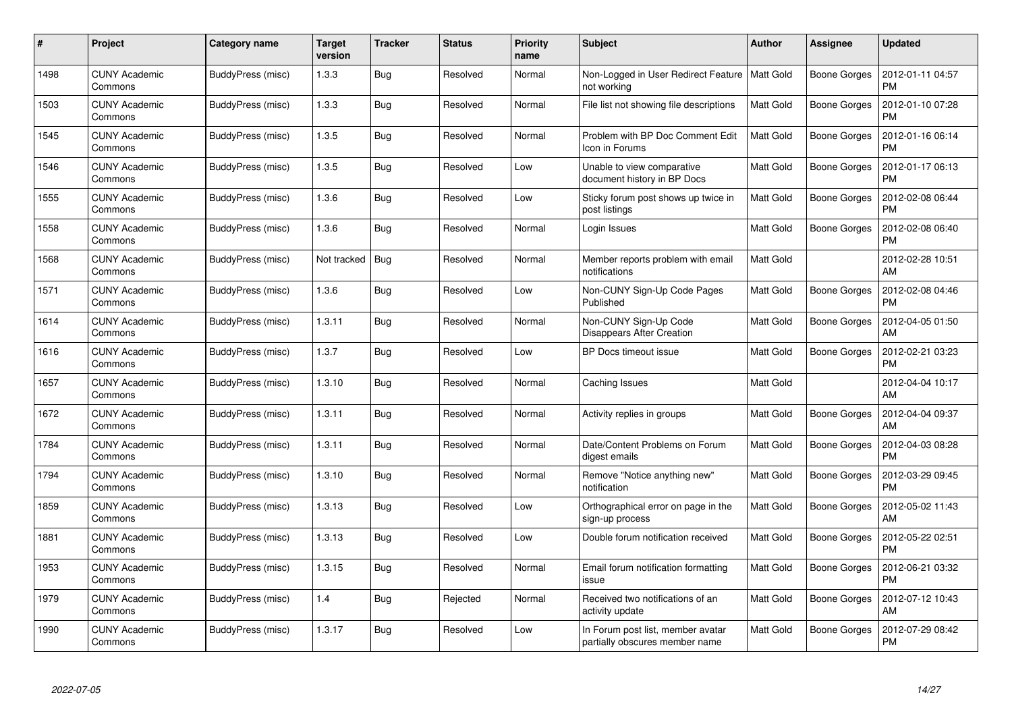| #    | Project                         | <b>Category name</b> | <b>Target</b><br>version | <b>Tracker</b> | <b>Status</b> | <b>Priority</b><br>name | <b>Subject</b>                                                      | <b>Author</b>    | <b>Assignee</b>     | <b>Updated</b>                |
|------|---------------------------------|----------------------|--------------------------|----------------|---------------|-------------------------|---------------------------------------------------------------------|------------------|---------------------|-------------------------------|
| 1498 | <b>CUNY Academic</b><br>Commons | BuddyPress (misc)    | 1.3.3                    | <b>Bug</b>     | Resolved      | Normal                  | Non-Logged in User Redirect Feature<br>not working                  | <b>Matt Gold</b> | Boone Gorges        | 2012-01-11 04:57<br><b>PM</b> |
| 1503 | <b>CUNY Academic</b><br>Commons | BuddyPress (misc)    | 1.3.3                    | Bug            | Resolved      | Normal                  | File list not showing file descriptions                             | <b>Matt Gold</b> | Boone Gorges        | 2012-01-10 07:28<br><b>PM</b> |
| 1545 | <b>CUNY Academic</b><br>Commons | BuddyPress (misc)    | 1.3.5                    | <b>Bug</b>     | Resolved      | Normal                  | Problem with BP Doc Comment Edit<br>Icon in Forums                  | <b>Matt Gold</b> | <b>Boone Gorges</b> | 2012-01-16 06:14<br><b>PM</b> |
| 1546 | <b>CUNY Academic</b><br>Commons | BuddyPress (misc)    | 1.3.5                    | <b>Bug</b>     | Resolved      | Low                     | Unable to view comparative<br>document history in BP Docs           | <b>Matt Gold</b> | Boone Gorges        | 2012-01-17 06:13<br><b>PM</b> |
| 1555 | <b>CUNY Academic</b><br>Commons | BuddyPress (misc)    | 1.3.6                    | Bug            | Resolved      | Low                     | Sticky forum post shows up twice in<br>post listings                | <b>Matt Gold</b> | Boone Gorges        | 2012-02-08 06:44<br><b>PM</b> |
| 1558 | <b>CUNY Academic</b><br>Commons | BuddyPress (misc)    | 1.3.6                    | Bug            | Resolved      | Normal                  | Login Issues                                                        | Matt Gold        | Boone Gorges        | 2012-02-08 06:40<br><b>PM</b> |
| 1568 | <b>CUNY Academic</b><br>Commons | BuddyPress (misc)    | Not tracked              | Bug            | Resolved      | Normal                  | Member reports problem with email<br>notifications                  | Matt Gold        |                     | 2012-02-28 10:51<br>AM        |
| 1571 | <b>CUNY Academic</b><br>Commons | BuddyPress (misc)    | 1.3.6                    | Bug            | Resolved      | Low                     | Non-CUNY Sign-Up Code Pages<br>Published                            | <b>Matt Gold</b> | <b>Boone Gorges</b> | 2012-02-08 04:46<br><b>PM</b> |
| 1614 | <b>CUNY Academic</b><br>Commons | BuddyPress (misc)    | 1.3.11                   | <b>Bug</b>     | Resolved      | Normal                  | Non-CUNY Sign-Up Code<br>Disappears After Creation                  | Matt Gold        | <b>Boone Gorges</b> | 2012-04-05 01:50<br>AM        |
| 1616 | <b>CUNY Academic</b><br>Commons | BuddyPress (misc)    | 1.3.7                    | <b>Bug</b>     | Resolved      | Low                     | BP Docs timeout issue                                               | <b>Matt Gold</b> | <b>Boone Gorges</b> | 2012-02-21 03:23<br><b>PM</b> |
| 1657 | <b>CUNY Academic</b><br>Commons | BuddyPress (misc)    | 1.3.10                   | Bug            | Resolved      | Normal                  | Caching Issues                                                      | Matt Gold        |                     | 2012-04-04 10:17<br>AM        |
| 1672 | <b>CUNY Academic</b><br>Commons | BuddyPress (misc)    | 1.3.11                   | <b>Bug</b>     | Resolved      | Normal                  | Activity replies in groups                                          | Matt Gold        | Boone Gorges        | 2012-04-04 09:37<br>AM        |
| 1784 | <b>CUNY Academic</b><br>Commons | BuddyPress (misc)    | 1.3.11                   | <b>Bug</b>     | Resolved      | Normal                  | Date/Content Problems on Forum<br>digest emails                     | <b>Matt Gold</b> | Boone Gorges        | 2012-04-03 08:28<br><b>PM</b> |
| 1794 | <b>CUNY Academic</b><br>Commons | BuddyPress (misc)    | 1.3.10                   | Bug            | Resolved      | Normal                  | Remove "Notice anything new"<br>notification                        | <b>Matt Gold</b> | Boone Gorges        | 2012-03-29 09:45<br><b>PM</b> |
| 1859 | <b>CUNY Academic</b><br>Commons | BuddyPress (misc)    | 1.3.13                   | <b>Bug</b>     | Resolved      | Low                     | Orthographical error on page in the<br>sign-up process              | Matt Gold        | Boone Gorges        | 2012-05-02 11:43<br>AM        |
| 1881 | <b>CUNY Academic</b><br>Commons | BuddyPress (misc)    | 1.3.13                   | <b>Bug</b>     | Resolved      | Low                     | Double forum notification received                                  | <b>Matt Gold</b> | Boone Gorges        | 2012-05-22 02:51<br><b>PM</b> |
| 1953 | <b>CUNY Academic</b><br>Commons | BuddyPress (misc)    | 1.3.15                   | Bug            | Resolved      | Normal                  | Email forum notification formatting<br>issue                        | <b>Matt Gold</b> | Boone Gorges        | 2012-06-21 03:32<br><b>PM</b> |
| 1979 | <b>CUNY Academic</b><br>Commons | BuddyPress (misc)    | 1.4                      | Bug            | Rejected      | Normal                  | Received two notifications of an<br>activity update                 | Matt Gold        | Boone Gorges        | 2012-07-12 10:43<br>AM        |
| 1990 | CUNY Academic<br>Commons        | BuddyPress (misc)    | 1.3.17                   | <b>Bug</b>     | Resolved      | Low                     | In Forum post list, member avatar<br>partially obscures member name | <b>Matt Gold</b> | Boone Gorges        | 2012-07-29 08:42<br>PM        |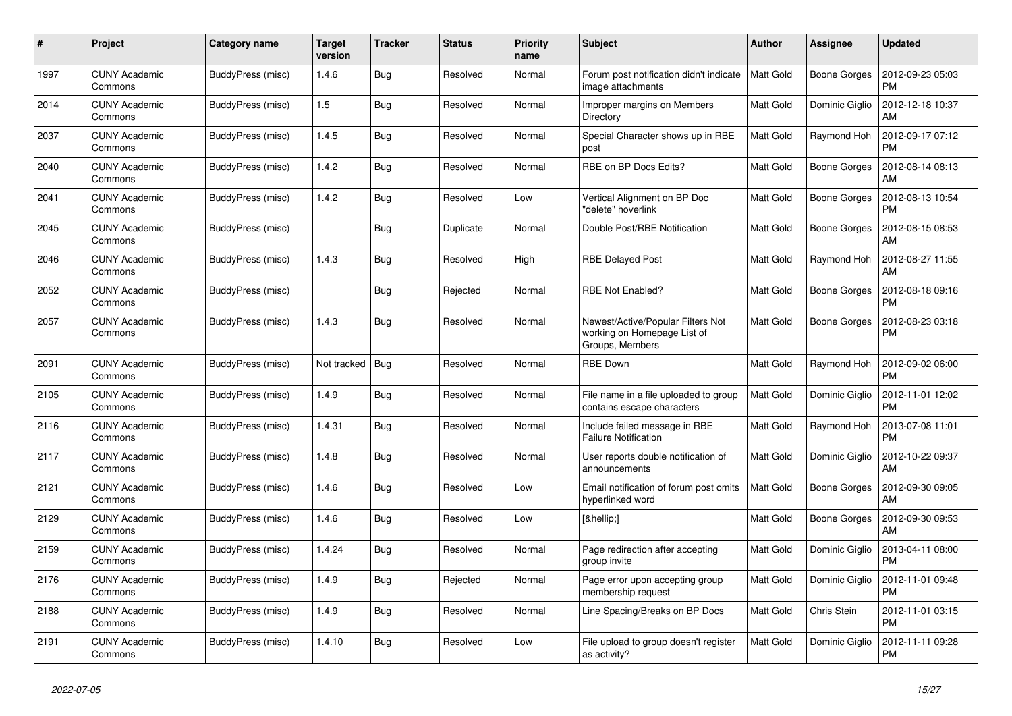| #    | Project                         | Category name     | Target<br>version | <b>Tracker</b> | <b>Status</b> | <b>Priority</b><br>name | <b>Subject</b>                                                                      | Author           | Assignee            | <b>Updated</b>                |
|------|---------------------------------|-------------------|-------------------|----------------|---------------|-------------------------|-------------------------------------------------------------------------------------|------------------|---------------------|-------------------------------|
| 1997 | <b>CUNY Academic</b><br>Commons | BuddyPress (misc) | 1.4.6             | <b>Bug</b>     | Resolved      | Normal                  | Forum post notification didn't indicate<br>image attachments                        | <b>Matt Gold</b> | <b>Boone Gorges</b> | 2012-09-23 05:03<br><b>PM</b> |
| 2014 | <b>CUNY Academic</b><br>Commons | BuddyPress (misc) | 1.5               | Bug            | Resolved      | Normal                  | Improper margins on Members<br>Directory                                            | <b>Matt Gold</b> | Dominic Giglio      | 2012-12-18 10:37<br>AM        |
| 2037 | <b>CUNY Academic</b><br>Commons | BuddyPress (misc) | 1.4.5             | <b>Bug</b>     | Resolved      | Normal                  | Special Character shows up in RBE<br>post                                           | <b>Matt Gold</b> | Raymond Hoh         | 2012-09-17 07:12<br><b>PM</b> |
| 2040 | <b>CUNY Academic</b><br>Commons | BuddyPress (misc) | 1.4.2             | Bug            | Resolved      | Normal                  | RBE on BP Docs Edits?                                                               | Matt Gold        | Boone Gorges        | 2012-08-14 08:13<br>AM        |
| 2041 | <b>CUNY Academic</b><br>Commons | BuddyPress (misc) | 1.4.2             | Bug            | Resolved      | Low                     | Vertical Alignment on BP Doc<br>"delete" hoverlink                                  | Matt Gold        | <b>Boone Gorges</b> | 2012-08-13 10:54<br><b>PM</b> |
| 2045 | <b>CUNY Academic</b><br>Commons | BuddyPress (misc) |                   | Bug            | Duplicate     | Normal                  | Double Post/RBE Notification                                                        | <b>Matt Gold</b> | Boone Gorges        | 2012-08-15 08:53<br>AM        |
| 2046 | <b>CUNY Academic</b><br>Commons | BuddyPress (misc) | 1.4.3             | <b>Bug</b>     | Resolved      | High                    | <b>RBE Delayed Post</b>                                                             | <b>Matt Gold</b> | Raymond Hoh         | 2012-08-27 11:55<br>AM        |
| 2052 | <b>CUNY Academic</b><br>Commons | BuddyPress (misc) |                   | Bug            | Rejected      | Normal                  | <b>RBE Not Enabled?</b>                                                             | Matt Gold        | Boone Gorges        | 2012-08-18 09:16<br><b>PM</b> |
| 2057 | <b>CUNY Academic</b><br>Commons | BuddyPress (misc) | 1.4.3             | <b>Bug</b>     | Resolved      | Normal                  | Newest/Active/Popular Filters Not<br>working on Homepage List of<br>Groups, Members | <b>Matt Gold</b> | <b>Boone Gorges</b> | 2012-08-23 03:18<br><b>PM</b> |
| 2091 | <b>CUNY Academic</b><br>Commons | BuddyPress (misc) | Not tracked       | Bug            | Resolved      | Normal                  | <b>RBE Down</b>                                                                     | Matt Gold        | Raymond Hoh         | 2012-09-02 06:00<br><b>PM</b> |
| 2105 | <b>CUNY Academic</b><br>Commons | BuddyPress (misc) | 1.4.9             | <b>Bug</b>     | Resolved      | Normal                  | File name in a file uploaded to group<br>contains escape characters                 | Matt Gold        | Dominic Giglio      | 2012-11-01 12:02<br><b>PM</b> |
| 2116 | <b>CUNY Academic</b><br>Commons | BuddyPress (misc) | 1.4.31            | <b>Bug</b>     | Resolved      | Normal                  | Include failed message in RBE<br><b>Failure Notification</b>                        | <b>Matt Gold</b> | Raymond Hoh         | 2013-07-08 11:01<br><b>PM</b> |
| 2117 | <b>CUNY Academic</b><br>Commons | BuddyPress (misc) | 1.4.8             | Bug            | Resolved      | Normal                  | User reports double notification of<br>announcements                                | <b>Matt Gold</b> | Dominic Giglio      | 2012-10-22 09:37<br>AM        |
| 2121 | CUNY Academic<br>Commons        | BuddyPress (misc) | 1.4.6             | Bug            | Resolved      | Low                     | Email notification of forum post omits<br>hyperlinked word                          | <b>Matt Gold</b> | Boone Gorges        | 2012-09-30 09:05<br>AM        |
| 2129 | <b>CUNY Academic</b><br>Commons | BuddyPress (misc) | 1.4.6             | Bug            | Resolved      | Low                     | […]                                                                                 | <b>Matt Gold</b> | <b>Boone Gorges</b> | 2012-09-30 09:53<br>AM        |
| 2159 | <b>CUNY Academic</b><br>Commons | BuddyPress (misc) | 1.4.24            | Bug            | Resolved      | Normal                  | Page redirection after accepting<br>group invite                                    | <b>Matt Gold</b> | Dominic Giglio      | 2013-04-11 08:00<br>PM        |
| 2176 | <b>CUNY Academic</b><br>Commons | BuddyPress (misc) | 1.4.9             | <b>Bug</b>     | Rejected      | Normal                  | Page error upon accepting group<br>membership request                               | <b>Matt Gold</b> | Dominic Giglio      | 2012-11-01 09:48<br><b>PM</b> |
| 2188 | <b>CUNY Academic</b><br>Commons | BuddyPress (misc) | 1.4.9             | Bug            | Resolved      | Normal                  | Line Spacing/Breaks on BP Docs                                                      | Matt Gold        | Chris Stein         | 2012-11-01 03:15<br><b>PM</b> |
| 2191 | <b>CUNY Academic</b><br>Commons | BuddyPress (misc) | 1.4.10            | Bug            | Resolved      | Low                     | File upload to group doesn't register<br>as activity?                               | <b>Matt Gold</b> | Dominic Giglio      | 2012-11-11 09:28<br><b>PM</b> |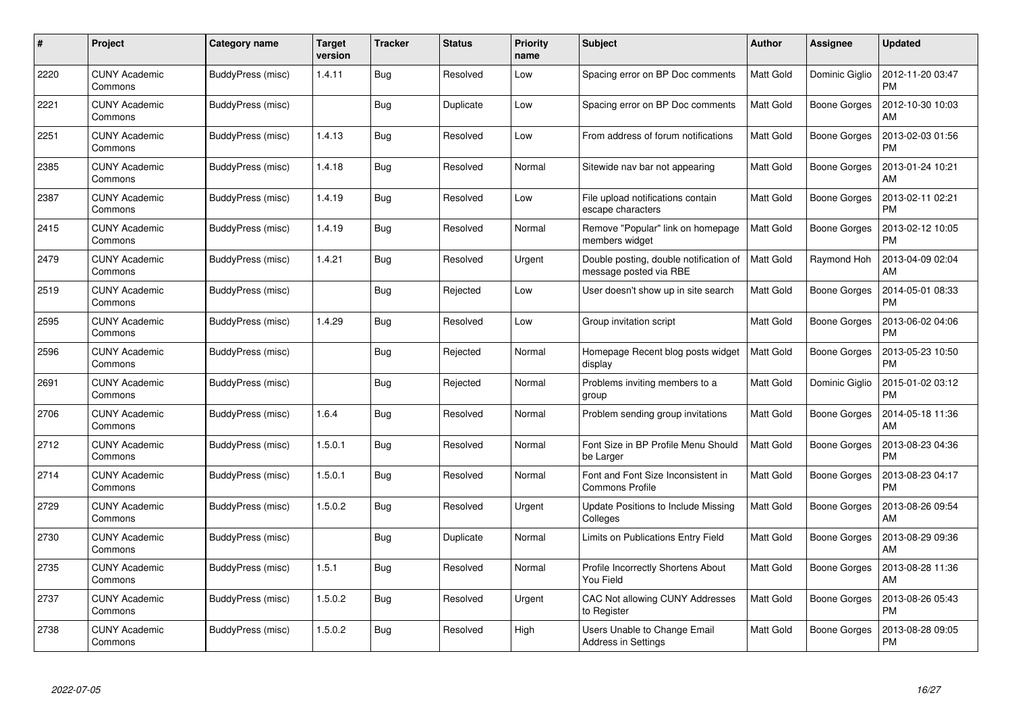| #    | Project                         | Category name     | <b>Target</b><br>version | <b>Tracker</b> | <b>Status</b> | <b>Priority</b><br>name | <b>Subject</b>                                                   | Author           | <b>Assignee</b>     | <b>Updated</b>                |
|------|---------------------------------|-------------------|--------------------------|----------------|---------------|-------------------------|------------------------------------------------------------------|------------------|---------------------|-------------------------------|
| 2220 | <b>CUNY Academic</b><br>Commons | BuddyPress (misc) | 1.4.11                   | <b>Bug</b>     | Resolved      | Low                     | Spacing error on BP Doc comments                                 | <b>Matt Gold</b> | Dominic Giglio      | 2012-11-20 03:47<br><b>PM</b> |
| 2221 | <b>CUNY Academic</b><br>Commons | BuddyPress (misc) |                          | Bug            | Duplicate     | Low                     | Spacing error on BP Doc comments                                 | <b>Matt Gold</b> | Boone Gorges        | 2012-10-30 10:03<br>AM        |
| 2251 | <b>CUNY Academic</b><br>Commons | BuddyPress (misc) | 1.4.13                   | <b>Bug</b>     | Resolved      | Low                     | From address of forum notifications                              | <b>Matt Gold</b> | Boone Gorges        | 2013-02-03 01:56<br><b>PM</b> |
| 2385 | <b>CUNY Academic</b><br>Commons | BuddyPress (misc) | 1.4.18                   | <b>Bug</b>     | Resolved      | Normal                  | Sitewide nav bar not appearing                                   | Matt Gold        | Boone Gorges        | 2013-01-24 10:21<br>AM        |
| 2387 | <b>CUNY Academic</b><br>Commons | BuddyPress (misc) | 1.4.19                   | <b>Bug</b>     | Resolved      | Low                     | File upload notifications contain<br>escape characters           | <b>Matt Gold</b> | <b>Boone Gorges</b> | 2013-02-11 02:21<br><b>PM</b> |
| 2415 | <b>CUNY Academic</b><br>Commons | BuddyPress (misc) | 1.4.19                   | Bug            | Resolved      | Normal                  | Remove "Popular" link on homepage<br>members widget              | <b>Matt Gold</b> | Boone Gorges        | 2013-02-12 10:05<br><b>PM</b> |
| 2479 | <b>CUNY Academic</b><br>Commons | BuddyPress (misc) | 1.4.21                   | Bug            | Resolved      | Urgent                  | Double posting, double notification of<br>message posted via RBE | Matt Gold        | Raymond Hoh         | 2013-04-09 02:04<br>AM        |
| 2519 | <b>CUNY Academic</b><br>Commons | BuddyPress (misc) |                          | Bug            | Rejected      | Low                     | User doesn't show up in site search                              | <b>Matt Gold</b> | Boone Gorges        | 2014-05-01 08:33<br><b>PM</b> |
| 2595 | <b>CUNY Academic</b><br>Commons | BuddyPress (misc) | 1.4.29                   | <b>Bug</b>     | Resolved      | Low                     | Group invitation script                                          | <b>Matt Gold</b> | Boone Gorges        | 2013-06-02 04:06<br><b>PM</b> |
| 2596 | <b>CUNY Academic</b><br>Commons | BuddyPress (misc) |                          | <b>Bug</b>     | Rejected      | Normal                  | Homepage Recent blog posts widget<br>display                     | Matt Gold        | <b>Boone Gorges</b> | 2013-05-23 10:50<br>PM        |
| 2691 | <b>CUNY Academic</b><br>Commons | BuddyPress (misc) |                          | Bug            | Rejected      | Normal                  | Problems inviting members to a<br>group                          | <b>Matt Gold</b> | Dominic Giglio      | 2015-01-02 03:12<br><b>PM</b> |
| 2706 | <b>CUNY Academic</b><br>Commons | BuddyPress (misc) | 1.6.4                    | <b>Bug</b>     | Resolved      | Normal                  | Problem sending group invitations                                | Matt Gold        | Boone Gorges        | 2014-05-18 11:36<br>AM        |
| 2712 | <b>CUNY Academic</b><br>Commons | BuddyPress (misc) | 1.5.0.1                  | <b>Bug</b>     | Resolved      | Normal                  | Font Size in BP Profile Menu Should<br>be Larger                 | <b>Matt Gold</b> | Boone Gorges        | 2013-08-23 04:36<br><b>PM</b> |
| 2714 | <b>CUNY Academic</b><br>Commons | BuddyPress (misc) | 1.5.0.1                  | Bug            | Resolved      | Normal                  | Font and Font Size Inconsistent in<br><b>Commons Profile</b>     | <b>Matt Gold</b> | <b>Boone Gorges</b> | 2013-08-23 04:17<br><b>PM</b> |
| 2729 | <b>CUNY Academic</b><br>Commons | BuddyPress (misc) | 1.5.0.2                  | <b>Bug</b>     | Resolved      | Urgent                  | Update Positions to Include Missing<br>Colleges                  | <b>Matt Gold</b> | Boone Gorges        | 2013-08-26 09:54<br>AM        |
| 2730 | <b>CUNY Academic</b><br>Commons | BuddyPress (misc) |                          | <b>Bug</b>     | Duplicate     | Normal                  | Limits on Publications Entry Field                               | <b>Matt Gold</b> | Boone Gorges        | 2013-08-29 09:36<br>AM        |
| 2735 | <b>CUNY Academic</b><br>Commons | BuddyPress (misc) | 1.5.1                    | Bug            | Resolved      | Normal                  | Profile Incorrectly Shortens About<br>You Field                  | <b>Matt Gold</b> | Boone Gorges        | 2013-08-28 11:36<br>AM        |
| 2737 | <b>CUNY Academic</b><br>Commons | BuddyPress (misc) | 1.5.0.2                  | Bug            | Resolved      | Urgent                  | CAC Not allowing CUNY Addresses<br>to Register                   | Matt Gold        | <b>Boone Gorges</b> | 2013-08-26 05:43<br><b>PM</b> |
| 2738 | CUNY Academic<br>Commons        | BuddyPress (misc) | 1.5.0.2                  | <b>Bug</b>     | Resolved      | High                    | Users Unable to Change Email<br><b>Address in Settings</b>       | <b>Matt Gold</b> | Boone Gorges        | 2013-08-28 09:05<br>PM        |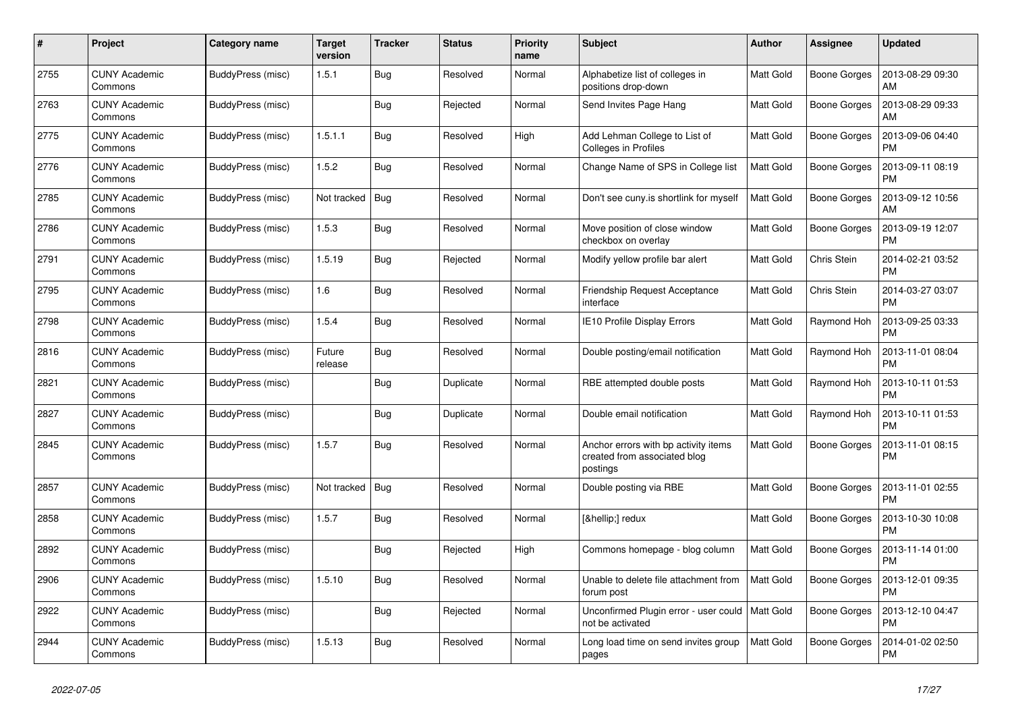| #    | Project                         | Category name     | Target<br>version | <b>Tracker</b> | <b>Status</b> | <b>Priority</b><br>name | <b>Subject</b>                                                                   | Author           | Assignee            | <b>Updated</b>                |
|------|---------------------------------|-------------------|-------------------|----------------|---------------|-------------------------|----------------------------------------------------------------------------------|------------------|---------------------|-------------------------------|
| 2755 | <b>CUNY Academic</b><br>Commons | BuddyPress (misc) | 1.5.1             | <b>Bug</b>     | Resolved      | Normal                  | Alphabetize list of colleges in<br>positions drop-down                           | <b>Matt Gold</b> | <b>Boone Gorges</b> | 2013-08-29 09:30<br>AM        |
| 2763 | <b>CUNY Academic</b><br>Commons | BuddyPress (misc) |                   | Bug            | Rejected      | Normal                  | Send Invites Page Hang                                                           | <b>Matt Gold</b> | Boone Gorges        | 2013-08-29 09:33<br>АM        |
| 2775 | <b>CUNY Academic</b><br>Commons | BuddyPress (misc) | 1.5.1.1           | <b>Bug</b>     | Resolved      | High                    | Add Lehman College to List of<br><b>Colleges in Profiles</b>                     | <b>Matt Gold</b> | Boone Gorges        | 2013-09-06 04:40<br><b>PM</b> |
| 2776 | <b>CUNY Academic</b><br>Commons | BuddyPress (misc) | 1.5.2             | <b>Bug</b>     | Resolved      | Normal                  | Change Name of SPS in College list                                               | <b>Matt Gold</b> | <b>Boone Gorges</b> | 2013-09-11 08:19<br><b>PM</b> |
| 2785 | <b>CUNY Academic</b><br>Commons | BuddyPress (misc) | Not tracked       | Bug            | Resolved      | Normal                  | Don't see cuny.is shortlink for myself                                           | <b>Matt Gold</b> | Boone Gorges        | 2013-09-12 10:56<br>AM        |
| 2786 | <b>CUNY Academic</b><br>Commons | BuddyPress (misc) | 1.5.3             | Bug            | Resolved      | Normal                  | Move position of close window<br>checkbox on overlay                             | <b>Matt Gold</b> | Boone Gorges        | 2013-09-19 12:07<br><b>PM</b> |
| 2791 | <b>CUNY Academic</b><br>Commons | BuddyPress (misc) | 1.5.19            | <b>Bug</b>     | Rejected      | Normal                  | Modify yellow profile bar alert                                                  | <b>Matt Gold</b> | Chris Stein         | 2014-02-21 03:52<br><b>PM</b> |
| 2795 | <b>CUNY Academic</b><br>Commons | BuddyPress (misc) | 1.6               | Bug            | Resolved      | Normal                  | Friendship Request Acceptance<br>interface                                       | <b>Matt Gold</b> | Chris Stein         | 2014-03-27 03:07<br><b>PM</b> |
| 2798 | <b>CUNY Academic</b><br>Commons | BuddyPress (misc) | 1.5.4             | Bug            | Resolved      | Normal                  | IE10 Profile Display Errors                                                      | <b>Matt Gold</b> | Raymond Hoh         | 2013-09-25 03:33<br><b>PM</b> |
| 2816 | <b>CUNY Academic</b><br>Commons | BuddyPress (misc) | Future<br>release | Bug            | Resolved      | Normal                  | Double posting/email notification                                                | <b>Matt Gold</b> | Raymond Hoh         | 2013-11-01 08:04<br><b>PM</b> |
| 2821 | <b>CUNY Academic</b><br>Commons | BuddyPress (misc) |                   | Bug            | Duplicate     | Normal                  | RBE attempted double posts                                                       | Matt Gold        | Raymond Hoh         | 2013-10-11 01:53<br><b>PM</b> |
| 2827 | <b>CUNY Academic</b><br>Commons | BuddyPress (misc) |                   | Bug            | Duplicate     | Normal                  | Double email notification                                                        | <b>Matt Gold</b> | Raymond Hoh         | 2013-10-11 01:53<br><b>PM</b> |
| 2845 | <b>CUNY Academic</b><br>Commons | BuddyPress (misc) | 1.5.7             | Bug            | Resolved      | Normal                  | Anchor errors with bp activity items<br>created from associated blog<br>postings | <b>Matt Gold</b> | Boone Gorges        | 2013-11-01 08:15<br><b>PM</b> |
| 2857 | <b>CUNY Academic</b><br>Commons | BuddyPress (misc) | Not tracked       | Bug            | Resolved      | Normal                  | Double posting via RBE                                                           | <b>Matt Gold</b> | Boone Gorges        | 2013-11-01 02:55<br><b>PM</b> |
| 2858 | <b>CUNY Academic</b><br>Commons | BuddyPress (misc) | 1.5.7             | <b>Bug</b>     | Resolved      | Normal                  | […] redux                                                                        | <b>Matt Gold</b> | <b>Boone Gorges</b> | 2013-10-30 10:08<br><b>PM</b> |
| 2892 | <b>CUNY Academic</b><br>Commons | BuddyPress (misc) |                   | Bug            | Rejected      | High                    | Commons homepage - blog column                                                   | Matt Gold        | <b>Boone Gorges</b> | 2013-11-14 01:00<br><b>PM</b> |
| 2906 | <b>CUNY Academic</b><br>Commons | BuddyPress (misc) | 1.5.10            | Bug            | Resolved      | Normal                  | Unable to delete file attachment from<br>forum post                              | <b>Matt Gold</b> | Boone Gorges        | 2013-12-01 09:35<br><b>PM</b> |
| 2922 | <b>CUNY Academic</b><br>Commons | BuddyPress (misc) |                   | <b>Bug</b>     | Rejected      | Normal                  | Unconfirmed Plugin error - user could<br>not be activated                        | <b>Matt Gold</b> | <b>Boone Gorges</b> | 2013-12-10 04:47<br><b>PM</b> |
| 2944 | <b>CUNY Academic</b><br>Commons | BuddyPress (misc) | 1.5.13            | Bug            | Resolved      | Normal                  | Long load time on send invites group<br>pages                                    | <b>Matt Gold</b> | Boone Gorges        | 2014-01-02 02:50<br><b>PM</b> |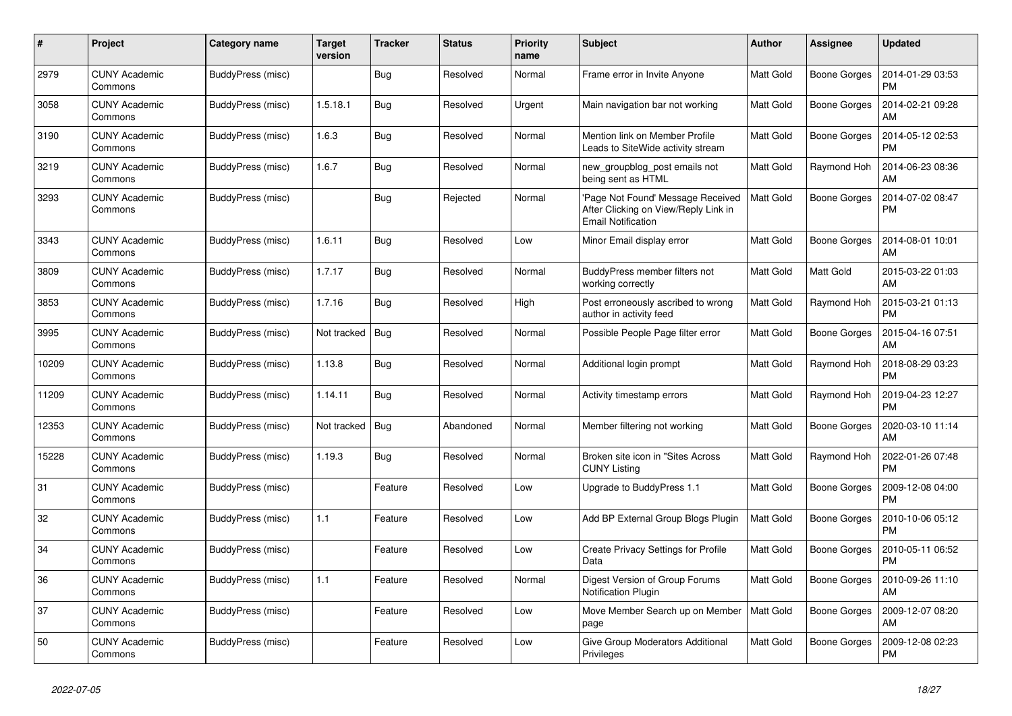| #     | Project                         | <b>Category name</b> | <b>Target</b><br>version | <b>Tracker</b> | <b>Status</b> | <b>Priority</b><br>name | <b>Subject</b>                                                                                         | <b>Author</b>    | Assignee            | <b>Updated</b>                |
|-------|---------------------------------|----------------------|--------------------------|----------------|---------------|-------------------------|--------------------------------------------------------------------------------------------------------|------------------|---------------------|-------------------------------|
| 2979  | <b>CUNY Academic</b><br>Commons | BuddyPress (misc)    |                          | Bug            | Resolved      | Normal                  | Frame error in Invite Anyone                                                                           | <b>Matt Gold</b> | <b>Boone Gorges</b> | 2014-01-29 03:53<br><b>PM</b> |
| 3058  | <b>CUNY Academic</b><br>Commons | BuddyPress (misc)    | 1.5.18.1                 | <b>Bug</b>     | Resolved      | Urgent                  | Main navigation bar not working                                                                        | <b>Matt Gold</b> | Boone Gorges        | 2014-02-21 09:28<br>AM        |
| 3190  | <b>CUNY Academic</b><br>Commons | BuddyPress (misc)    | 1.6.3                    | <b>Bug</b>     | Resolved      | Normal                  | Mention link on Member Profile<br>Leads to SiteWide activity stream                                    | <b>Matt Gold</b> | Boone Gorges        | 2014-05-12 02:53<br><b>PM</b> |
| 3219  | <b>CUNY Academic</b><br>Commons | BuddyPress (misc)    | 1.6.7                    | Bug            | Resolved      | Normal                  | new groupblog post emails not<br>being sent as HTML                                                    | <b>Matt Gold</b> | Raymond Hoh         | 2014-06-23 08:36<br>AM        |
| 3293  | <b>CUNY Academic</b><br>Commons | BuddyPress (misc)    |                          | <b>Bug</b>     | Rejected      | Normal                  | 'Page Not Found' Message Received<br>After Clicking on View/Reply Link in<br><b>Email Notification</b> | <b>Matt Gold</b> | <b>Boone Gorges</b> | 2014-07-02 08:47<br><b>PM</b> |
| 3343  | CUNY Academic<br>Commons        | BuddyPress (misc)    | 1.6.11                   | Bug            | Resolved      | Low                     | Minor Email display error                                                                              | <b>Matt Gold</b> | <b>Boone Gorges</b> | 2014-08-01 10:01<br>AM        |
| 3809  | <b>CUNY Academic</b><br>Commons | BuddyPress (misc)    | 1.7.17                   | Bug            | Resolved      | Normal                  | BuddyPress member filters not<br>working correctly                                                     | <b>Matt Gold</b> | Matt Gold           | 2015-03-22 01:03<br>AM        |
| 3853  | <b>CUNY Academic</b><br>Commons | BuddyPress (misc)    | 1.7.16                   | <b>Bug</b>     | Resolved      | High                    | Post erroneously ascribed to wrong<br>author in activity feed                                          | <b>Matt Gold</b> | Raymond Hoh         | 2015-03-21 01:13<br><b>PM</b> |
| 3995  | <b>CUNY Academic</b><br>Commons | BuddyPress (misc)    | Not tracked              | Bug            | Resolved      | Normal                  | Possible People Page filter error                                                                      | <b>Matt Gold</b> | Boone Gorges        | 2015-04-16 07:51<br>AM        |
| 10209 | <b>CUNY Academic</b><br>Commons | BuddyPress (misc)    | 1.13.8                   | Bug            | Resolved      | Normal                  | Additional login prompt                                                                                | <b>Matt Gold</b> | Raymond Hoh         | 2018-08-29 03:23<br><b>PM</b> |
| 11209 | <b>CUNY Academic</b><br>Commons | BuddyPress (misc)    | 1.14.11                  | Bug            | Resolved      | Normal                  | Activity timestamp errors                                                                              | Matt Gold        | Raymond Hoh         | 2019-04-23 12:27<br><b>PM</b> |
| 12353 | <b>CUNY Academic</b><br>Commons | BuddyPress (misc)    | Not tracked              | <b>Bug</b>     | Abandoned     | Normal                  | Member filtering not working                                                                           | Matt Gold        | <b>Boone Gorges</b> | 2020-03-10 11:14<br>AM        |
| 15228 | <b>CUNY Academic</b><br>Commons | BuddyPress (misc)    | 1.19.3                   | Bug            | Resolved      | Normal                  | Broken site icon in "Sites Across"<br><b>CUNY Listing</b>                                              | <b>Matt Gold</b> | Raymond Hoh         | 2022-01-26 07:48<br><b>PM</b> |
| 31    | CUNY Academic<br>Commons        | BuddyPress (misc)    |                          | Feature        | Resolved      | Low                     | Upgrade to BuddyPress 1.1                                                                              | <b>Matt Gold</b> | Boone Gorges        | 2009-12-08 04:00<br><b>PM</b> |
| 32    | <b>CUNY Academic</b><br>Commons | BuddyPress (misc)    | 1.1                      | Feature        | Resolved      | Low                     | Add BP External Group Blogs Plugin                                                                     | <b>Matt Gold</b> | <b>Boone Gorges</b> | 2010-10-06 05:12<br><b>PM</b> |
| 34    | <b>CUNY Academic</b><br>Commons | BuddyPress (misc)    |                          | Feature        | Resolved      | Low                     | Create Privacy Settings for Profile<br>Data                                                            | <b>Matt Gold</b> | Boone Gorges        | 2010-05-11 06:52<br><b>PM</b> |
| 36    | <b>CUNY Academic</b><br>Commons | BuddyPress (misc)    | 1.1                      | Feature        | Resolved      | Normal                  | Digest Version of Group Forums<br><b>Notification Plugin</b>                                           | Matt Gold        | Boone Gorges        | 2010-09-26 11:10<br>AM        |
| 37    | <b>CUNY Academic</b><br>Commons | BuddyPress (misc)    |                          | Feature        | Resolved      | Low                     | Move Member Search up on Member<br>page                                                                | <b>Matt Gold</b> | <b>Boone Gorges</b> | 2009-12-07 08:20<br>AM        |
| 50    | <b>CUNY Academic</b><br>Commons | BuddyPress (misc)    |                          | Feature        | Resolved      | Low                     | Give Group Moderators Additional<br>Privileges                                                         | <b>Matt Gold</b> | <b>Boone Gorges</b> | 2009-12-08 02:23<br>PM        |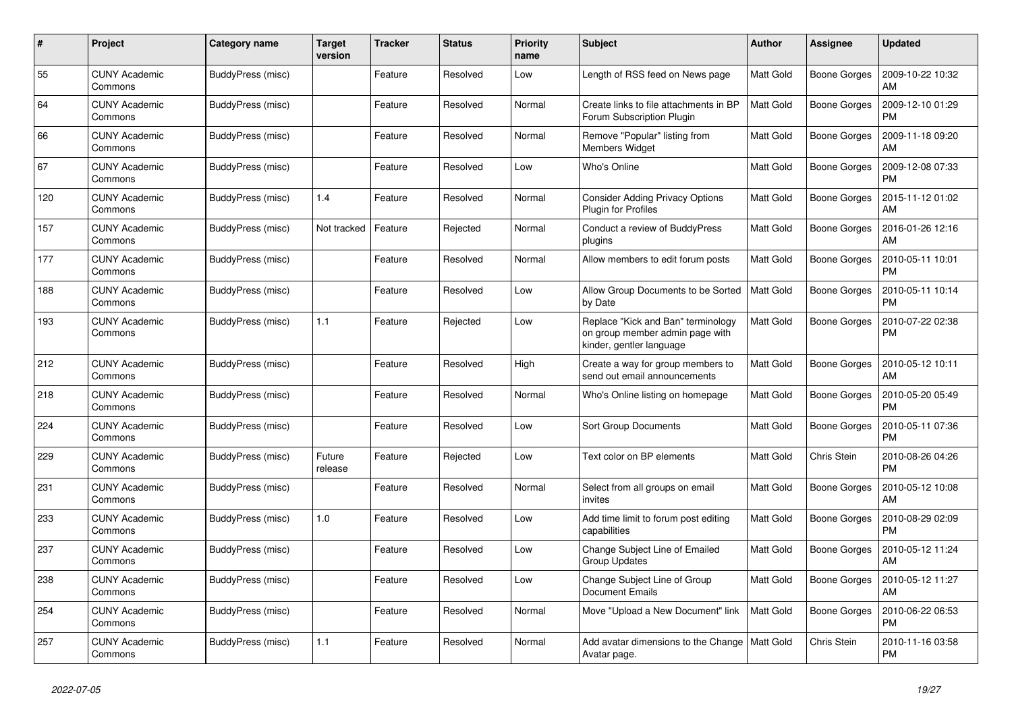| #   | Project                         | Category name     | <b>Target</b><br>version | <b>Tracker</b> | <b>Status</b> | <b>Priority</b><br>name | <b>Subject</b>                                                                                    | Author           | Assignee            | <b>Updated</b>                |
|-----|---------------------------------|-------------------|--------------------------|----------------|---------------|-------------------------|---------------------------------------------------------------------------------------------------|------------------|---------------------|-------------------------------|
| 55  | <b>CUNY Academic</b><br>Commons | BuddyPress (misc) |                          | Feature        | Resolved      | Low                     | Length of RSS feed on News page                                                                   | <b>Matt Gold</b> | <b>Boone Gorges</b> | 2009-10-22 10:32<br>AM        |
| 64  | CUNY Academic<br>Commons        | BuddyPress (misc) |                          | Feature        | Resolved      | Normal                  | Create links to file attachments in BP<br>Forum Subscription Plugin                               | <b>Matt Gold</b> | Boone Gorges        | 2009-12-10 01:29<br><b>PM</b> |
| 66  | <b>CUNY Academic</b><br>Commons | BuddyPress (misc) |                          | Feature        | Resolved      | Normal                  | Remove "Popular" listing from<br><b>Members Widget</b>                                            | <b>Matt Gold</b> | Boone Gorges        | 2009-11-18 09:20<br>AM        |
| 67  | <b>CUNY Academic</b><br>Commons | BuddyPress (misc) |                          | Feature        | Resolved      | Low                     | Who's Online                                                                                      | <b>Matt Gold</b> | Boone Gorges        | 2009-12-08 07:33<br><b>PM</b> |
| 120 | <b>CUNY Academic</b><br>Commons | BuddyPress (misc) | 1.4                      | Feature        | Resolved      | Normal                  | <b>Consider Adding Privacy Options</b><br>Plugin for Profiles                                     | <b>Matt Gold</b> | Boone Gorges        | 2015-11-12 01:02<br>AM        |
| 157 | CUNY Academic<br>Commons        | BuddyPress (misc) | Not tracked              | Feature        | Rejected      | Normal                  | Conduct a review of BuddyPress<br>plugins                                                         | <b>Matt Gold</b> | Boone Gorges        | 2016-01-26 12:16<br>AM        |
| 177 | <b>CUNY Academic</b><br>Commons | BuddyPress (misc) |                          | Feature        | Resolved      | Normal                  | Allow members to edit forum posts                                                                 | Matt Gold        | Boone Gorges        | 2010-05-11 10:01<br><b>PM</b> |
| 188 | <b>CUNY Academic</b><br>Commons | BuddyPress (misc) |                          | Feature        | Resolved      | Low                     | Allow Group Documents to be Sorted<br>by Date                                                     | <b>Matt Gold</b> | Boone Gorges        | 2010-05-11 10:14<br>PM        |
| 193 | CUNY Academic<br>Commons        | BuddyPress (misc) | 1.1                      | Feature        | Rejected      | Low                     | Replace "Kick and Ban" terminology<br>on group member admin page with<br>kinder, gentler language | <b>Matt Gold</b> | Boone Gorges        | 2010-07-22 02:38<br><b>PM</b> |
| 212 | <b>CUNY Academic</b><br>Commons | BuddyPress (misc) |                          | Feature        | Resolved      | High                    | Create a way for group members to<br>send out email announcements                                 | <b>Matt Gold</b> | <b>Boone Gorges</b> | 2010-05-12 10:11<br>AM        |
| 218 | <b>CUNY Academic</b><br>Commons | BuddyPress (misc) |                          | Feature        | Resolved      | Normal                  | Who's Online listing on homepage                                                                  | <b>Matt Gold</b> | Boone Gorges        | 2010-05-20 05:49<br>PM        |
| 224 | <b>CUNY Academic</b><br>Commons | BuddyPress (misc) |                          | Feature        | Resolved      | Low                     | Sort Group Documents                                                                              | <b>Matt Gold</b> | Boone Gorges        | 2010-05-11 07:36<br><b>PM</b> |
| 229 | <b>CUNY Academic</b><br>Commons | BuddyPress (misc) | Future<br>release        | Feature        | Rejected      | Low                     | Text color on BP elements                                                                         | <b>Matt Gold</b> | Chris Stein         | 2010-08-26 04:26<br><b>PM</b> |
| 231 | <b>CUNY Academic</b><br>Commons | BuddyPress (misc) |                          | Feature        | Resolved      | Normal                  | Select from all groups on email<br>invites                                                        | <b>Matt Gold</b> | Boone Gorges        | 2010-05-12 10:08<br>AM        |
| 233 | <b>CUNY Academic</b><br>Commons | BuddyPress (misc) | 1.0                      | Feature        | Resolved      | Low                     | Add time limit to forum post editing<br>capabilities                                              | <b>Matt Gold</b> | Boone Gorges        | 2010-08-29 02:09<br><b>PM</b> |
| 237 | <b>CUNY Academic</b><br>Commons | BuddyPress (misc) |                          | Feature        | Resolved      | Low                     | Change Subject Line of Emailed<br>Group Updates                                                   | <b>Matt Gold</b> | Boone Gorges        | 2010-05-12 11:24<br>AM        |
| 238 | <b>CUNY Academic</b><br>Commons | BuddyPress (misc) |                          | Feature        | Resolved      | Low                     | Change Subject Line of Group<br><b>Document Emails</b>                                            | <b>Matt Gold</b> | Boone Gorges        | 2010-05-12 11:27<br>AM        |
| 254 | <b>CUNY Academic</b><br>Commons | BuddyPress (misc) |                          | Feature        | Resolved      | Normal                  | Move "Upload a New Document" link                                                                 | <b>Matt Gold</b> | Boone Gorges        | 2010-06-22 06:53<br><b>PM</b> |
| 257 | <b>CUNY Academic</b><br>Commons | BuddyPress (misc) | 1.1                      | Feature        | Resolved      | Normal                  | Add avatar dimensions to the Change   Matt Gold<br>Avatar page.                                   |                  | Chris Stein         | 2010-11-16 03:58<br><b>PM</b> |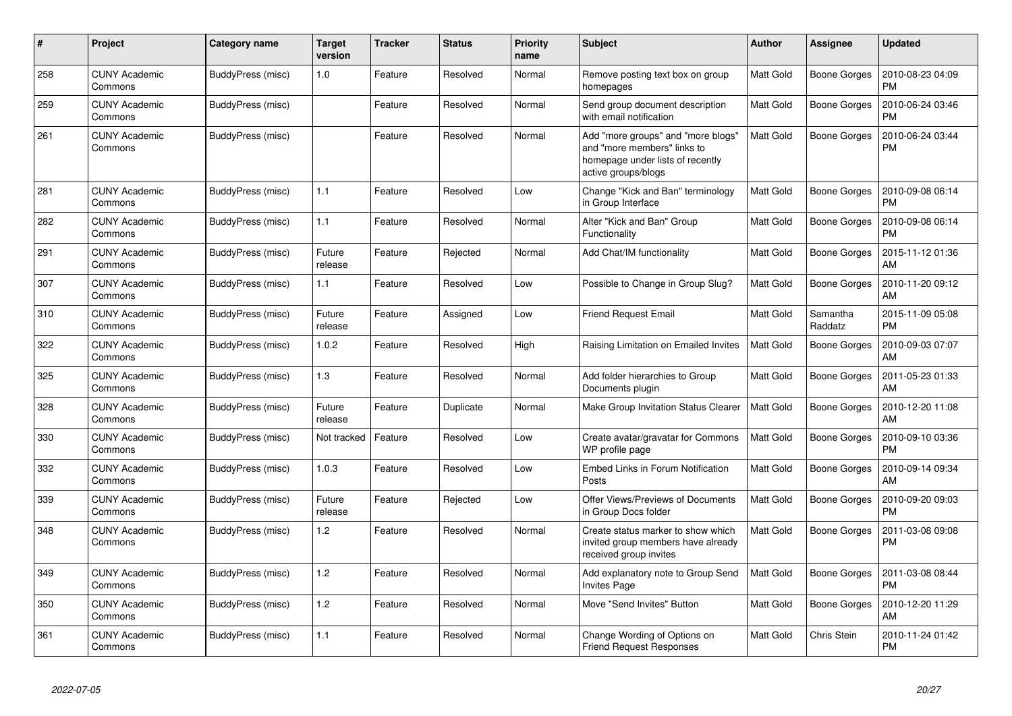| #   | Project                         | Category name     | <b>Target</b><br>version | <b>Tracker</b> | <b>Status</b> | <b>Priority</b><br>name | <b>Subject</b>                                                                                                               | <b>Author</b>    | <b>Assignee</b>     | <b>Updated</b>                |
|-----|---------------------------------|-------------------|--------------------------|----------------|---------------|-------------------------|------------------------------------------------------------------------------------------------------------------------------|------------------|---------------------|-------------------------------|
| 258 | <b>CUNY Academic</b><br>Commons | BuddyPress (misc) | 1.0                      | Feature        | Resolved      | Normal                  | Remove posting text box on group<br>homepages                                                                                | <b>Matt Gold</b> | <b>Boone Gorges</b> | 2010-08-23 04:09<br><b>PM</b> |
| 259 | <b>CUNY Academic</b><br>Commons | BuddyPress (misc) |                          | Feature        | Resolved      | Normal                  | Send group document description<br>with email notification                                                                   | Matt Gold        | <b>Boone Gorges</b> | 2010-06-24 03:46<br><b>PM</b> |
| 261 | <b>CUNY Academic</b><br>Commons | BuddyPress (misc) |                          | Feature        | Resolved      | Normal                  | Add "more groups" and "more blogs"<br>and "more members" links to<br>homepage under lists of recently<br>active groups/blogs | <b>Matt Gold</b> | <b>Boone Gorges</b> | 2010-06-24 03:44<br><b>PM</b> |
| 281 | <b>CUNY Academic</b><br>Commons | BuddyPress (misc) | 1.1                      | Feature        | Resolved      | Low                     | Change "Kick and Ban" terminology<br>in Group Interface                                                                      | Matt Gold        | <b>Boone Gorges</b> | 2010-09-08 06:14<br><b>PM</b> |
| 282 | CUNY Academic<br>Commons        | BuddyPress (misc) | 1.1                      | Feature        | Resolved      | Normal                  | Alter "Kick and Ban" Group<br>Functionality                                                                                  | <b>Matt Gold</b> | <b>Boone Gorges</b> | 2010-09-08 06:14<br><b>PM</b> |
| 291 | <b>CUNY Academic</b><br>Commons | BuddyPress (misc) | Future<br>release        | Feature        | Rejected      | Normal                  | Add Chat/IM functionality                                                                                                    | <b>Matt Gold</b> | <b>Boone Gorges</b> | 2015-11-12 01:36<br>AM        |
| 307 | CUNY Academic<br>Commons        | BuddyPress (misc) | 1.1                      | Feature        | Resolved      | Low                     | Possible to Change in Group Slug?                                                                                            | <b>Matt Gold</b> | <b>Boone Gorges</b> | 2010-11-20 09:12<br>AM        |
| 310 | <b>CUNY Academic</b><br>Commons | BuddyPress (misc) | Future<br>release        | Feature        | Assigned      | Low                     | <b>Friend Request Email</b>                                                                                                  | <b>Matt Gold</b> | Samantha<br>Raddatz | 2015-11-09 05:08<br><b>PM</b> |
| 322 | <b>CUNY Academic</b><br>Commons | BuddyPress (misc) | 1.0.2                    | Feature        | Resolved      | High                    | Raising Limitation on Emailed Invites                                                                                        | Matt Gold        | <b>Boone Gorges</b> | 2010-09-03 07:07<br>AM        |
| 325 | CUNY Academic<br>Commons        | BuddyPress (misc) | 1.3                      | Feature        | Resolved      | Normal                  | Add folder hierarchies to Group<br>Documents plugin                                                                          | <b>Matt Gold</b> | <b>Boone Gorges</b> | 2011-05-23 01:33<br>AM        |
| 328 | <b>CUNY Academic</b><br>Commons | BuddyPress (misc) | Future<br>release        | Feature        | Duplicate     | Normal                  | Make Group Invitation Status Clearer                                                                                         | Matt Gold        | <b>Boone Gorges</b> | 2010-12-20 11:08<br>AM        |
| 330 | <b>CUNY Academic</b><br>Commons | BuddyPress (misc) | Not tracked              | Feature        | Resolved      | Low                     | Create avatar/gravatar for Commons<br>WP profile page                                                                        | Matt Gold        | <b>Boone Gorges</b> | 2010-09-10 03:36<br><b>PM</b> |
| 332 | <b>CUNY Academic</b><br>Commons | BuddyPress (misc) | 1.0.3                    | Feature        | Resolved      | Low                     | Embed Links in Forum Notification<br>Posts                                                                                   | Matt Gold        | <b>Boone Gorges</b> | 2010-09-14 09:34<br>AM        |
| 339 | <b>CUNY Academic</b><br>Commons | BuddyPress (misc) | Future<br>release        | Feature        | Rejected      | Low                     | Offer Views/Previews of Documents<br>in Group Docs folder                                                                    | Matt Gold        | Boone Gorges        | 2010-09-20 09:03<br><b>PM</b> |
| 348 | <b>CUNY Academic</b><br>Commons | BuddyPress (misc) | 1.2                      | Feature        | Resolved      | Normal                  | Create status marker to show which<br>invited group members have already<br>received group invites                           | <b>Matt Gold</b> | Boone Gorges        | 2011-03-08 09:08<br>PM        |
| 349 | <b>CUNY Academic</b><br>Commons | BuddyPress (misc) | 1.2                      | Feature        | Resolved      | Normal                  | Add explanatory note to Group Send<br><b>Invites Page</b>                                                                    | Matt Gold        | <b>Boone Gorges</b> | 2011-03-08 08:44<br><b>PM</b> |
| 350 | <b>CUNY Academic</b><br>Commons | BuddyPress (misc) | 1.2                      | Feature        | Resolved      | Normal                  | Move "Send Invites" Button                                                                                                   | <b>Matt Gold</b> | <b>Boone Gorges</b> | 2010-12-20 11:29<br>AM        |
| 361 | <b>CUNY Academic</b><br>Commons | BuddyPress (misc) | 1.1                      | Feature        | Resolved      | Normal                  | Change Wording of Options on<br><b>Friend Request Responses</b>                                                              | <b>Matt Gold</b> | Chris Stein         | 2010-11-24 01:42<br><b>PM</b> |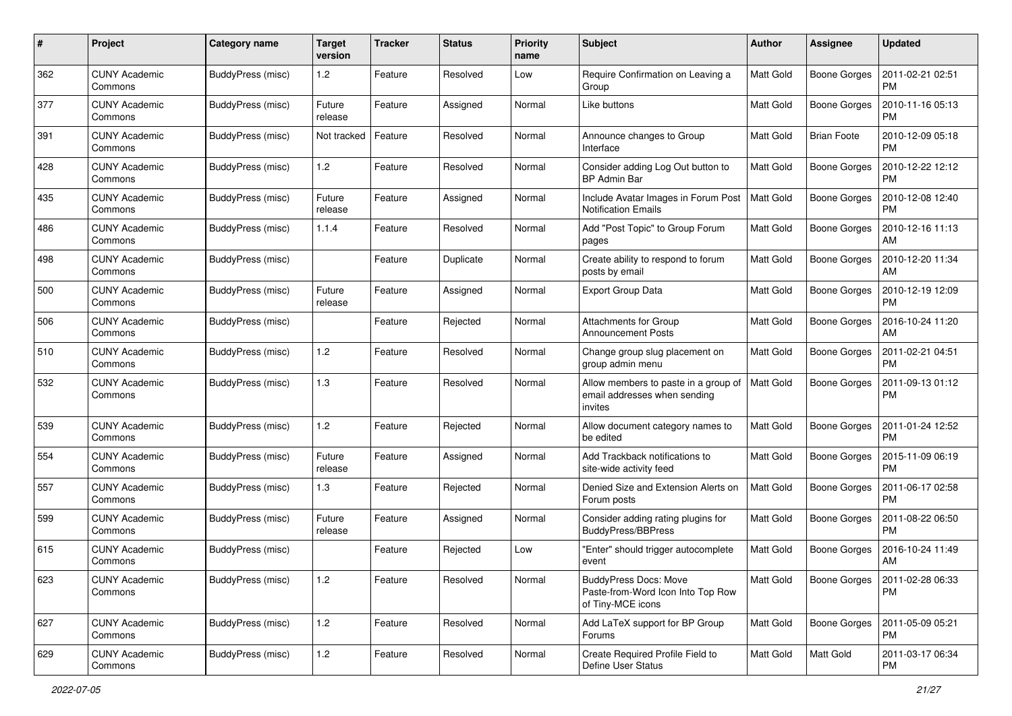| #   | Project                         | Category name     | <b>Target</b><br>version | <b>Tracker</b> | <b>Status</b> | <b>Priority</b><br>name | <b>Subject</b>                                                                         | Author           | <b>Assignee</b>     | <b>Updated</b>                |
|-----|---------------------------------|-------------------|--------------------------|----------------|---------------|-------------------------|----------------------------------------------------------------------------------------|------------------|---------------------|-------------------------------|
| 362 | <b>CUNY Academic</b><br>Commons | BuddyPress (misc) | 1.2                      | Feature        | Resolved      | Low                     | Require Confirmation on Leaving a<br>Group                                             | <b>Matt Gold</b> | <b>Boone Gorges</b> | 2011-02-21 02:51<br><b>PM</b> |
| 377 | <b>CUNY Academic</b><br>Commons | BuddyPress (misc) | Future<br>release        | Feature        | Assigned      | Normal                  | Like buttons                                                                           | Matt Gold        | Boone Gorges        | 2010-11-16 05:13<br><b>PM</b> |
| 391 | <b>CUNY Academic</b><br>Commons | BuddyPress (misc) | Not tracked              | Feature        | Resolved      | Normal                  | Announce changes to Group<br>Interface                                                 | <b>Matt Gold</b> | <b>Brian Foote</b>  | 2010-12-09 05:18<br><b>PM</b> |
| 428 | <b>CUNY Academic</b><br>Commons | BuddyPress (misc) | 1.2                      | Feature        | Resolved      | Normal                  | Consider adding Log Out button to<br><b>BP Admin Bar</b>                               | <b>Matt Gold</b> | Boone Gorges        | 2010-12-22 12:12<br>PM        |
| 435 | <b>CUNY Academic</b><br>Commons | BuddyPress (misc) | Future<br>release        | Feature        | Assigned      | Normal                  | Include Avatar Images in Forum Post<br><b>Notification Emails</b>                      | <b>Matt Gold</b> | <b>Boone Gorges</b> | 2010-12-08 12:40<br><b>PM</b> |
| 486 | <b>CUNY Academic</b><br>Commons | BuddyPress (misc) | 1.1.4                    | Feature        | Resolved      | Normal                  | Add "Post Topic" to Group Forum<br>pages                                               | Matt Gold        | Boone Gorges        | 2010-12-16 11:13<br>AM        |
| 498 | <b>CUNY Academic</b><br>Commons | BuddyPress (misc) |                          | Feature        | Duplicate     | Normal                  | Create ability to respond to forum<br>posts by email                                   | <b>Matt Gold</b> | Boone Gorges        | 2010-12-20 11:34<br>AM        |
| 500 | <b>CUNY Academic</b><br>Commons | BuddyPress (misc) | Future<br>release        | Feature        | Assigned      | Normal                  | Export Group Data                                                                      | Matt Gold        | <b>Boone Gorges</b> | 2010-12-19 12:09<br>PM        |
| 506 | <b>CUNY Academic</b><br>Commons | BuddyPress (misc) |                          | Feature        | Rejected      | Normal                  | Attachments for Group<br><b>Announcement Posts</b>                                     | <b>Matt Gold</b> | <b>Boone Gorges</b> | 2016-10-24 11:20<br>AM        |
| 510 | <b>CUNY Academic</b><br>Commons | BuddyPress (misc) | 1.2                      | Feature        | Resolved      | Normal                  | Change group slug placement on<br>group admin menu                                     | <b>Matt Gold</b> | Boone Gorges        | 2011-02-21 04:51<br><b>PM</b> |
| 532 | <b>CUNY Academic</b><br>Commons | BuddyPress (misc) | 1.3                      | Feature        | Resolved      | Normal                  | Allow members to paste in a group of<br>email addresses when sending<br>invites        | <b>Matt Gold</b> | <b>Boone Gorges</b> | 2011-09-13 01:12<br><b>PM</b> |
| 539 | <b>CUNY Academic</b><br>Commons | BuddyPress (misc) | 1.2                      | Feature        | Rejected      | Normal                  | Allow document category names to<br>be edited                                          | <b>Matt Gold</b> | <b>Boone Gorges</b> | 2011-01-24 12:52<br><b>PM</b> |
| 554 | <b>CUNY Academic</b><br>Commons | BuddyPress (misc) | Future<br>release        | Feature        | Assigned      | Normal                  | Add Trackback notifications to<br>site-wide activity feed                              | <b>Matt Gold</b> | Boone Gorges        | 2015-11-09 06:19<br><b>PM</b> |
| 557 | <b>CUNY Academic</b><br>Commons | BuddyPress (misc) | 1.3                      | Feature        | Rejected      | Normal                  | Denied Size and Extension Alerts on<br>Forum posts                                     | <b>Matt Gold</b> | <b>Boone Gorges</b> | 2011-06-17 02:58<br><b>PM</b> |
| 599 | <b>CUNY Academic</b><br>Commons | BuddyPress (misc) | Future<br>release        | Feature        | Assigned      | Normal                  | Consider adding rating plugins for<br><b>BuddyPress/BBPress</b>                        | <b>Matt Gold</b> | Boone Gorges        | 2011-08-22 06:50<br><b>PM</b> |
| 615 | CUNY Academic<br>Commons        | BuddyPress (misc) |                          | Feature        | Rejected      | Low                     | "Enter" should trigger autocomplete<br>event                                           | <b>Matt Gold</b> | <b>Boone Gorges</b> | 2016-10-24 11:49<br>AM        |
| 623 | <b>CUNY Academic</b><br>Commons | BuddyPress (misc) | 1.2                      | Feature        | Resolved      | Normal                  | <b>BuddyPress Docs: Move</b><br>Paste-from-Word Icon Into Top Row<br>of Tiny-MCE icons | Matt Gold        | Boone Gorges        | 2011-02-28 06:33<br><b>PM</b> |
| 627 | <b>CUNY Academic</b><br>Commons | BuddyPress (misc) | $1.2$                    | Feature        | Resolved      | Normal                  | Add LaTeX support for BP Group<br>Forums                                               | Matt Gold        | <b>Boone Gorges</b> | 2011-05-09 05:21<br>PM        |
| 629 | <b>CUNY Academic</b><br>Commons | BuddyPress (misc) | $1.2$                    | Feature        | Resolved      | Normal                  | Create Required Profile Field to<br>Define User Status                                 | Matt Gold        | Matt Gold           | 2011-03-17 06:34<br>PM        |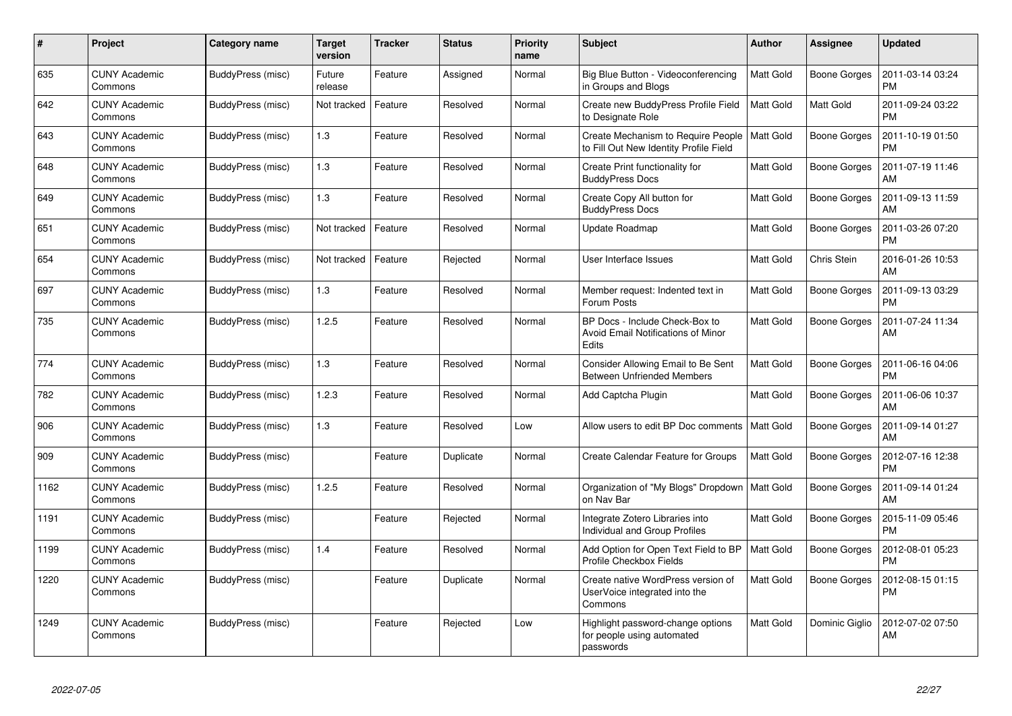| #    | Project                         | Category name     | <b>Target</b><br>version | <b>Tracker</b> | <b>Status</b> | <b>Priority</b><br>name | <b>Subject</b>                                                                 | Author           | Assignee            | <b>Updated</b>                |
|------|---------------------------------|-------------------|--------------------------|----------------|---------------|-------------------------|--------------------------------------------------------------------------------|------------------|---------------------|-------------------------------|
| 635  | <b>CUNY Academic</b><br>Commons | BuddyPress (misc) | Future<br>release        | Feature        | Assigned      | Normal                  | Big Blue Button - Videoconferencing<br>in Groups and Blogs                     | <b>Matt Gold</b> | <b>Boone Gorges</b> | 2011-03-14 03:24<br><b>PM</b> |
| 642  | <b>CUNY Academic</b><br>Commons | BuddyPress (misc) | Not tracked              | Feature        | Resolved      | Normal                  | Create new BuddyPress Profile Field<br>to Designate Role                       | Matt Gold        | Matt Gold           | 2011-09-24 03:22<br><b>PM</b> |
| 643  | <b>CUNY Academic</b><br>Commons | BuddyPress (misc) | 1.3                      | Feature        | Resolved      | Normal                  | Create Mechanism to Require People<br>to Fill Out New Identity Profile Field   | <b>Matt Gold</b> | Boone Gorges        | 2011-10-19 01:50<br><b>PM</b> |
| 648  | <b>CUNY Academic</b><br>Commons | BuddyPress (misc) | 1.3                      | Feature        | Resolved      | Normal                  | Create Print functionality for<br><b>BuddyPress Docs</b>                       | <b>Matt Gold</b> | Boone Gorges        | 2011-07-19 11:46<br>AM        |
| 649  | CUNY Academic<br>Commons        | BuddyPress (misc) | 1.3                      | Feature        | Resolved      | Normal                  | Create Copy All button for<br><b>BuddyPress Docs</b>                           | <b>Matt Gold</b> | Boone Gorges        | 2011-09-13 11:59<br>AM        |
| 651  | <b>CUNY Academic</b><br>Commons | BuddyPress (misc) | Not tracked              | Feature        | Resolved      | Normal                  | Update Roadmap                                                                 | <b>Matt Gold</b> | <b>Boone Gorges</b> | 2011-03-26 07:20<br><b>PM</b> |
| 654  | <b>CUNY Academic</b><br>Commons | BuddyPress (misc) | Not tracked              | Feature        | Rejected      | Normal                  | User Interface Issues                                                          | <b>Matt Gold</b> | Chris Stein         | 2016-01-26 10:53<br>AM        |
| 697  | <b>CUNY Academic</b><br>Commons | BuddyPress (misc) | 1.3                      | Feature        | Resolved      | Normal                  | Member request: Indented text in<br>Forum Posts                                | <b>Matt Gold</b> | Boone Gorges        | 2011-09-13 03:29<br><b>PM</b> |
| 735  | <b>CUNY Academic</b><br>Commons | BuddyPress (misc) | 1.2.5                    | Feature        | Resolved      | Normal                  | BP Docs - Include Check-Box to<br>Avoid Email Notifications of Minor<br>Edits  | Matt Gold        | <b>Boone Gorges</b> | 2011-07-24 11:34<br>AM        |
| 774  | <b>CUNY Academic</b><br>Commons | BuddyPress (misc) | 1.3                      | Feature        | Resolved      | Normal                  | Consider Allowing Email to Be Sent<br><b>Between Unfriended Members</b>        | <b>Matt Gold</b> | <b>Boone Gorges</b> | 2011-06-16 04:06<br><b>PM</b> |
| 782  | <b>CUNY Academic</b><br>Commons | BuddyPress (misc) | 1.2.3                    | Feature        | Resolved      | Normal                  | Add Captcha Plugin                                                             | Matt Gold        | <b>Boone Gorges</b> | 2011-06-06 10:37<br>AM        |
| 906  | <b>CUNY Academic</b><br>Commons | BuddyPress (misc) | 1.3                      | Feature        | Resolved      | Low                     | Allow users to edit BP Doc comments                                            | Matt Gold        | Boone Gorges        | 2011-09-14 01:27<br>AM        |
| 909  | <b>CUNY Academic</b><br>Commons | BuddyPress (misc) |                          | Feature        | Duplicate     | Normal                  | Create Calendar Feature for Groups                                             | <b>Matt Gold</b> | Boone Gorges        | 2012-07-16 12:38<br><b>PM</b> |
| 1162 | <b>CUNY Academic</b><br>Commons | BuddyPress (misc) | 1.2.5                    | Feature        | Resolved      | Normal                  | Organization of "My Blogs" Dropdown   Matt Gold<br>on Nav Bar                  |                  | Boone Gorges        | 2011-09-14 01:24<br>AM        |
| 1191 | <b>CUNY Academic</b><br>Commons | BuddyPress (misc) |                          | Feature        | Rejected      | Normal                  | Integrate Zotero Libraries into<br>Individual and Group Profiles               | <b>Matt Gold</b> | Boone Gorges        | 2015-11-09 05:46<br><b>PM</b> |
| 1199 | <b>CUNY Academic</b><br>Commons | BuddyPress (misc) | 1.4                      | Feature        | Resolved      | Normal                  | Add Option for Open Text Field to BP<br>Profile Checkbox Fields                | Matt Gold        | Boone Gorges        | 2012-08-01 05:23<br><b>PM</b> |
| 1220 | <b>CUNY Academic</b><br>Commons | BuddyPress (misc) |                          | Feature        | Duplicate     | Normal                  | Create native WordPress version of<br>UserVoice integrated into the<br>Commons | <b>Matt Gold</b> | Boone Gorges        | 2012-08-15 01:15<br>PM        |
| 1249 | <b>CUNY Academic</b><br>Commons | BuddyPress (misc) |                          | Feature        | Rejected      | Low                     | Highlight password-change options<br>for people using automated<br>passwords   | Matt Gold        | Dominic Giglio      | 2012-07-02 07:50<br>AM        |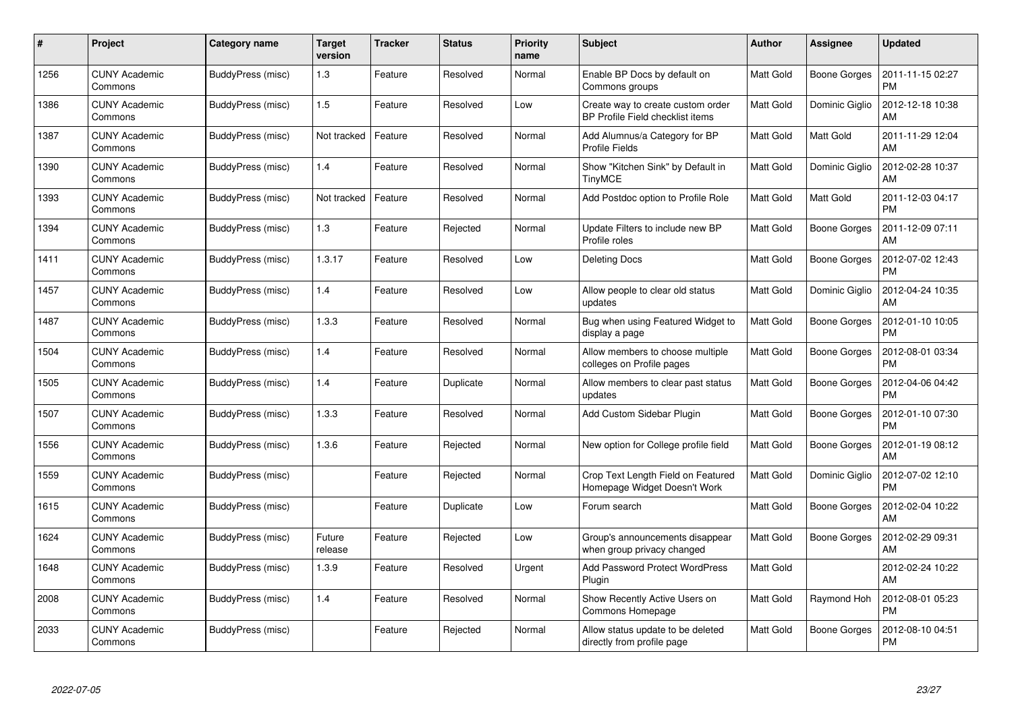| $\pmb{\#}$ | <b>Project</b>                  | Category name     | <b>Target</b><br>version | <b>Tracker</b> | <b>Status</b> | <b>Priority</b><br>name | <b>Subject</b>                                                        | <b>Author</b>    | Assignee            | <b>Updated</b>                |
|------------|---------------------------------|-------------------|--------------------------|----------------|---------------|-------------------------|-----------------------------------------------------------------------|------------------|---------------------|-------------------------------|
| 1256       | <b>CUNY Academic</b><br>Commons | BuddyPress (misc) | 1.3                      | Feature        | Resolved      | Normal                  | Enable BP Docs by default on<br>Commons groups                        | <b>Matt Gold</b> | Boone Gorges        | 2011-11-15 02:27<br><b>PM</b> |
| 1386       | <b>CUNY Academic</b><br>Commons | BuddyPress (misc) | 1.5                      | Feature        | Resolved      | Low                     | Create way to create custom order<br>BP Profile Field checklist items | <b>Matt Gold</b> | Dominic Giglio      | 2012-12-18 10:38<br>AM        |
| 1387       | <b>CUNY Academic</b><br>Commons | BuddyPress (misc) | Not tracked              | Feature        | Resolved      | Normal                  | Add Alumnus/a Category for BP<br><b>Profile Fields</b>                | <b>Matt Gold</b> | <b>Matt Gold</b>    | 2011-11-29 12:04<br>AM        |
| 1390       | <b>CUNY Academic</b><br>Commons | BuddyPress (misc) | 1.4                      | Feature        | Resolved      | Normal                  | Show "Kitchen Sink" by Default in<br><b>TinyMCE</b>                   | Matt Gold        | Dominic Giglio      | 2012-02-28 10:37<br>AM        |
| 1393       | <b>CUNY Academic</b><br>Commons | BuddyPress (misc) | Not tracked              | Feature        | Resolved      | Normal                  | Add Postdoc option to Profile Role                                    | Matt Gold        | <b>Matt Gold</b>    | 2011-12-03 04:17<br><b>PM</b> |
| 1394       | <b>CUNY Academic</b><br>Commons | BuddyPress (misc) | 1.3                      | Feature        | Rejected      | Normal                  | Update Filters to include new BP<br>Profile roles                     | Matt Gold        | Boone Gorges        | 2011-12-09 07:11<br>AM        |
| 1411       | <b>CUNY Academic</b><br>Commons | BuddyPress (misc) | 1.3.17                   | Feature        | Resolved      | Low                     | <b>Deleting Docs</b>                                                  | <b>Matt Gold</b> | <b>Boone Gorges</b> | 2012-07-02 12:43<br><b>PM</b> |
| 1457       | <b>CUNY Academic</b><br>Commons | BuddyPress (misc) | 1.4                      | Feature        | Resolved      | Low                     | Allow people to clear old status<br>updates                           | Matt Gold        | Dominic Giglio      | 2012-04-24 10:35<br>AM        |
| 1487       | <b>CUNY Academic</b><br>Commons | BuddyPress (misc) | 1.3.3                    | Feature        | Resolved      | Normal                  | Bug when using Featured Widget to<br>display a page                   | Matt Gold        | <b>Boone Gorges</b> | 2012-01-10 10:05<br><b>PM</b> |
| 1504       | <b>CUNY Academic</b><br>Commons | BuddyPress (misc) | 1.4                      | Feature        | Resolved      | Normal                  | Allow members to choose multiple<br>colleges on Profile pages         | <b>Matt Gold</b> | <b>Boone Gorges</b> | 2012-08-01 03:34<br>PM        |
| 1505       | <b>CUNY Academic</b><br>Commons | BuddyPress (misc) | 1.4                      | Feature        | Duplicate     | Normal                  | Allow members to clear past status<br>updates                         | <b>Matt Gold</b> | Boone Gorges        | 2012-04-06 04:42<br><b>PM</b> |
| 1507       | <b>CUNY Academic</b><br>Commons | BuddyPress (misc) | 1.3.3                    | Feature        | Resolved      | Normal                  | Add Custom Sidebar Plugin                                             | Matt Gold        | Boone Gorges        | 2012-01-10 07:30<br>PM        |
| 1556       | <b>CUNY Academic</b><br>Commons | BuddyPress (misc) | 1.3.6                    | Feature        | Rejected      | Normal                  | New option for College profile field                                  | <b>Matt Gold</b> | <b>Boone Gorges</b> | 2012-01-19 08:12<br>AM        |
| 1559       | <b>CUNY Academic</b><br>Commons | BuddyPress (misc) |                          | Feature        | Rejected      | Normal                  | Crop Text Length Field on Featured<br>Homepage Widget Doesn't Work    | Matt Gold        | Dominic Giglio      | 2012-07-02 12:10<br><b>PM</b> |
| 1615       | <b>CUNY Academic</b><br>Commons | BuddyPress (misc) |                          | Feature        | Duplicate     | Low                     | Forum search                                                          | <b>Matt Gold</b> | Boone Gorges        | 2012-02-04 10:22<br>AM        |
| 1624       | <b>CUNY Academic</b><br>Commons | BuddyPress (misc) | Future<br>release        | Feature        | Rejected      | Low                     | Group's announcements disappear<br>when group privacy changed         | <b>Matt Gold</b> | Boone Gorges        | 2012-02-29 09:31<br>AM        |
| 1648       | <b>CUNY Academic</b><br>Commons | BuddyPress (misc) | 1.3.9                    | Feature        | Resolved      | Urgent                  | <b>Add Password Protect WordPress</b><br>Plugin                       | Matt Gold        |                     | 2012-02-24 10:22<br>AM        |
| 2008       | <b>CUNY Academic</b><br>Commons | BuddyPress (misc) | 1.4                      | Feature        | Resolved      | Normal                  | Show Recently Active Users on<br>Commons Homepage                     | <b>Matt Gold</b> | Raymond Hoh         | 2012-08-01 05:23<br><b>PM</b> |
| 2033       | CUNY Academic<br>Commons        | BuddyPress (misc) |                          | Feature        | Rejected      | Normal                  | Allow status update to be deleted<br>directly from profile page       | Matt Gold        | Boone Gorges        | 2012-08-10 04:51<br>PM        |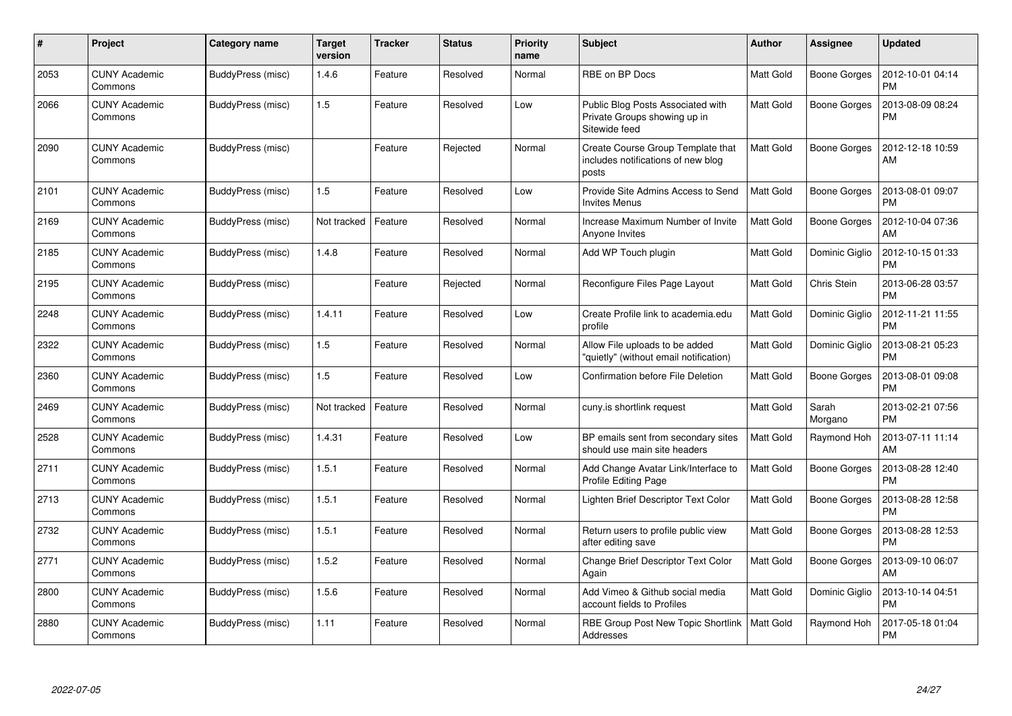| #    | Project                         | <b>Category name</b> | <b>Target</b><br>version | <b>Tracker</b> | <b>Status</b> | <b>Priority</b><br>name | <b>Subject</b>                                                                     | <b>Author</b>    | Assignee            | <b>Updated</b>                |
|------|---------------------------------|----------------------|--------------------------|----------------|---------------|-------------------------|------------------------------------------------------------------------------------|------------------|---------------------|-------------------------------|
| 2053 | <b>CUNY Academic</b><br>Commons | BuddyPress (misc)    | 1.4.6                    | Feature        | Resolved      | Normal                  | RBE on BP Docs                                                                     | Matt Gold        | Boone Gorges        | 2012-10-01 04:14<br>PM        |
| 2066 | <b>CUNY Academic</b><br>Commons | BuddyPress (misc)    | 1.5                      | Feature        | Resolved      | Low                     | Public Blog Posts Associated with<br>Private Groups showing up in<br>Sitewide feed | <b>Matt Gold</b> | Boone Gorges        | 2013-08-09 08:24<br>PM        |
| 2090 | <b>CUNY Academic</b><br>Commons | BuddyPress (misc)    |                          | Feature        | Rejected      | Normal                  | Create Course Group Template that<br>includes notifications of new blog<br>posts   | <b>Matt Gold</b> | <b>Boone Gorges</b> | 2012-12-18 10:59<br>AM        |
| 2101 | <b>CUNY Academic</b><br>Commons | BuddyPress (misc)    | 1.5                      | Feature        | Resolved      | Low                     | Provide Site Admins Access to Send<br><b>Invites Menus</b>                         | <b>Matt Gold</b> | Boone Gorges        | 2013-08-01 09:07<br><b>PM</b> |
| 2169 | <b>CUNY Academic</b><br>Commons | BuddyPress (misc)    | Not tracked              | Feature        | Resolved      | Normal                  | Increase Maximum Number of Invite<br>Anyone Invites                                | Matt Gold        | Boone Gorges        | 2012-10-04 07:36<br>AM        |
| 2185 | <b>CUNY Academic</b><br>Commons | BuddyPress (misc)    | 1.4.8                    | Feature        | Resolved      | Normal                  | Add WP Touch plugin                                                                | <b>Matt Gold</b> | Dominic Giglio      | 2012-10-15 01:33<br><b>PM</b> |
| 2195 | <b>CUNY Academic</b><br>Commons | BuddyPress (misc)    |                          | Feature        | Rejected      | Normal                  | Reconfigure Files Page Layout                                                      | <b>Matt Gold</b> | Chris Stein         | 2013-06-28 03:57<br><b>PM</b> |
| 2248 | <b>CUNY Academic</b><br>Commons | BuddyPress (misc)    | 1.4.11                   | Feature        | Resolved      | Low                     | Create Profile link to academia.edu<br>profile                                     | <b>Matt Gold</b> | Dominic Giglio      | 2012-11-21 11:55<br><b>PM</b> |
| 2322 | <b>CUNY Academic</b><br>Commons | BuddyPress (misc)    | 1.5                      | Feature        | Resolved      | Normal                  | Allow File uploads to be added<br>"quietly" (without email notification)           | <b>Matt Gold</b> | Dominic Giglio      | 2013-08-21 05:23<br><b>PM</b> |
| 2360 | <b>CUNY Academic</b><br>Commons | BuddyPress (misc)    | 1.5                      | Feature        | Resolved      | Low                     | Confirmation before File Deletion                                                  | <b>Matt Gold</b> | <b>Boone Gorges</b> | 2013-08-01 09:08<br><b>PM</b> |
| 2469 | <b>CUNY Academic</b><br>Commons | BuddyPress (misc)    | Not tracked              | Feature        | Resolved      | Normal                  | cuny.is shortlink request                                                          | Matt Gold        | Sarah<br>Morgano    | 2013-02-21 07:56<br><b>PM</b> |
| 2528 | <b>CUNY Academic</b><br>Commons | BuddyPress (misc)    | 1.4.31                   | Feature        | Resolved      | Low                     | BP emails sent from secondary sites<br>should use main site headers                | Matt Gold        | Raymond Hoh         | 2013-07-11 11:14<br>AM        |
| 2711 | <b>CUNY Academic</b><br>Commons | BuddyPress (misc)    | 1.5.1                    | Feature        | Resolved      | Normal                  | Add Change Avatar Link/Interface to<br>Profile Editing Page                        | <b>Matt Gold</b> | Boone Gorges        | 2013-08-28 12:40<br><b>PM</b> |
| 2713 | <b>CUNY Academic</b><br>Commons | BuddyPress (misc)    | 1.5.1                    | Feature        | Resolved      | Normal                  | Lighten Brief Descriptor Text Color                                                | <b>Matt Gold</b> | Boone Gorges        | 2013-08-28 12:58<br><b>PM</b> |
| 2732 | <b>CUNY Academic</b><br>Commons | BuddyPress (misc)    | 1.5.1                    | Feature        | Resolved      | Normal                  | Return users to profile public view<br>after editing save                          | <b>Matt Gold</b> | <b>Boone Gorges</b> | 2013-08-28 12:53<br><b>PM</b> |
| 2771 | <b>CUNY Academic</b><br>Commons | BuddyPress (misc)    | 1.5.2                    | Feature        | Resolved      | Normal                  | Change Brief Descriptor Text Color<br>Again                                        | <b>Matt Gold</b> | <b>Boone Gorges</b> | 2013-09-10 06:07<br>AM        |
| 2800 | <b>CUNY Academic</b><br>Commons | BuddyPress (misc)    | 1.5.6                    | Feature        | Resolved      | Normal                  | Add Vimeo & Github social media<br>account fields to Profiles                      | <b>Matt Gold</b> | Dominic Giglio      | 2013-10-14 04:51<br><b>PM</b> |
| 2880 | <b>CUNY Academic</b><br>Commons | BuddyPress (misc)    | 1.11                     | Feature        | Resolved      | Normal                  | RBE Group Post New Topic Shortlink<br>Addresses                                    | <b>Matt Gold</b> | Raymond Hoh         | 2017-05-18 01:04<br>PM        |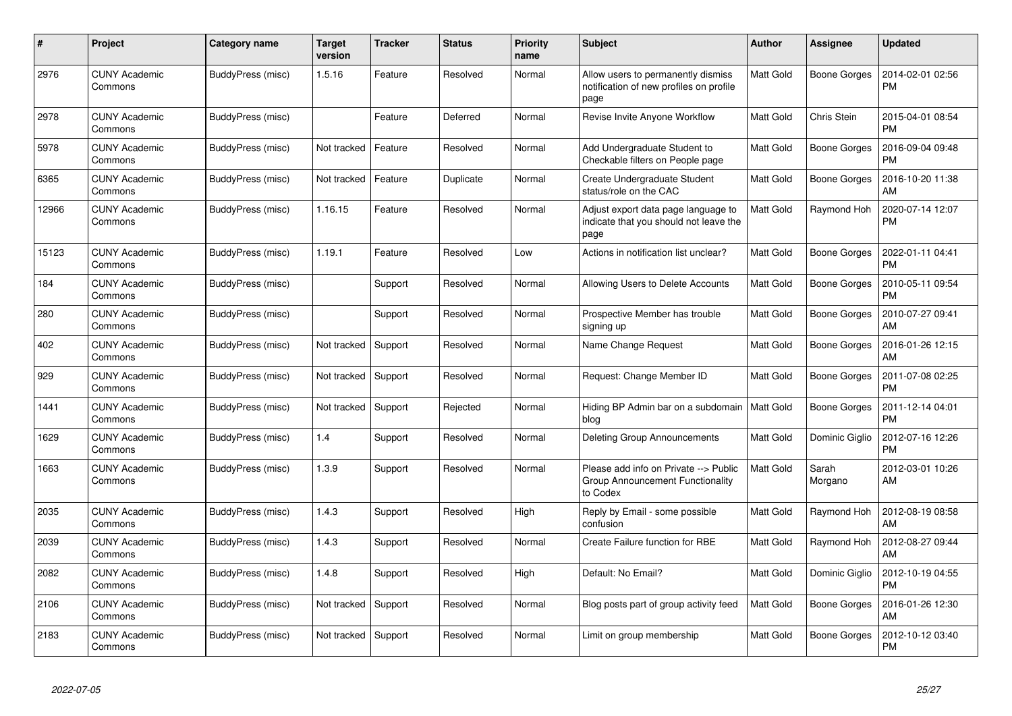| $\#$  | <b>Project</b>                  | Category name     | <b>Target</b><br>version | <b>Tracker</b> | <b>Status</b> | <b>Priority</b><br>name | <b>Subject</b>                                                                        | Author    | Assignee            | <b>Updated</b>                |
|-------|---------------------------------|-------------------|--------------------------|----------------|---------------|-------------------------|---------------------------------------------------------------------------------------|-----------|---------------------|-------------------------------|
| 2976  | <b>CUNY Academic</b><br>Commons | BuddyPress (misc) | 1.5.16                   | Feature        | Resolved      | Normal                  | Allow users to permanently dismiss<br>notification of new profiles on profile<br>page | Matt Gold | Boone Gorges        | 2014-02-01 02:56<br><b>PM</b> |
| 2978  | <b>CUNY Academic</b><br>Commons | BuddyPress (misc) |                          | Feature        | Deferred      | Normal                  | Revise Invite Anyone Workflow                                                         | Matt Gold | Chris Stein         | 2015-04-01 08:54<br><b>PM</b> |
| 5978  | <b>CUNY Academic</b><br>Commons | BuddyPress (misc) | Not tracked              | Feature        | Resolved      | Normal                  | Add Undergraduate Student to<br>Checkable filters on People page                      | Matt Gold | <b>Boone Gorges</b> | 2016-09-04 09:48<br><b>PM</b> |
| 6365  | <b>CUNY Academic</b><br>Commons | BuddyPress (misc) | Not tracked              | Feature        | Duplicate     | Normal                  | Create Undergraduate Student<br>status/role on the CAC                                | Matt Gold | <b>Boone Gorges</b> | 2016-10-20 11:38<br>AM        |
| 12966 | CUNY Academic<br>Commons        | BuddyPress (misc) | 1.16.15                  | Feature        | Resolved      | Normal                  | Adjust export data page language to<br>indicate that you should not leave the<br>page | Matt Gold | Raymond Hoh         | 2020-07-14 12:07<br><b>PM</b> |
| 15123 | <b>CUNY Academic</b><br>Commons | BuddyPress (misc) | 1.19.1                   | Feature        | Resolved      | Low                     | Actions in notification list unclear?                                                 | Matt Gold | <b>Boone Gorges</b> | 2022-01-11 04:41<br><b>PM</b> |
| 184   | <b>CUNY Academic</b><br>Commons | BuddyPress (misc) |                          | Support        | Resolved      | Normal                  | Allowing Users to Delete Accounts                                                     | Matt Gold | Boone Gorges        | 2010-05-11 09:54<br><b>PM</b> |
| 280   | <b>CUNY Academic</b><br>Commons | BuddyPress (misc) |                          | Support        | Resolved      | Normal                  | Prospective Member has trouble<br>signing up                                          | Matt Gold | <b>Boone Gorges</b> | 2010-07-27 09:41<br>AM        |
| 402   | <b>CUNY Academic</b><br>Commons | BuddyPress (misc) | Not tracked              | Support        | Resolved      | Normal                  | Name Change Request                                                                   | Matt Gold | <b>Boone Gorges</b> | 2016-01-26 12:15<br>AM        |
| 929   | CUNY Academic<br>Commons        | BuddyPress (misc) | Not tracked              | Support        | Resolved      | Normal                  | Request: Change Member ID                                                             | Matt Gold | Boone Gorges        | 2011-07-08 02:25<br><b>PM</b> |
| 1441  | <b>CUNY Academic</b><br>Commons | BuddyPress (misc) | Not tracked              | Support        | Rejected      | Normal                  | Hiding BP Admin bar on a subdomain   Matt Gold<br>blog                                |           | <b>Boone Gorges</b> | 2011-12-14 04:01<br><b>PM</b> |
| 1629  | <b>CUNY Academic</b><br>Commons | BuddyPress (misc) | 1.4                      | Support        | Resolved      | Normal                  | Deleting Group Announcements                                                          | Matt Gold | Dominic Giglio      | 2012-07-16 12:26<br><b>PM</b> |
| 1663  | <b>CUNY Academic</b><br>Commons | BuddyPress (misc) | 1.3.9                    | Support        | Resolved      | Normal                  | Please add info on Private --> Public<br>Group Announcement Functionality<br>to Codex | Matt Gold | Sarah<br>Morgano    | 2012-03-01 10:26<br>AM        |
| 2035  | <b>CUNY Academic</b><br>Commons | BuddyPress (misc) | 1.4.3                    | Support        | Resolved      | High                    | Reply by Email - some possible<br>confusion                                           | Matt Gold | Raymond Hoh         | 2012-08-19 08:58<br>AM        |
| 2039  | <b>CUNY Academic</b><br>Commons | BuddyPress (misc) | 1.4.3                    | Support        | Resolved      | Normal                  | Create Failure function for RBE                                                       | Matt Gold | Raymond Hoh         | 2012-08-27 09:44<br>AM        |
| 2082  | <b>CUNY Academic</b><br>Commons | BuddyPress (misc) | 1.4.8                    | Support        | Resolved      | High                    | Default: No Email?                                                                    | Matt Gold | Dominic Giglio      | 2012-10-19 04:55<br><b>PM</b> |
| 2106  | <b>CUNY Academic</b><br>Commons | BuddyPress (misc) | Not tracked              | Support        | Resolved      | Normal                  | Blog posts part of group activity feed                                                | Matt Gold | <b>Boone Gorges</b> | 2016-01-26 12:30<br>AM        |
| 2183  | <b>CUNY Academic</b><br>Commons | BuddyPress (misc) | Not tracked              | Support        | Resolved      | Normal                  | Limit on group membership                                                             | Matt Gold | Boone Gorges        | 2012-10-12 03:40<br><b>PM</b> |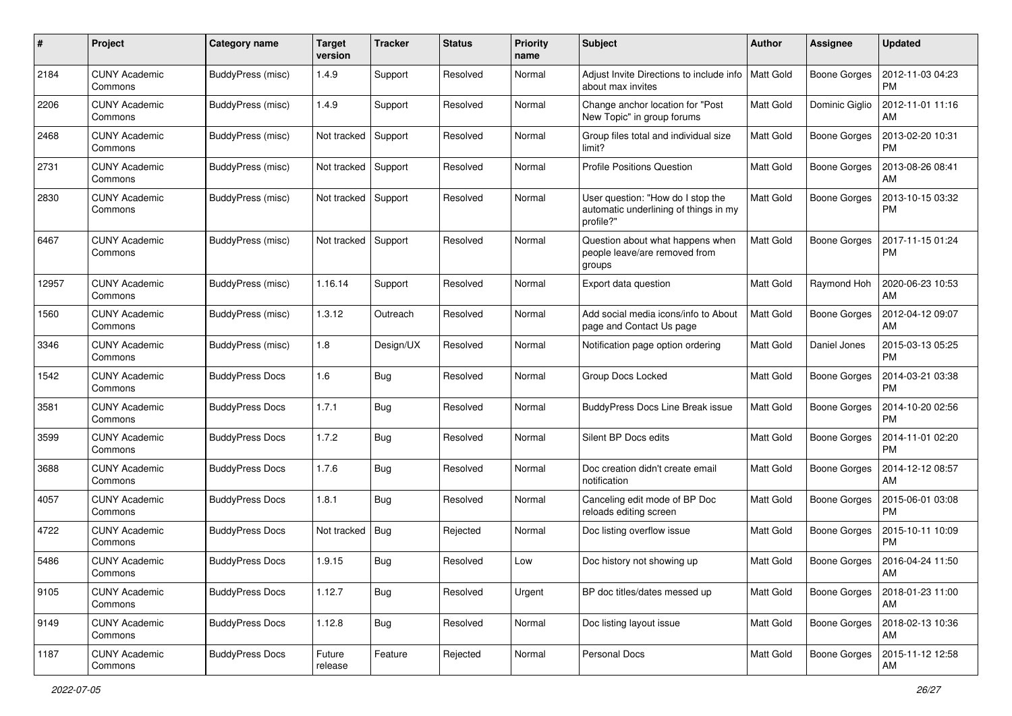| #     | Project                         | Category name          | <b>Target</b><br>version | <b>Tracker</b> | <b>Status</b> | <b>Priority</b><br>name | <b>Subject</b>                                                                          | Author           | <b>Assignee</b>     | <b>Updated</b>                |
|-------|---------------------------------|------------------------|--------------------------|----------------|---------------|-------------------------|-----------------------------------------------------------------------------------------|------------------|---------------------|-------------------------------|
| 2184  | <b>CUNY Academic</b><br>Commons | BuddyPress (misc)      | 1.4.9                    | Support        | Resolved      | Normal                  | Adjust Invite Directions to include info<br>about max invites                           | <b>Matt Gold</b> | <b>Boone Gorges</b> | 2012-11-03 04:23<br><b>PM</b> |
| 2206  | <b>CUNY Academic</b><br>Commons | BuddyPress (misc)      | 1.4.9                    | Support        | Resolved      | Normal                  | Change anchor location for "Post<br>New Topic" in group forums                          | Matt Gold        | Dominic Giglio      | 2012-11-01 11:16<br>AM        |
| 2468  | CUNY Academic<br>Commons        | BuddyPress (misc)      | Not tracked              | Support        | Resolved      | Normal                  | Group files total and individual size<br>limit?                                         | Matt Gold        | Boone Gorges        | 2013-02-20 10:31<br><b>PM</b> |
| 2731  | <b>CUNY Academic</b><br>Commons | BuddyPress (misc)      | Not tracked              | Support        | Resolved      | Normal                  | <b>Profile Positions Question</b>                                                       | <b>Matt Gold</b> | Boone Gorges        | 2013-08-26 08:41<br>AM        |
| 2830  | <b>CUNY Academic</b><br>Commons | BuddyPress (misc)      | Not tracked              | Support        | Resolved      | Normal                  | User question: "How do I stop the<br>automatic underlining of things in my<br>profile?" | <b>Matt Gold</b> | <b>Boone Gorges</b> | 2013-10-15 03:32<br><b>PM</b> |
| 6467  | <b>CUNY Academic</b><br>Commons | BuddyPress (misc)      | Not tracked              | Support        | Resolved      | Normal                  | Question about what happens when<br>people leave/are removed from<br>groups             | <b>Matt Gold</b> | Boone Gorges        | 2017-11-15 01:24<br><b>PM</b> |
| 12957 | <b>CUNY Academic</b><br>Commons | BuddyPress (misc)      | 1.16.14                  | Support        | Resolved      | Normal                  | Export data question                                                                    | <b>Matt Gold</b> | Raymond Hoh         | 2020-06-23 10:53<br>AM        |
| 1560  | <b>CUNY Academic</b><br>Commons | BuddyPress (misc)      | 1.3.12                   | Outreach       | Resolved      | Normal                  | Add social media icons/info to About<br>page and Contact Us page                        | Matt Gold        | <b>Boone Gorges</b> | 2012-04-12 09:07<br>AM        |
| 3346  | <b>CUNY Academic</b><br>Commons | BuddyPress (misc)      | 1.8                      | Design/UX      | Resolved      | Normal                  | Notification page option ordering                                                       | Matt Gold        | Daniel Jones        | 2015-03-13 05:25<br><b>PM</b> |
| 1542  | <b>CUNY Academic</b><br>Commons | <b>BuddyPress Docs</b> | 1.6                      | <b>Bug</b>     | Resolved      | Normal                  | Group Docs Locked                                                                       | <b>Matt Gold</b> | <b>Boone Gorges</b> | 2014-03-21 03:38<br>PM        |
| 3581  | <b>CUNY Academic</b><br>Commons | <b>BuddyPress Docs</b> | 1.7.1                    | Bug            | Resolved      | Normal                  | <b>BuddyPress Docs Line Break issue</b>                                                 | <b>Matt Gold</b> | Boone Gorges        | 2014-10-20 02:56<br><b>PM</b> |
| 3599  | <b>CUNY Academic</b><br>Commons | <b>BuddyPress Docs</b> | 1.7.2                    | Bug            | Resolved      | Normal                  | Silent BP Docs edits                                                                    | Matt Gold        | Boone Gorges        | 2014-11-01 02:20<br><b>PM</b> |
| 3688  | <b>CUNY Academic</b><br>Commons | <b>BuddyPress Docs</b> | 1.7.6                    | Bug            | Resolved      | Normal                  | Doc creation didn't create email<br>notification                                        | <b>Matt Gold</b> | <b>Boone Gorges</b> | 2014-12-12 08:57<br>AM        |
| 4057  | <b>CUNY Academic</b><br>Commons | <b>BuddyPress Docs</b> | 1.8.1                    | Bug            | Resolved      | Normal                  | Canceling edit mode of BP Doc<br>reloads editing screen                                 | Matt Gold        | <b>Boone Gorges</b> | 2015-06-01 03:08<br><b>PM</b> |
| 4722  | <b>CUNY Academic</b><br>Commons | <b>BuddyPress Docs</b> | Not tracked              | <b>Bug</b>     | Rejected      | Normal                  | Doc listing overflow issue                                                              | Matt Gold        | Boone Gorges        | 2015-10-11 10:09<br><b>PM</b> |
| 5486  | <b>CUNY Academic</b><br>Commons | <b>BuddyPress Docs</b> | 1.9.15                   | Bug            | Resolved      | Low                     | Doc history not showing up                                                              | Matt Gold        | Boone Gorges        | 2016-04-24 11:50<br>AM        |
| 9105  | <b>CUNY Academic</b><br>Commons | <b>BuddyPress Docs</b> | 1.12.7                   | Bug            | Resolved      | Urgent                  | BP doc titles/dates messed up                                                           | Matt Gold        | <b>Boone Gorges</b> | 2018-01-23 11:00<br>  AM      |
| 9149  | <b>CUNY Academic</b><br>Commons | <b>BuddyPress Docs</b> | 1.12.8                   | <b>Bug</b>     | Resolved      | Normal                  | Doc listing layout issue                                                                | Matt Gold        | Boone Gorges        | 2018-02-13 10:36<br><b>AM</b> |
| 1187  | <b>CUNY Academic</b><br>Commons | <b>BuddyPress Docs</b> | Future<br>release        | Feature        | Rejected      | Normal                  | Personal Docs                                                                           | Matt Gold        | Boone Gorges        | 2015-11-12 12:58<br>AM        |